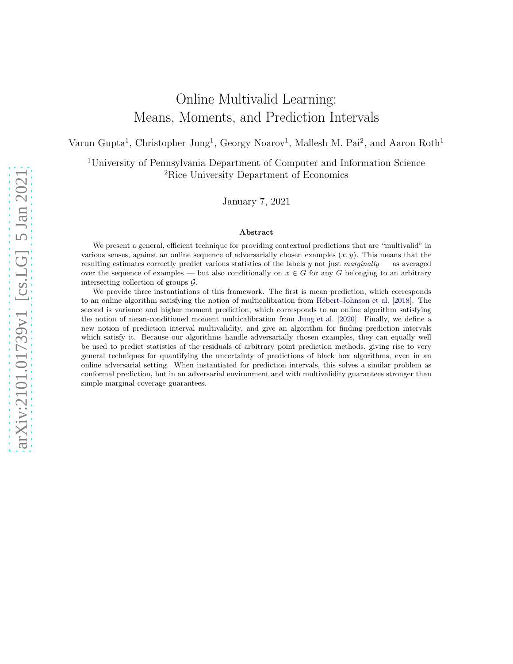# Online Multivalid Learning: Means, Moments, and Prediction Intervals

Varun Gupta<sup>1</sup>, Christopher Jung<sup>1</sup>, Georgy Noarov<sup>1</sup>, Mallesh M. Pai<sup>2</sup>, and Aaron Roth<sup>1</sup>

<sup>1</sup>University of Pennsylvania Department of Computer and Information Science <sup>2</sup>Rice University Department of Economics

January 7, 2021

#### Abstract

We present a general, efficient technique for providing contextual predictions that are "multivalid" in various senses, against an online sequence of adversarially chosen examples  $(x, y)$ . This means that the resulting estimates correctly predict various statistics of the labels  $y$  not just marginally — as averaged over the sequence of examples — but also conditionally on  $x \in G$  for any G belonging to an arbitrary intersecting collection of groups G.

We provide three instantiations of this framework. The first is mean prediction, which corresponds to an online algorithm satisfying the notion of multicalibration from Hébert-Johnson et al. [\[2018](#page-43-0)]. The second is variance and higher moment prediction, which corresponds to an online algorithm satisfying the notion of mean-conditioned moment multicalibration from [Jung et al.](#page-43-1) [\[2020](#page-43-1)]. Finally, we define a new notion of prediction interval multivalidity, and give an algorithm for finding prediction intervals which satisfy it. Because our algorithms handle adversarially chosen examples, they can equally well be used to predict statistics of the residuals of arbitrary point prediction methods, giving rise to very general techniques for quantifying the uncertainty of predictions of black box algorithms, even in an online adversarial setting. When instantiated for prediction intervals, this solves a similar problem as conformal prediction, but in an adversarial environment and with multivalidity guarantees stronger than simple marginal coverage guarantees.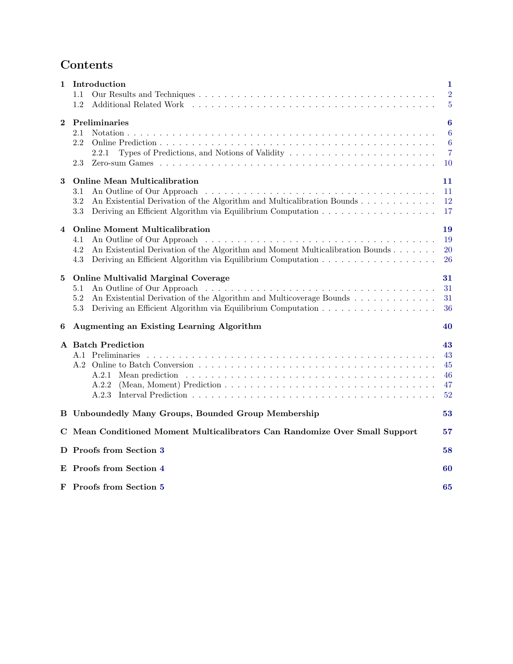# Contents

| 1              | Introduction<br>1.1<br>1.2                                                                                                                                                | $\mathbf{1}$<br>$\overline{2}$<br>5   |
|----------------|---------------------------------------------------------------------------------------------------------------------------------------------------------------------------|---------------------------------------|
| $\bf{2}$       | <b>Preliminaries</b><br>2.1<br>2.2<br>Types of Predictions, and Notions of Validity $\dots \dots \dots \dots \dots \dots \dots \dots \dots$<br>2.2.1<br>2.3               | 6<br>$\boldsymbol{6}$<br>6<br>7<br>10 |
| 3              | <b>Online Mean Multicalibration</b><br>3.1<br>An Existential Derivation of the Algorithm and Multicalibration Bounds<br>$3.2\,$<br>3.3                                    | 11<br>11<br>12<br>17                  |
| $\overline{4}$ | <b>Online Moment Multicalibration</b><br>An Outline of Our Approach<br>4.1<br>4.2<br>An Existential Derivation of the Algorithm and Moment Multicalibration Bounds<br>4.3 | 19<br>19<br>20<br>26                  |
| 5              | <b>Online Multivalid Marginal Coverage</b><br>5.1<br>An Existential Derivation of the Algorithm and Multicoverage Bounds<br>5.2<br>5.3                                    | 31<br>31<br>31<br>36                  |
| 6              | Augmenting an Existing Learning Algorithm                                                                                                                                 | 40                                    |
|                | <b>A</b> Batch Prediction<br>(Mean, Moment) Prediction $\dots \dots \dots \dots \dots \dots \dots \dots \dots \dots \dots \dots \dots \dots$<br>A.2.2<br>A.2.3            | 43<br>43<br>45<br>46<br>47<br>52      |
|                | B Unboundedly Many Groups, Bounded Group Membership                                                                                                                       | 53                                    |
|                | C Mean Conditioned Moment Multicalibrators Can Randomize Over Small Support                                                                                               | 57                                    |
|                | D Proofs from Section 3                                                                                                                                                   | 58                                    |
|                | E Proofs from Section 4                                                                                                                                                   | 60                                    |
|                | F Proofs from Section 5                                                                                                                                                   | 65                                    |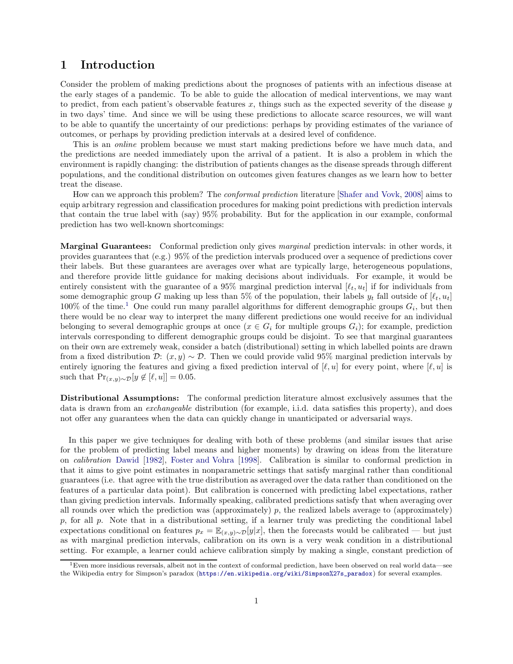# <span id="page-2-0"></span>1 Introduction

Consider the problem of making predictions about the prognoses of patients with an infectious disease at the early stages of a pandemic. To be able to guide the allocation of medical interventions, we may want to predict, from each patient's observable features  $x$ , things such as the expected severity of the disease  $y$ in two days' time. And since we will be using these predictions to allocate scarce resources, we will want to be able to quantify the uncertainty of our predictions: perhaps by providing estimates of the variance of outcomes, or perhaps by providing prediction intervals at a desired level of confidence.

This is an online problem because we must start making predictions before we have much data, and the predictions are needed immediately upon the arrival of a patient. It is also a problem in which the environment is rapidly changing: the distribution of patients changes as the disease spreads through different populations, and the conditional distribution on outcomes given features changes as we learn how to better treat the disease.

How can we approach this problem? The conformal prediction literature [\[Shafer and Vovk](#page-44-2), [2008\]](#page-44-2) aims to equip arbitrary regression and classification procedures for making point predictions with prediction intervals that contain the true label with (say) 95% probability. But for the application in our example, conformal prediction has two well-known shortcomings:

Marginal Guarantees: Conformal prediction only gives *marginal* prediction intervals: in other words, it provides guarantees that (e.g.) 95% of the prediction intervals produced over a sequence of predictions cover their labels. But these guarantees are averages over what are typically large, heterogeneous populations, and therefore provide little guidance for making decisions about individuals. For example, it would be entirely consistent with the guarantee of a 95% marginal prediction interval  $[\ell_t, u_t]$  if for individuals from some demographic group G making up less than 5% of the population, their labels  $y_t$  fall outside of  $[\ell_t, u_t]$ [1](#page-2-1)00% of the time.<sup>1</sup> One could run many parallel algorithms for different demographic groups  $G_i$ , but then there would be no clear way to interpret the many different predictions one would receive for an individual belonging to several demographic groups at once  $(x \in G_i$  for multiple groups  $G_i$ ; for example, prediction intervals corresponding to different demographic groups could be disjoint. To see that marginal guarantees on their own are extremely weak, consider a batch (distributional) setting in which labelled points are drawn from a fixed distribution  $\mathcal{D}: (x, y) \sim \mathcal{D}$ . Then we could provide valid 95% marginal prediction intervals by entirely ignoring the features and giving a fixed prediction interval of  $[\ell, u]$  for every point, where  $[\ell, u]$  is such that  $Pr_{(x,y)\sim \mathcal{D}}[y \notin [\ell, u]] = 0.05$ .

Distributional Assumptions: The conformal prediction literature almost exclusively assumes that the data is drawn from an exchangeable distribution (for example, i.i.d. data satisfies this property), and does not offer any guarantees when the data can quickly change in unanticipated or adversarial ways.

In this paper we give techniques for dealing with both of these problems (and similar issues that arise for the problem of predicting label means and higher moments) by drawing on ideas from the literature on calibration [Dawid](#page-42-0) [\[1982\]](#page-42-0), [Foster and Vohra](#page-42-1) [\[1998](#page-42-1)]. Calibration is similar to conformal prediction in that it aims to give point estimates in nonparametric settings that satisfy marginal rather than conditional guarantees (i.e. that agree with the true distribution as averaged over the data rather than conditioned on the features of a particular data point). But calibration is concerned with predicting label expectations, rather than giving prediction intervals. Informally speaking, calibrated predictions satisfy that when averaging over all rounds over which the prediction was (approximately) p, the realized labels average to (approximately)  $p$ , for all  $p$ . Note that in a distributional setting, if a learner truly was predicting the conditional label expectations conditional on features  $p_x = \mathbb{E}_{(x,y)\sim\mathcal{D}}[y|x]$ , then the forecasts would be calibrated — but just as with marginal prediction intervals, calibration on its own is a very weak condition in a distributional setting. For example, a learner could achieve calibration simply by making a single, constant prediction of

<span id="page-2-1"></span> $1$ Even more insidious reversals, albeit not in the context of conformal prediction, have been observed on real world data—see the Wikipedia entry for Simpson's paradox ([https://en.wikipedia.org/wiki/Simpson%27s\\_paradox](https://en.wikipedia.org/wiki/Simpson%27s_paradox)) for several examples.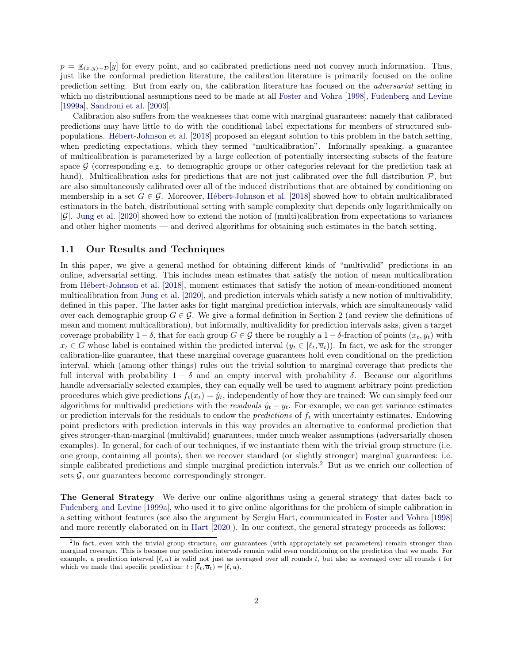$p = \mathbb{E}_{(x,y)\sim\mathcal{D}}[y]$  for every point, and so calibrated predictions need not convey much information. Thus, just like the conformal prediction literature, the calibration literature is primarily focused on the online prediction setting. But from early on, the calibration literature has focused on the adversarial setting in which no distributional assumptions need to be made at all [Foster and Vohra](#page-42-1) [\[1998\]](#page-42-1), [Fudenberg and Levine](#page-42-2) [\[1999a\]](#page-42-2), [Sandroni et al.](#page-43-2) [\[2003\]](#page-43-2).

Calibration also suffers from the weaknesses that come with marginal guarantees: namely that calibrated predictions may have little to do with the conditional label expectations for members of structured subpopulations. [H´ebert-Johnson et al.](#page-43-0) [\[2018\]](#page-43-0) proposed an elegant solution to this problem in the batch setting, when predicting expectations, which they termed "multicalibration". Informally speaking, a guarantee of multicalibration is parameterized by a large collection of potentially intersecting subsets of the feature space  $\mathcal G$  (corresponding e.g. to demographic groups or other categories relevant for the prediction task at hand). Multicalibration asks for predictions that are not just calibrated over the full distribution  $P$ , but are also simultaneously calibrated over all of the induced distributions that are obtained by conditioning on membership in a set  $G \in \mathcal{G}$ . Moreover, Hébert-Johnson et al. [\[2018\]](#page-43-0) showed how to obtain multicalibrated estimators in the batch, distributional setting with sample complexity that depends only logarithmically on  $|\mathcal{G}|$ . [Jung et al.](#page-43-1) [\[2020\]](#page-43-1) showed how to extend the notion of (multi)calibration from expectations to variances and other higher moments — and derived algorithms for obtaining such estimates in the batch setting.

### <span id="page-3-0"></span>1.1 Our Results and Techniques

In this paper, we give a general method for obtaining different kinds of "multivalid" predictions in an online, adversarial setting. This includes mean estimates that satisfy the notion of mean multicalibration from Hébert-Johnson et al. [\[2018\]](#page-43-0), moment estimates that satisfy the notion of mean-conditioned moment multicalibration from [Jung et al.](#page-43-1) [\[2020](#page-43-1)], and prediction intervals which satisfy a new notion of multivalidity, defined in this paper. The latter asks for tight marginal prediction intervals, which are simultaneously valid over each demographic group  $G \in \mathcal{G}$ . We give a formal definition in Section [2](#page-7-0) (and review the definitions of mean and moment multicalibration), but informally, multivalidity for prediction intervals asks, given a target coverage probability  $1 - \delta$ , that for each group  $G \in \mathcal{G}$  there be roughly a  $1 - \delta$ -fraction of points  $(x_t, y_t)$  with  $x_t \in G$  whose label is contained within the predicted interval  $(y_t \in [\overline{\ell}_t, \overline{u}_t))$ . In fact, we ask for the stronger calibration-like guarantee, that these marginal coverage guarantees hold even conditional on the prediction interval, which (among other things) rules out the trivial solution to marginal coverage that predicts the full interval with probability  $1 - \delta$  and an empty interval with probability  $\delta$ . Because our algorithms handle adversarially selected examples, they can equally well be used to augment arbitrary point prediction procedures which give predictions  $f_t(x_t) = \hat{y}_t$ , independently of how they are trained: We can simply feed our algorithms for multivalid predictions with the *residuals*  $\hat{y}_t - y_t$ . For example, we can get variance estimates or prediction intervals for the residuals to endow the *predictions* of  $f_t$  with uncertainty estimates. Endowing point predictors with prediction intervals in this way provides an alternative to conformal prediction that gives stronger-than-marginal (multivalid) guarantees, under much weaker assumptions (adversarially chosen examples). In general, for each of our techniques, if we instantiate them with the trivial group structure (i.e. one group, containing all points), then we recover standard (or slightly stronger) marginal guarantees: i.e. simple calibrated predictions and simple marginal prediction intervals.[2](#page-3-1) But as we enrich our collection of sets  $\mathcal{G}$ , our guarantees become correspondingly stronger.

The General Strategy We derive our online algorithms using a general strategy that dates back to [Fudenberg and Levine](#page-42-2) [\[1999a\]](#page-42-2), who used it to give online algorithms for the problem of simple calibration in a setting without features (see also the argument by Sergiu Hart, communicated in [Foster and Vohra](#page-42-1) [\[1998](#page-42-1)] and more recently elaborated on in [Hart](#page-43-3) [\[2020\]](#page-43-3)). In our context, the general strategy proceeds as follows:

<span id="page-3-1"></span><sup>&</sup>lt;sup>2</sup>In fact, even with the trivial group structure, our guarantees (with appropriately set parameters) remain stronger than marginal coverage. This is because our prediction intervals remain valid even conditioning on the prediction that we made. For example, a prediction interval  $[\ell, u)$  is valid not just as averaged over all rounds t, but also as averaged over all rounds t for which we made that specific prediction:  $t : [\overline{\ell}_t, \overline{u}_t] = [\ell, u)$ .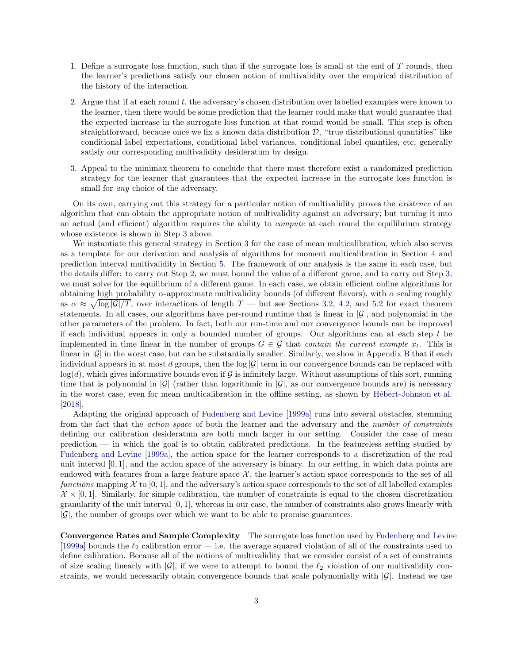- 1. Define a surrogate loss function, such that if the surrogate loss is small at the end of T rounds, then the learner's predictions satisfy our chosen notion of multivalidity over the empirical distribution of the history of the interaction.
- <span id="page-4-1"></span>2. Argue that if at each round t, the adversary's chosen distribution over labelled examples were known to the learner, then there would be some prediction that the learner could make that would guarantee that the expected increase in the surrogate loss function at that round would be small. This step is often straightforward, because once we fix a known data distribution  $\mathcal{D}$ , "true distributional quantities" like conditional label expectations, conditional label variances, conditional label quantiles, etc, generally satisfy our corresponding multivalidity desideratum by design.
- <span id="page-4-0"></span>3. Appeal to the minimax theorem to conclude that there must therefore exist a randomized prediction strategy for the learner that guarantees that the expected increase in the surrogate loss function is small for *any* choice of the adversary.

On its own, carrying out this strategy for a particular notion of multivalidity proves the *existence* of an algorithm that can obtain the appropriate notion of multivalidity against an adversary; but turning it into an actual (and efficient) algorithm requires the ability to *compute* at each round the equilibrium strategy whose existence is shown in Step [3](#page-4-0) above.

We instantiate this general strategy in Section [3](#page-12-0) for the case of mean multicalibration, which also serves as a template for our derivation and analysis of algorithms for moment multicalibration in Section [4](#page-20-0) and prediction interval multivalidity in Section [5.](#page-32-0) The framework of our analysis is the same in each case, but the details differ: to carry out Step [2,](#page-4-1) we must bound the value of a different game, and to carry out Step [3,](#page-4-0) we must solve for the equilibrium of a different game. In each case, we obtain efficient online algorithms for obtaining high probability  $\alpha$ -approximate multivalidity bounds (of different flavors), with  $\alpha$  scaling roughly as  $\alpha \approx \sqrt{\log |G|/T}$ , over interactions of length  $T$  — but see Sections [3.2,](#page-13-0) [4.2,](#page-21-0) and [5.2](#page-32-2) for exact theorem statements. In all cases, our algorithms have per-round runtime that is linear in  $|\mathcal{G}|$ , and polynomial in the other parameters of the problem. In fact, both our run-time and our convergence bounds can be improved if each individual appears in only a bounded number of groups. Our algorithms can at each step  $t$  be implemented in time linear in the number of groups  $G \in \mathcal{G}$  that contain the current example  $x_t$ . This is linear in  $|\mathcal{G}|$  in the worst case, but can be substantially smaller. Similarly, we show in Appendix [B](#page-54-0) that if each individual appears in at most d groups, then the  $\log |\mathcal{G}|$  term in our convergence bounds can be replaced with  $log(d)$ , which gives informative bounds even if G is infinitely large. Without assumptions of this sort, running time that is polynomial in  $|\mathcal{G}|$  (rather than logarithmic in  $|\mathcal{G}|$ , as our convergence bounds are) is necessary in the worst case, even for mean multicalibration in the offline setting, as shown by Hébert-Johnson et al. [\[2018\]](#page-43-0).

Adapting the original approach of [Fudenberg and Levine](#page-42-2) [\[1999a](#page-42-2)] runs into several obstacles, stemming from the fact that the action space of both the learner and the adversary and the number of constraints defining our calibration desideratum are both much larger in our setting. Consider the case of mean prediction — in which the goal is to obtain calibrated predictions. In the featureless setting studied by [Fudenberg and Levine](#page-42-2) [\[1999a\]](#page-42-2), the action space for the learner corresponds to a discretization of the real unit interval  $[0, 1]$ , and the action space of the adversary is binary. In our setting, in which data points are endowed with features from a large feature space  $\mathcal{X}$ , the learner's action space corresponds to the set of all functions mapping  $\mathcal X$  to [0, 1], and the adversary's action space corresponds to the set of all labelled examples  $\mathcal{X} \times [0,1]$ . Similarly, for simple calibration, the number of constraints is equal to the chosen discretization granularity of the unit interval [0, 1], whereas in our case, the number of constraints also grows linearly with  $|\mathcal{G}|$ , the number of groups over which we want to be able to promise guarantees.

Convergence Rates and Sample Complexity The surrogate loss function used by [Fudenberg and Levine](#page-42-2) [\[1999a\]](#page-42-2) bounds the  $\ell_2$  calibration error — i.e. the average squared violation of all of the constraints used to define calibration. Because all of the notions of multivalidity that we consider consist of a set of constraints of size scaling linearly with  $|\mathcal{G}|$ , if we were to attempt to bound the  $\ell_2$  violation of our multivalidity constraints, we would necessarily obtain convergence bounds that scale polynomially with  $|\mathcal{G}|$ . Instead we use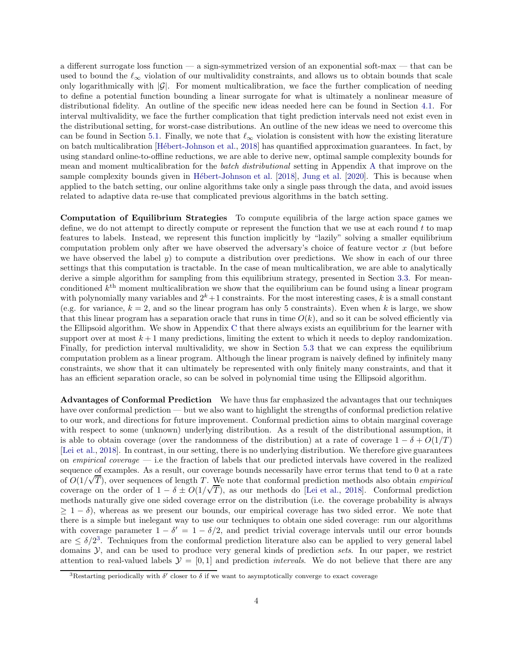a different surrogate loss function — a sign-symmetrized version of an exponential soft-max — that can be used to bound the  $\ell_{\infty}$  violation of our multivalidity constraints, and allows us to obtain bounds that scale only logarithmically with  $|\mathcal{G}|$ . For moment multicalibration, we face the further complication of needing to define a potential function bounding a linear surrogate for what is ultimately a nonlinear measure of distributional fidelity. An outline of the specific new ideas needed here can be found in Section [4.1.](#page-20-1) For interval multivalidity, we face the further complication that tight prediction intervals need not exist even in the distributional setting, for worst-case distributions. An outline of the new ideas we need to overcome this can be found in Section [5.1.](#page-32-1) Finally, we note that  $\ell_{\infty}$  violation is consistent with how the existing literature on batch multicalibration [\[H´ebert-Johnson et al.,](#page-43-0) [2018](#page-43-0)] has quantified approximation guarantees. In fact, by using standard online-to-offline reductions, we are able to derive new, optimal sample complexity bounds for mean and moment multicalibration for the *batch distributional* setting in [A](#page-44-0)ppendix A that improve on the sample complexity bounds given in Hébert-Johnson et al. [\[2018\]](#page-43-0), [Jung et al.](#page-43-1) [\[2020\]](#page-43-1). This is because when applied to the batch setting, our online algorithms take only a single pass through the data, and avoid issues related to adaptive data re-use that complicated previous algorithms in the batch setting.

Computation of Equilibrium Strategies To compute equilibria of the large action space games we define, we do not attempt to directly compute or represent the function that we use at each round  $t$  to map features to labels. Instead, we represent this function implicitly by "lazily" solving a smaller equilibrium computation problem only after we have observed the adversary's choice of feature vector  $x$  (but before we have observed the label y) to compute a distribution over predictions. We show in each of our three settings that this computation is tractable. In the case of mean multicalibration, we are able to analytically derive a simple algorithm for sampling from this equilibrium strategy, presented in Section [3.3.](#page-18-0) For meanconditioned  $k<sup>th</sup>$  moment multicalibration we show that the equilibrium can be found using a linear program with polynomially many variables and  $2^k+1$  constraints. For the most interesting cases, k is a small constant (e.g. for variance,  $k = 2$ , and so the linear program has only 5 constraints). Even when k is large, we show that this linear program has a separation oracle that runs in time  $O(k)$ , and so it can be solved efficiently via the Ellipsoid algorithm. We show in Appendix [C](#page-58-0) that there always exists an equilibrium for the learner with support over at most  $k+1$  many predictions, limiting the extent to which it needs to deploy randomization. Finally, for prediction interval multivalidity, we show in Section [5.3](#page-37-0) that we can express the equilibrium computation problem as a linear program. Although the linear program is naively defined by infinitely many constraints, we show that it can ultimately be represented with only finitely many constraints, and that it has an efficient separation oracle, so can be solved in polynomial time using the Ellipsoid algorithm.

Advantages of Conformal Prediction We have thus far emphasized the advantages that our techniques have over conformal prediction — but we also want to highlight the strengths of conformal prediction relative to our work, and directions for future improvement. Conformal prediction aims to obtain marginal coverage with respect to some (unknown) underlying distribution. As a result of the distributional assumption, it is able to obtain coverage (over the randomness of the distribution) at a rate of coverage  $1 - \delta + O(1/T)$ [\[Lei et al.,](#page-43-4) [2018\]](#page-43-4). In contrast, in our setting, there is no underlying distribution. We therefore give guarantees on empirical coverage  $-$  i.e the fraction of labels that our predicted intervals have covered in the realized sequence of examples. As a result, our coverage bounds necessarily have error terms that tend to 0 at a rate of  $O(1/\sqrt{T})$ , over sequences of length T. We note that conformal prediction methods also obtain *empirical* coverage on the order of  $1 - \delta \pm O(1/\sqrt{T})$ , as our methods do [\[Lei et al.,](#page-43-4) [2018](#page-43-4)]. Conformal prediction methods naturally give one sided coverage error on the distribution (i.e. the coverage probability is always  $\geq 1-\delta$ ), whereas as we present our bounds, our empirical coverage has two sided error. We note that there is a simple but inelegant way to use our techniques to obtain one sided coverage: run our algorithms with coverage parameter  $1 - \delta' = 1 - \delta/2$ , and predict trivial coverage intervals until our error bounds  $\text{are } \leq \delta/2^3$  $\text{are } \leq \delta/2^3$ . Techniques from the conformal prediction literature also can be applied to very general label domains  $\mathcal{Y}$ , and can be used to produce very general kinds of prediction sets. In our paper, we restrict attention to real-valued labels  $\mathcal{Y} = [0, 1]$  and prediction *intervals*. We do not believe that there are any

<span id="page-5-0"></span><sup>&</sup>lt;sup>3</sup>Restarting periodically with  $\delta'$  closer to  $\delta$  if we want to asymptotically converge to exact coverage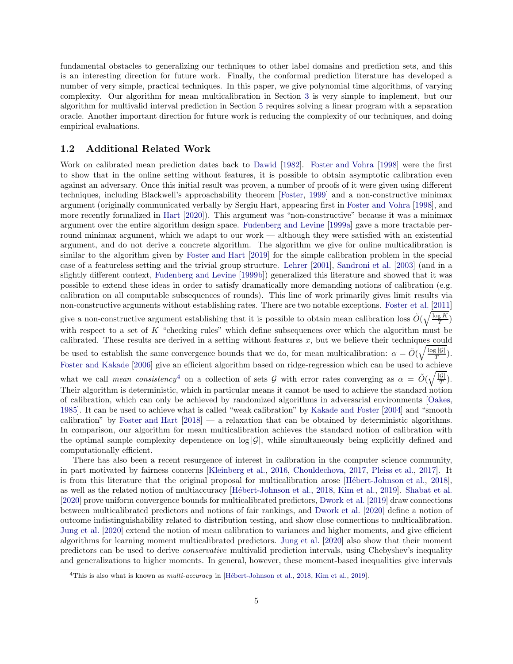fundamental obstacles to generalizing our techniques to other label domains and prediction sets, and this is an interesting direction for future work. Finally, the conformal prediction literature has developed a number of very simple, practical techniques. In this paper, we give polynomial time algorithms, of varying complexity. Our algorithm for mean multicalibration in Section [3](#page-12-0) is very simple to implement, but our algorithm for multivalid interval prediction in Section [5](#page-32-0) requires solving a linear program with a separation oracle. Another important direction for future work is reducing the complexity of our techniques, and doing empirical evaluations.

### <span id="page-6-0"></span>1.2 Additional Related Work

Work on calibrated mean prediction dates back to [Dawid](#page-42-0) [\[1982\]](#page-42-0). [Foster and Vohra](#page-42-1) [\[1998\]](#page-42-1) were the first to show that in the online setting without features, it is possible to obtain asymptotic calibration even against an adversary. Once this initial result was proven, a number of proofs of it were given using different techniques, including Blackwell's approachability theorem [\[Foster,](#page-42-3) [1999](#page-42-3)] and a non-constructive minimax argument (originally communicated verbally by Sergiu Hart, appearing first in [Foster and Vohra](#page-42-1) [\[1998\]](#page-42-1), and more recently formalized in [Hart](#page-43-3) [\[2020\]](#page-43-3)). This argument was "non-constructive" because it was a minimax argument over the entire algorithm design space. [Fudenberg and Levine](#page-42-2) [\[1999a\]](#page-42-2) gave a more tractable perround minimax argument, which we adapt to our work — although they were satisfied with an existential argument, and do not derive a concrete algorithm. The algorithm we give for online multicalibration is similar to the algorithm given by [Foster and Hart](#page-42-4) [\[2019](#page-42-4)] for the simple calibration problem in the special case of a featureless setting and the trivial group structure. [Lehrer](#page-43-5) [\[2001\]](#page-43-5), [Sandroni et al.](#page-43-2) [\[2003](#page-43-2)] (and in a slightly different context, [Fudenberg and Levine](#page-42-5) [\[1999b\]](#page-42-5)) generalized this literature and showed that it was possible to extend these ideas in order to satisfy dramatically more demanding notions of calibration (e.g. calibration on all computable subsequences of rounds). This line of work primarily gives limit results via non-constructive arguments without establishing rates. There are two notable exceptions. [Foster et al.](#page-42-6) [\[2011](#page-42-6)] give a non-constructive argument establishing that it is possible to obtain mean calibration loss  $\tilde{O}(\sqrt{\frac{\log K}{T}})$ with respect to a set of K "checking rules" which define subsequences over which the algorithm must be calibrated. These results are derived in a setting without features  $x$ , but we believe their techniques could

be used to establish the same convergence bounds that we do, for mean multicalibration:  $\alpha = \tilde{O}(\sqrt{\frac{\log |G|}{T}})$ . [Foster and Kakade](#page-42-7) [\[2006\]](#page-42-7) give an efficient algorithm based on ridge-regression which can be used to achieve

what we call mean consistency<sup>[4](#page-6-1)</sup> on a collection of sets G with error rates converging as  $\alpha = \tilde{O}(\sqrt{\frac{|G|}{T}})$ . Their algorithm is deterministic, which in particular means it cannot be used to achieve the standard notion of calibration, which can only be achieved by randomized algorithms in adversarial environments [\[Oakes](#page-43-6), [1985\]](#page-43-6). It can be used to achieve what is called "weak calibration" by [Kakade and Foster](#page-43-7) [\[2004\]](#page-43-7) and "smooth calibration" by [Foster and Hart](#page-42-8) [\[2018](#page-42-8)] — a relaxation that can be obtained by deterministic algorithms. In comparison, our algorithm for mean multicalibration achieves the standard notion of calibration with the optimal sample complexity dependence on  $\log |G|$ , while simultaneously being explicitly defined and computationally efficient.

There has also been a recent resurgence of interest in calibration in the computer science community, in part motivated by fairness concerns [\[Kleinberg et al.,](#page-43-8) [2016,](#page-43-8) [Chouldechova](#page-42-9), [2017,](#page-42-9) [Pleiss et al.,](#page-43-9) [2017\]](#page-43-9). It is from this literature that the original proposal for multicalibration arose [Hébert-Johnson et al., [2018\]](#page-43-0), as well as the related notion of multiaccuracy [\[H´ebert-Johnson et al.](#page-43-0), [2018,](#page-43-0) [Kim et al.,](#page-43-10) [2019\]](#page-43-10). [Shabat et al.](#page-43-11) [\[2020\]](#page-43-11) prove uniform convergence bounds for multicalibrated predictors, [Dwork et al.](#page-42-10) [\[2019\]](#page-42-10) draw connections between multicalibrated predictors and notions of fair rankings, and [Dwork et al.](#page-42-11) [\[2020\]](#page-42-11) define a notion of outcome indistinguishability related to distribution testing, and show close connections to multicalibration. [Jung et al.](#page-43-1) [\[2020\]](#page-43-1) extend the notion of mean calibration to variances and higher moments, and give efficient algorithms for learning moment multicalibrated predictors. [Jung et al.](#page-43-1) [\[2020\]](#page-43-1) also show that their moment predictors can be used to derive conservative multivalid prediction intervals, using Chebyshev's inequality and generalizations to higher moments. In general, however, these moment-based inequalities give intervals

<span id="page-6-1"></span><sup>&</sup>lt;sup>4</sup>This is also what is known as *multi-accuracy* in [Hébert-Johnson et al., [2018](#page-43-0), [Kim et al.](#page-43-10), [2019](#page-43-10)].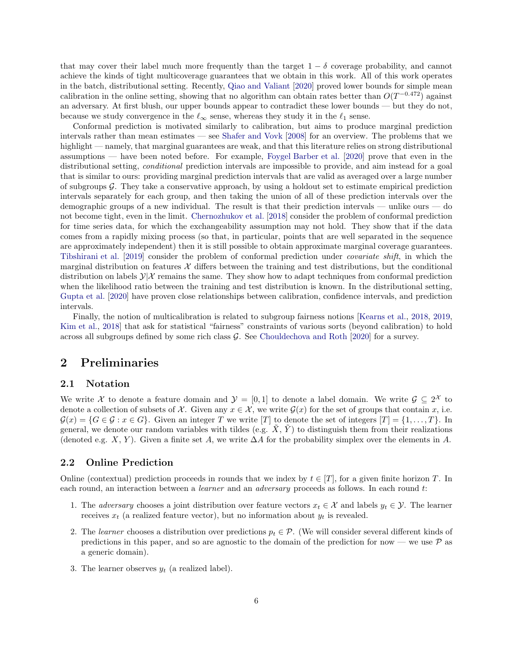that may cover their label much more frequently than the target  $1 - \delta$  coverage probability, and cannot achieve the kinds of tight multicoverage guarantees that we obtain in this work. All of this work operates in the batch, distributional setting. Recently, [Qiao and Valiant](#page-43-12) [\[2020](#page-43-12)] proved lower bounds for simple mean calibration in the online setting, showing that no algorithm can obtain rates better than  $O(T^{-0.472})$  against an adversary. At first blush, our upper bounds appear to contradict these lower bounds — but they do not, because we study convergence in the  $\ell_{\infty}$  sense, whereas they study it in the  $\ell_1$  sense.

Conformal prediction is motivated similarly to calibration, but aims to produce marginal prediction intervals rather than mean estimates — see [Shafer and Vovk](#page-44-2) [\[2008\]](#page-44-2) for an overview. The problems that we highlight — namely, that marginal guarantees are weak, and that this literature relies on strong distributional assumptions — have been noted before. For example, [Foygel Barber et al.](#page-42-12) [\[2020\]](#page-42-12) prove that even in the distributional setting, *conditional* prediction intervals are impossible to provide, and aim instead for a goal that is similar to ours: providing marginal prediction intervals that are valid as averaged over a large number of subgroups  $\mathcal G$ . They take a conservative approach, by using a holdout set to estimate empirical prediction intervals separately for each group, and then taking the union of all of these prediction intervals over the demographic groups of a new individual. The result is that their prediction intervals — unlike ours — do not become tight, even in the limit. [Chernozhukov et al.](#page-42-13) [\[2018\]](#page-42-13) consider the problem of conformal prediction for time series data, for which the exchangeability assumption may not hold. They show that if the data comes from a rapidly mixing process (so that, in particular, points that are well separated in the sequence are approximately independent) then it is still possible to obtain approximate marginal coverage guarantees. [Tibshirani et al.](#page-44-3) [\[2019\]](#page-44-3) consider the problem of conformal prediction under covariate shift, in which the marginal distribution on features  $X$  differs between the training and test distributions, but the conditional distribution on labels  $\mathcal{Y}|\mathcal{X}$  remains the same. They show how to adapt techniques from conformal prediction when the likelihood ratio between the training and test distribution is known. In the distributional setting, [Gupta et al.](#page-43-13) [\[2020](#page-43-13)] have proven close relationships between calibration, confidence intervals, and prediction intervals.

Finally, the notion of multicalibration is related to subgroup fairness notions [\[Kearns et al.,](#page-43-14) [2018](#page-43-14), [2019](#page-43-15), [Kim et al.](#page-43-16), [2018\]](#page-43-16) that ask for statistical "fairness" constraints of various sorts (beyond calibration) to hold across all subgroups defined by some rich class G. See [Chouldechova and Roth](#page-42-14) [\[2020\]](#page-42-14) for a survey.

# <span id="page-7-1"></span><span id="page-7-0"></span>2 Preliminaries

### 2.1 Notation

We write X to denote a feature domain and  $\mathcal{Y} = [0,1]$  to denote a label domain. We write  $\mathcal{G} \subseteq 2^{\mathcal{X}}$  to denote a collection of subsets of X. Given any  $x \in \mathcal{X}$ , we write  $\mathcal{G}(x)$  for the set of groups that contain x, i.e.  $\mathcal{G}(x) = \{G \in \mathcal{G} : x \in G\}.$  Given an integer T we write [T] to denote the set of integers  $[T] = \{1, \ldots, T\}.$  In general, we denote our random variables with tildes (e.g.  $\tilde{X}$ ,  $\tilde{Y}$ ) to distinguish them from their realizations (denoted e.g. X, Y). Given a finite set A, we write  $\Delta A$  for the probability simplex over the elements in A.

### <span id="page-7-2"></span>2.2 Online Prediction

Online (contextual) prediction proceeds in rounds that we index by  $t \in [T]$ , for a given finite horizon T. In each round, an interaction between a *learner* and an *adversary* proceeds as follows. In each round t:

- 1. The *adversary* chooses a joint distribution over feature vectors  $x_t \in \mathcal{X}$  and labels  $y_t \in \mathcal{Y}$ . The learner receives  $x_t$  (a realized feature vector), but no information about  $y_t$  is revealed.
- 2. The learner chooses a distribution over predictions  $p_t \in \mathcal{P}$ . (We will consider several different kinds of predictions in this paper, and so are agnostic to the domain of the prediction for now — we use  $\mathcal P$  as a generic domain).
- 3. The learner observes  $y_t$  (a realized label).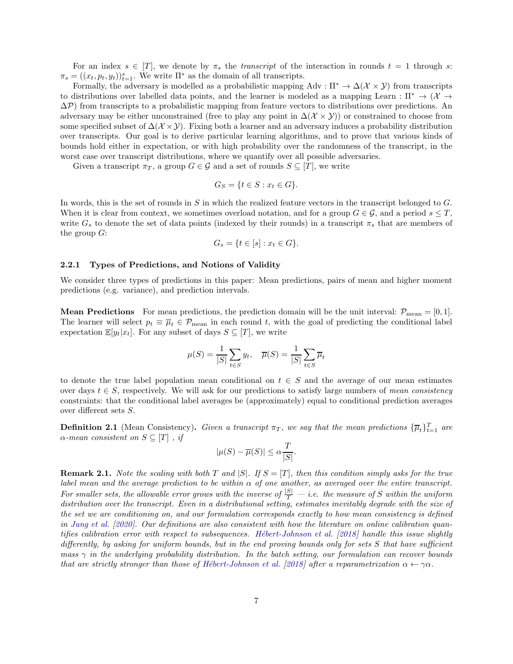For an index  $s \in [T]$ , we denote by  $\pi_s$  the transcript of the interaction in rounds  $t = 1$  through s:  $\pi_s = ((x_t, p_t, y_t))_{t=1}^s$ . We write  $\Pi^*$  as the domain of all transcripts.

Formally, the adversary is modelled as a probabilistic mapping Adv :  $\Pi^* \to \Delta(\mathcal{X} \times \mathcal{Y})$  from transcripts to distributions over labelled data points, and the learner is modeled as a mapping Learn :  $\Pi^* \to (\mathcal{X} \to$  $\Delta P$ ) from transcripts to a probabilistic mapping from feature vectors to distributions over predictions. An adversary may be either unconstrained (free to play any point in  $\Delta(\mathcal{X} \times \mathcal{Y})$ ) or constrained to choose from some specified subset of  $\Delta(\mathcal{X}\times\mathcal{Y})$ . Fixing both a learner and an adversary induces a probability distribution over transcripts. Our goal is to derive particular learning algorithms, and to prove that various kinds of bounds hold either in expectation, or with high probability over the randomness of the transcript, in the worst case over transcript distributions, where we quantify over all possible adversaries.

Given a transcript  $\pi_T$ , a group  $G \in \mathcal{G}$  and a set of rounds  $S \subseteq [T]$ , we write

$$
G_S = \{ t \in S : x_t \in G \}.
$$

In words, this is the set of rounds in S in which the realized feature vectors in the transcript belonged to G. When it is clear from context, we sometimes overload notation, and for a group  $G \in \mathcal{G}$ , and a period  $s \leq T$ , write  $G_s$  to denote the set of data points (indexed by their rounds) in a transcript  $\pi_s$  that are members of the group  $G$ :

$$
G_s = \{ t \in [s] : x_t \in G \}.
$$

#### <span id="page-8-0"></span>2.2.1 Types of Predictions, and Notions of Validity

We consider three types of predictions in this paper: Mean predictions, pairs of mean and higher moment predictions (e.g. variance), and prediction intervals.

**Mean Predictions** For mean predictions, the prediction domain will be the unit interval:  $\mathcal{P}_{\text{mean}} = [0, 1].$ The learner will select  $p_t \equiv \overline{\mu}_t \in \mathcal{P}_{\text{mean}}$  in each round t, with the goal of predicting the conditional label expectation  $\mathbb{E}[y_t|x_t]$ . For any subset of days  $S \subseteq [T]$ , we write

$$
\mu(S) = \frac{1}{|S|} \sum_{t \in S} y_t, \quad \overline{\mu}(S) = \frac{1}{|S|} \sum_{t \in S} \overline{\mu}_t
$$

to denote the true label population mean conditional on  $t \in S$  and the average of our mean estimates over days  $t \in S$ , respectively. We will ask for our predictions to satisfy large numbers of mean consistency constraints: that the conditional label averages be (approximately) equal to conditional prediction averages over different sets S.

**Definition 2.1** (Mean Consistency). Given a transcript  $\pi_T$ , we say that the mean predictions  ${\{\overline{\mu}_t\}}_{t=1}^T$  are  $\alpha$ -mean consistent on  $S \subseteq [T]$ , if

$$
|\mu(S) - \overline{\mu}(S)| \le \alpha \frac{T}{|S|}.
$$

**Remark 2.1.** Note the scaling with both T and  $|S|$ . If  $S = [T]$ , then this condition simply asks for the true label mean and the average prediction to be within  $\alpha$  of one another, as averaged over the entire transcript. For smaller sets, the allowable error grows with the inverse of  $\frac{|S|}{T} - i.e.$  the measure of S within the uniform distribution over the transcript. Even in a distributional setting, estimates inevitably degrade with the size of the set we are conditioning on, and our formulation corresponds exactly to how mean consistency is defined in [Jung et al.](#page-43-1) [\[2020](#page-43-1)]. Our definitions are also consistent with how the literature on online calibration quantifies calibration error with respect to subsequences. Hébert-Johnson et al.  $[2018]$  $[2018]$  handle this issue slightly differently, by asking for uniform bounds, but in the end proving bounds only for sets S that have sufficient mass  $\gamma$  in the underlying probability distribution. In the batch setting, our formulation can recover bounds that are strictly stronger than those of Hébert-Johnson et al. [\[2018\]](#page-43-0) after a reparametrization  $\alpha \leftarrow \gamma \alpha$ .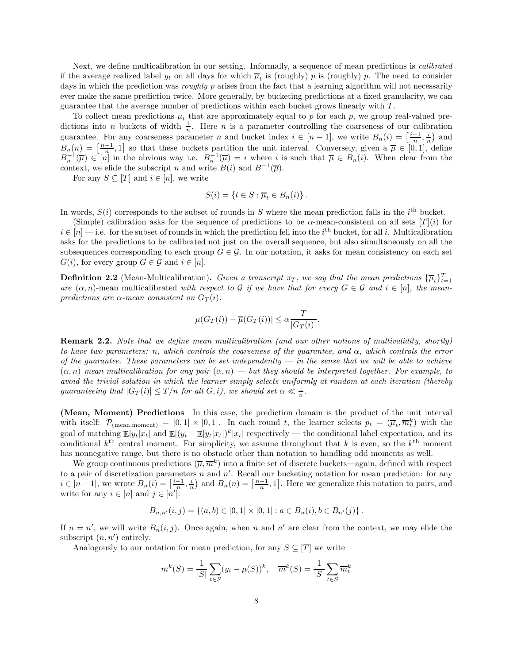Next, we define multicalibration in our setting. Informally, a sequence of mean predictions is *calibrated* if the average realized label  $y_t$  on all days for which  $\overline{\mu}_t$  is (roughly) p is (roughly) p. The need to consider days in which the prediction was *roughly* p arises from the fact that a learning algorithm will not necessarily ever make the same prediction twice. More generally, by bucketing predictions at a fixed granularity, we can guarantee that the average number of predictions within each bucket grows linearly with T .

To collect mean predictions  $\overline{\mu}_t$  that are approximately equal to p for each p, we group real-valued predictions into *n* buckets of width  $\frac{1}{n}$ . Here *n* is a parameter controlling the coarseness of our calibration guarantee. For any coarseness parameter n and bucket index  $i \in [n-1]$ , we write  $B_n(i) = \left[\frac{i-1}{n}, \frac{i}{n}\right)$  and  $B_n(n) = \left[\frac{n-1}{n}, 1\right]$  so that these buckets partition the unit interval. Conversely, given a  $\overline{\mu} \in [0, 1]$ , define  $B_n^{-1}(\overline{\mu}) \in [n]$  in the obvious way i.e.  $B_n^{-1}(\overline{\mu}) = i$  where i is such that  $\overline{\mu} \in B_n(i)$ . When clear from the context, we elide the subscript n and write  $B(i)$  and  $B^{-1}(\overline{\mu}).$ 

For any  $S \subseteq [T]$  and  $i \in [n]$ , we write

$$
S(i) = \{ t \in S : \overline{\mu}_t \in B_n(i) \} .
$$

In words,  $S(i)$  corresponds to the subset of rounds in S where the mean prediction falls in the i<sup>th</sup> bucket.

(Simple) calibration asks for the sequence of predictions to be  $\alpha$ -mean-consistent on all sets [T](i) for  $i \in [n]$  — i.e. for the subset of rounds in which the prediction fell into the  $i^{\text{th}}$  bucket, for all i. Multicalibration asks for the predictions to be calibrated not just on the overall sequence, but also simultaneously on all the subsequences corresponding to each group  $G \in \mathcal{G}$ . In our notation, it asks for mean consistency on each set  $G(i)$ , for every group  $G \in \mathcal{G}$  and  $i \in [n]$ .

<span id="page-9-0"></span>**Definition 2.2** (Mean-Multicalibration). Given a transcript  $\pi_T$ , we say that the mean predictions  ${\{\overline{\mu}_t\}}_{t=1}^T$ are  $(\alpha, n)$ -mean multicalibrated with respect to G if we have that for every  $G \in \mathcal{G}$  and  $i \in [n]$ , the meanpredictions are  $\alpha$ -mean consistent on  $G_T(i)$ :

$$
|\mu(G_T(i)) - \overline{\mu}(G_T(i))| \leq \alpha \frac{T}{|G_T(i)|}.
$$

Remark 2.2. Note that we define mean multicalibration (and our other notions of multivalidity, shortly) to have two parameters: n, which controls the coarseness of the guarantee, and  $\alpha$ , which controls the error of the guarantee. These parameters can be set independently  $-$  in the sense that we will be able to achieve  $(\alpha, n)$  mean multicalibration for any pair  $(\alpha, n)$  — but they should be interpreted together. For example, to avoid the trivial solution in which the learner simply selects uniformly at random at each iteration (thereby guaranteeing that  $|G_T(i)| \leq T/n$  for all  $G, i$ , we should set  $\alpha \ll \frac{1}{n}$ .

(Mean, Moment) Predictions In this case, the prediction domain is the product of the unit interval with itself:  $\mathcal{P}_{(mean, moment)} = [0, 1] \times [0, 1]$ . In each round t, the learner selects  $p_t = (\overline{\mu}_t, \overline{m}_t^k)$  with the goal of matching  $\mathbb{E}[y_t|x_t]$  and  $\mathbb{E}[(y_t - \mathbb{E}[y_t|x_t])^k|x_t]$  respectively — the conditional label expectation, and its conditional  $k^{\text{th}}$  central moment. For simplicity, we assume throughout that k is even, so the  $k^{\text{th}}$  moment has nonnegative range, but there is no obstacle other than notation to handling odd moments as well.

We group continuous predictions  $(\overline{\mu}, \overline{m}^k)$  into a finite set of discrete buckets—again, defined with respect to a pair of discretization parameters n and  $n'$ . Recall our bucketing notation for mean prediction: for any  $i \in [n-1]$ , we wrote  $B_n(i) = \left[\frac{i-1}{n}, \frac{i}{n}\right]$  and  $B_n(n) = \left[\frac{n-1}{n}, 1\right]$ . Here we generalize this notation to pairs, and write for any  $i \in [n]$  and  $j \in [n']$ :

$$
B_{n,n'}(i,j) = \{(a,b) \in [0,1] \times [0,1] : a \in B_n(i), b \in B_{n'}(j)\}.
$$

If  $n = n'$ , we will write  $B_n(i, j)$ . Once again, when n and n' are clear from the context, we may elide the subscript  $(n, n')$  entirely.

Analogously to our notation for mean prediction, for any  $S \subseteq [T]$  we write

$$
m^{k}(S) = \frac{1}{|S|} \sum_{t \in S} (y_t - \mu(S))^k, \quad \overline{m}^{k}(S) = \frac{1}{|S|} \sum_{t \in S} \overline{m}_t^k
$$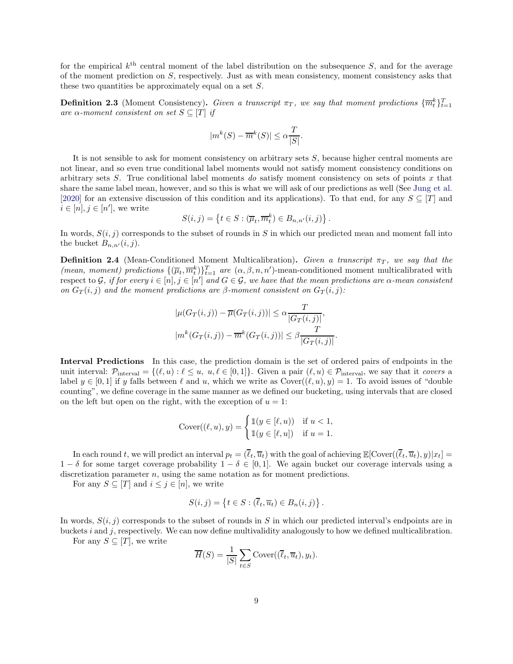for the empirical  $k^{\text{th}}$  central moment of the label distribution on the subsequence S, and for the average of the moment prediction on  $S$ , respectively. Just as with mean consistency, moment consistency asks that these two quantities be approximately equal on a set S.

**Definition 2.3** (Moment Consistency). Given a transcript  $\pi_T$ , we say that moment predictions  $\{\overline{m}_t^k\}_{t=1}^T$ are  $\alpha$ -moment consistent on set  $S \subseteq [T]$  if

$$
|m^{k}(S) - \overline{m}^{k}(S)| \leq \alpha \frac{T}{|S|}.
$$

It is not sensible to ask for moment consistency on arbitrary sets S, because higher central moments are not linear, and so even true conditional label moments would not satisfy moment consistency conditions on arbitrary sets  $S$ . True conditional label moments do satisfy moment consistency on sets of points  $x$  that share the same label mean, however, and so this is what we will ask of our predictions as well (See [Jung et al.](#page-43-1) [\[2020\]](#page-43-1) for an extensive discussion of this condition and its applications). To that end, for any  $S \subseteq [T]$  and  $i \in [n], j \in [n'],$  we write

$$
S(i,j) = \left\{ t \in S : (\overline{\mu}_t, \overline{m}_t^k) \in B_{n,n'}(i,j) \right\}
$$

.

.

In words,  $S(i, j)$  corresponds to the subset of rounds in S in which our predicted mean and moment fall into the bucket  $B_{n,n'}(i,j)$ .

<span id="page-10-0"></span>**Definition 2.4** (Mean-Conditioned Moment Multicalibration). Given a transcript  $\pi_T$ , we say that the (mean, moment) predictions  $\{(\overline{\mu}_t, \overline{m}_t^k)\}_{t=1}^T$  are  $(\alpha, \beta, n, n')$ -mean-conditioned moment multicalibrated with respect to G, if for every  $i \in [n], j \in [n']$  and  $G \in \mathcal{G}$ , we have that the mean predictions are  $\alpha$ -mean consistent on  $G_T(i, j)$  and the moment predictions are  $\beta$ -moment consistent on  $G_T(i, j)$ :

$$
|\mu(G_T(i,j)) - \overline{\mu}(G_T(i,j))| \leq \alpha \frac{T}{|G_T(i,j)|},
$$
  

$$
|m^k(G_T(i,j)) - \overline{m}^k(G_T(i,j))| \leq \beta \frac{T}{|G_T(i,j)|}
$$

Interval Predictions In this case, the prediction domain is the set of ordered pairs of endpoints in the unit interval:  $\mathcal{P}_{\text{interval}} = \{(\ell, u) : \ell \leq u, u, \ell \in [0, 1]\}.$  Given a pair  $(\ell, u) \in \mathcal{P}_{\text{interval}}$ , we say that it covers a label  $y \in [0,1]$  if y falls between  $\ell$  and u, which we write as  $Cover((\ell, u), y) = 1$ . To avoid issues of "double" counting", we define coverage in the same manner as we defined our bucketing, using intervals that are closed on the left but open on the right, with the exception of  $u = 1$ :

$$
Cover((\ell, u), y) = \begin{cases} \mathbb{1}(y \in [\ell, u)) & \text{if } u < 1, \\ \mathbb{1}(y \in [\ell, u]) & \text{if } u = 1. \end{cases}
$$

In each round t, we will predict an interval  $p_t = (\overline{\ell}_t, \overline{u}_t)$  with the goal of achieving  $\mathbb{E}[\text{Cover}((\overline{\ell}_t, \overline{u}_t), y)|x_t] =$  $1 - \delta$  for some target coverage probability  $1 - \delta \in [0, 1]$ . We again bucket our coverage intervals using a discretization parameter  $n$ , using the same notation as for moment predictions.

For any  $S \subseteq [T]$  and  $i \leq j \in [n]$ , we write

$$
S(i,j) = \left\{ t \in S : (\overline{\ell}_t, \overline{u}_t) \in B_n(i,j) \right\}.
$$

In words,  $S(i, j)$  corresponds to the subset of rounds in S in which our predicted interval's endpoints are in buckets i and j, respectively. We can now define multivalidity analogously to how we defined multicalibration.

For any  $S \subseteq [T]$ , we write

$$
\overline{H}(S) = \frac{1}{|S|} \sum_{t \in S} \text{Cover}((\overline{\ell}_t, \overline{u}_t), y_t).
$$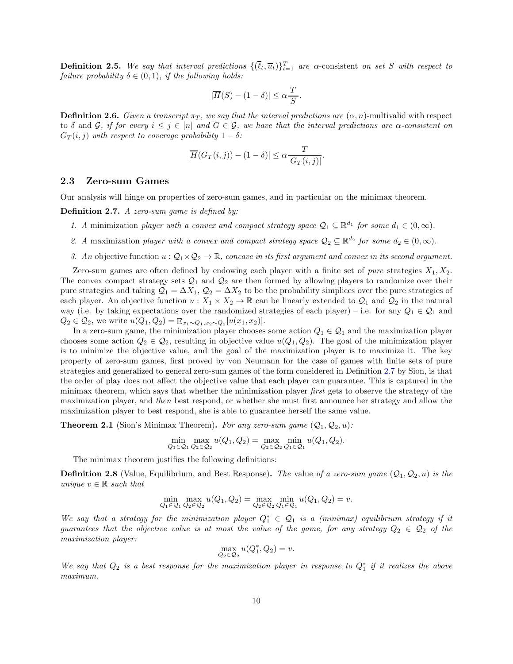**Definition 2.5.** We say that interval predictions  $\{(\overline{\ell}_t, \overline{u}_t)\}_{t=1}^T$  are  $\alpha$ -consistent on set S with respect to failure probability  $\delta \in (0,1)$ , if the following holds:

$$
|\overline{H}(S) - (1 - \delta)| \le \alpha \frac{T}{|S|}.
$$

**Definition 2.6.** Given a transcript  $\pi_T$ , we say that the interval predictions are  $(\alpha, n)$ -multivalid with respect to δ and G, if for every  $i \leq j \in [n]$  and  $G \in \mathcal{G}$ , we have that the interval predictions are  $\alpha$ -consistent on  $G_T(i, j)$  with respect to coverage probability  $1 - \delta$ :

$$
|\overline{H}(G_T(i,j)) - (1 - \delta)| \leq \alpha \frac{T}{|G_T(i,j)|}.
$$

### <span id="page-11-0"></span>2.3 Zero-sum Games

Our analysis will hinge on properties of zero-sum games, and in particular on the minimax theorem.

<span id="page-11-1"></span>Definition 2.7. A zero-sum game is defined by:

- 1. A minimization player with a convex and compact strategy space  $\mathcal{Q}_1 \subseteq \mathbb{R}^{d_1}$  for some  $d_1 \in (0, \infty)$ .
- 2. A maximization player with a convex and compact strategy space  $Q_2 \subseteq \mathbb{R}^{d_2}$  for some  $d_2 \in (0, \infty)$ .
- 3. An objective function  $u : \mathcal{Q}_1 \times \mathcal{Q}_2 \to \mathbb{R}$ , concave in its first argument and convex in its second argument.

Zero-sum games are often defined by endowing each player with a finite set of *pure* strategies  $X_1, X_2$ . The convex compact strategy sets  $\mathcal{Q}_1$  and  $\mathcal{Q}_2$  are then formed by allowing players to randomize over their pure strategies and taking  $\mathcal{Q}_1 = \Delta X_1$ ,  $\mathcal{Q}_2 = \Delta X_2$  to be the probability simplices over the pure strategies of each player. An objective function  $u : X_1 \times X_2 \to \mathbb{R}$  can be linearly extended to  $\mathcal{Q}_1$  and  $\mathcal{Q}_2$  in the natural way (i.e. by taking expectations over the randomized strategies of each player) – i.e. for any  $Q_1 \in \mathcal{Q}_1$  and  $Q_2 \in \mathcal{Q}_2$ , we write  $u(Q_1, Q_2) = \mathbb{E}_{x_1 \sim Q_1, x_2 \sim Q_2} [u(x_1, x_2)].$ 

In a zero-sum game, the minimization player chooses some action  $Q_1 \in \mathcal{Q}_1$  and the maximization player chooses some action  $Q_2 \in \mathcal{Q}_2$ , resulting in objective value  $u(Q_1, Q_2)$ . The goal of the minimization player is to minimize the objective value, and the goal of the maximization player is to maximize it. The key property of zero-sum games, first proved by von Neumann for the case of games with finite sets of pure strategies and generalized to general zero-sum games of the form considered in Definition [2.7](#page-11-1) by Sion, is that the order of play does not affect the objective value that each player can guarantee. This is captured in the minimax theorem, which says that whether the minimization player first gets to observe the strategy of the maximization player, and then best respond, or whether she must first announce her strategy and allow the maximization player to best respond, she is able to guarantee herself the same value.

<span id="page-11-2"></span>**Theorem 2.1** (Sion's Minimax Theorem). For any zero-sum game  $(Q_1, Q_2, u)$ :

$$
\min_{Q_1 \in Q_1} \max_{Q_2 \in Q_2} u(Q_1, Q_2) = \max_{Q_2 \in Q_2} \min_{Q_1 \in Q_1} u(Q_1, Q_2).
$$

The minimax theorem justifies the following definitions:

**Definition 2.8** (Value, Equilibrium, and Best Response). The value of a zero-sum game  $(Q_1, Q_2, u)$  is the unique  $v \in \mathbb{R}$  such that

$$
\min_{Q_1 \in Q_1} \max_{Q_2 \in Q_2} u(Q_1, Q_2) = \max_{Q_2 \in Q_2} \min_{Q_1 \in Q_1} u(Q_1, Q_2) = v.
$$

We say that a strategy for the minimization player  $Q_1^* \in Q_1$  is a (minimax) equilibrium strategy if it guarantees that the objective value is at most the value of the game, for any strategy  $Q_2 \in \mathcal{Q}_2$  of the maximization player:

$$
\max_{Q_2 \in \mathcal{Q}_2} u(Q_1^*, Q_2) = v.
$$

We say that  $Q_2$  is a best response for the maximization player in response to  $Q_1^*$  if it realizes the above maximum.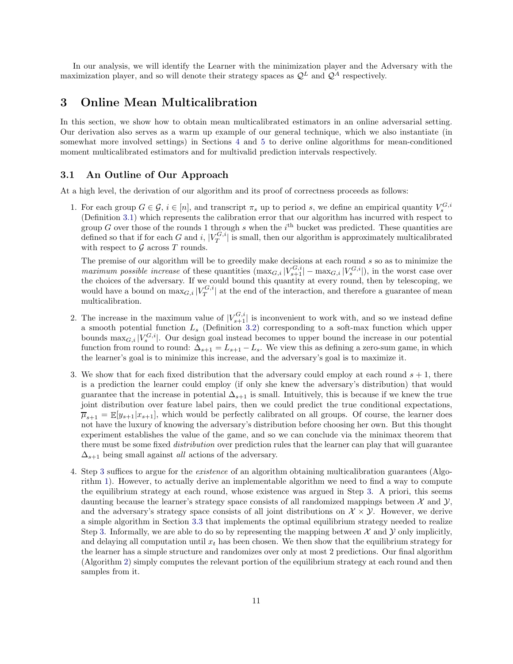In our analysis, we will identify the Learner with the minimization player and the Adversary with the maximization player, and so will denote their strategy spaces as  $\mathcal{Q}^L$  and  $\mathcal{Q}^A$  respectively.

# <span id="page-12-0"></span>3 Online Mean Multicalibration

In this section, we show how to obtain mean multicalibrated estimators in an online adversarial setting. Our derivation also serves as a warm up example of our general technique, which we also instantiate (in somewhat more involved settings) in Sections [4](#page-20-0) and [5](#page-32-0) to derive online algorithms for mean-conditioned moment multicalibrated estimators and for multivalid prediction intervals respectively.

## <span id="page-12-1"></span>3.1 An Outline of Our Approach

At a high level, the derivation of our algorithm and its proof of correctness proceeds as follows:

1. For each group  $G \in \mathcal{G}$ ,  $i \in [n]$ , and transcript  $\pi_s$  up to period s, we define an empirical quantity  $V_s^{G,i}$ (Definition [3.1\)](#page-13-1) which represents the calibration error that our algorithm has incurred with respect to group G over those of the rounds 1 through s when the  $i<sup>th</sup>$  bucket was predicted. These quantities are defined so that if for each G and i,  $|V_T^{G,i}|$  is small, then our algorithm is approximately multicalibrated with respect to  $\mathcal G$  across  $T$  rounds.

The premise of our algorithm will be to greedily make decisions at each round s so as to minimize the maximum possible increase of these quantities  $(\max_{G,i}|V_{s+1}^{G,i}| - \max_{G,i}|V_s^{G,i}|)$ , in the worst case over the choices of the adversary. If we could bound this quantity at every round, then by telescoping, we would have a bound on  $\max_{G,i} |V_T^{G,i}|$  at the end of the interaction, and therefore a guarantee of mean multicalibration.

- 2. The increase in the maximum value of  $|V_{s+1}^{G,i}|$  is inconvenient to work with, and so we instead define a smooth potential function  $L_s$  (Definition [3.2\)](#page-13-2) corresponding to a soft-max function which upper bounds  $\max_{G,i} |V_s^{G,i}|$ . Our design goal instead becomes to upper bound the increase in our potential function from round to round:  $\Delta_{s+1} = L_{s+1} - L_s$ . We view this as defining a zero-sum game, in which the learner's goal is to minimize this increase, and the adversary's goal is to maximize it.
- <span id="page-12-2"></span>3. We show that for each fixed distribution that the adversary could employ at each round  $s + 1$ , there is a prediction the learner could employ (if only she knew the adversary's distribution) that would guarantee that the increase in potential  $\Delta_{s+1}$  is small. Intuitively, this is because if we knew the true joint distribution over feature label pairs, then we could predict the true conditional expectations,  $\overline{\mu}_{s+1} = \mathbb{E}[y_{s+1}|x_{s+1}]$ , which would be perfectly calibrated on all groups. Of course, the learner does not have the luxury of knowing the adversary's distribution before choosing her own. But this thought experiment establishes the value of the game, and so we can conclude via the minimax theorem that there must be some fixed *distribution* over prediction rules that the learner can play that will guarantee  $\Delta_{s+1}$  being small against *all* actions of the adversary.
- 4. Step [3](#page-12-2) suffices to argue for the existence of an algorithm obtaining multicalibration guarantees (Algorithm [1\)](#page-16-0). However, to actually derive an implementable algorithm we need to find a way to compute the equilibrium strategy at each round, whose existence was argued in Step [3.](#page-12-2) A priori, this seems daunting because the learner's strategy space consists of all randomized mappings between  $\mathcal{X}$  and  $\mathcal{Y}$ , and the adversary's strategy space consists of all joint distributions on  $\mathcal{X} \times \mathcal{Y}$ . However, we derive a simple algorithm in Section [3.3](#page-18-0) that implements the optimal equilibrium strategy needed to realize Step [3.](#page-12-2) Informally, we are able to do so by representing the mapping between  $\mathcal X$  and  $\mathcal Y$  only implicitly, and delaying all computation until  $x_t$  has been chosen. We then show that the equilibrium strategy for the learner has a simple structure and randomizes over only at most 2 predictions. Our final algorithm (Algorithm [2\)](#page-18-1) simply computes the relevant portion of the equilibrium strategy at each round and then samples from it.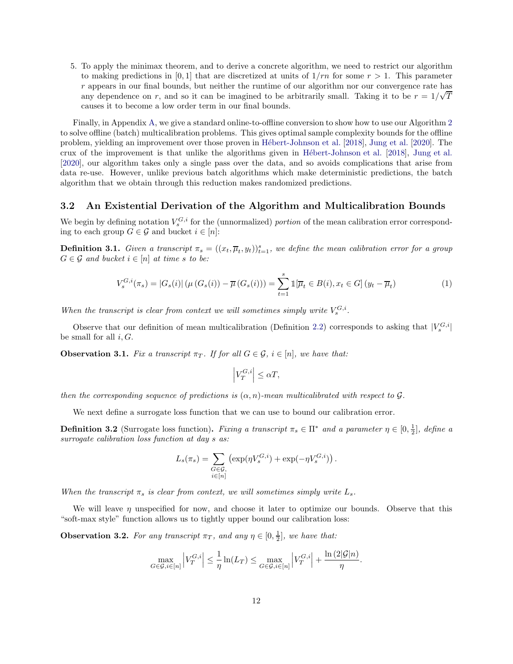5. To apply the minimax theorem, and to derive a concrete algorithm, we need to restrict our algorithm to making predictions in [0, 1] that are discretized at units of  $1/m$  for some  $r > 1$ . This parameter r appears in our final bounds, but neither the runtime of our algorithm nor our convergence rate has any dependence on r, and so it can be imagined to be arbitrarily small. Taking it to be  $r = 1/\sqrt{T}$ causes it to become a low order term in our final bounds.

Finally, in Appendix [A,](#page-44-0) we give a standard online-to-offline conversion to show how to use our Algorithm [2](#page-18-1) to solve offline (batch) multicalibration problems. This gives optimal sample complexity bounds for the offline problem, yielding an improvement over those proven in Hébert-Johnson et al. [\[2018\]](#page-43-0), [Jung et al.](#page-43-1) [\[2020](#page-43-1)]. The crux of the improvement is that unlike the algorithms given in Hébert-Johnson et al. [\[2018](#page-43-0)], [Jung et al.](#page-43-1) [\[2020\]](#page-43-1), our algorithm takes only a single pass over the data, and so avoids complications that arise from data re-use. However, unlike previous batch algorithms which make deterministic predictions, the batch algorithm that we obtain through this reduction makes randomized predictions.

#### <span id="page-13-0"></span>3.2 An Existential Derivation of the Algorithm and Multicalibration Bounds

We begin by defining notation  $V_s^{G,i}$  for the (unnormalized) portion of the mean calibration error corresponding to each group  $G \in \mathcal{G}$  and bucket  $i \in [n]$ :

<span id="page-13-1"></span>**Definition 3.1.** Given a transcript  $\pi_s = ((x_t, \overline{\mu}_t, y_t))_{t=1}^s$ , we define the mean calibration error for a group  $G \in \mathcal{G}$  and bucket  $i \in [n]$  at time s to be:

$$
V_s^{G,i}(\pi_s) = |G_s(i)| (\mu(G_s(i)) - \overline{\mu}(G_s(i))) = \sum_{t=1}^s \mathbb{1}[\overline{\mu}_t \in B(i), x_t \in G] (y_t - \overline{\mu}_t)
$$
(1)

When the transcript is clear from context we will sometimes simply write  $V_s^{G,i}$ .

Observe that our definition of mean multicalibration (Definition [2.2\)](#page-9-0) corresponds to asking that  $|V_s^{G,i}|$ be small for all  $i, G$ .

<span id="page-13-3"></span>**Observation 3.1.** Fix a transcript  $\pi_T$ . If for all  $G \in \mathcal{G}$ ,  $i \in [n]$ , we have that:

$$
\left|V_T^{G,i}\right| \leq \alpha T,
$$

then the corresponding sequence of predictions is  $(\alpha, n)$ -mean multicalibrated with respect to  $\mathcal G$ .

We next define a surrogate loss function that we can use to bound our calibration error.

<span id="page-13-2"></span>**Definition 3.2** (Surrogate loss function). Fixing a transcript  $\pi_s \in \Pi^*$  and a parameter  $\eta \in [0, \frac{1}{2}]$ , define a surrogate calibration loss function at day  $s$  as:

$$
L_s(\pi_s) = \sum_{\substack{G \in \mathcal{G}, \\ i \in [n]}} \left( \exp(\eta V_s^{G,i}) + \exp(-\eta V_s^{G,i}) \right).
$$

When the transcript  $\pi_s$  is clear from context, we will sometimes simply write  $L_s$ .

We will leave  $\eta$  unspecified for now, and choose it later to optimize our bounds. Observe that this "soft-max style" function allows us to tightly upper bound our calibration loss:

**Observation 3.2.** For any transcript  $\pi_T$ , and any  $\eta \in [0, \frac{1}{2}]$ , we have that:

$$
\max_{G \in \mathcal{G}, i \in [n]} \left| V_T^{G,i} \right| \le \frac{1}{\eta} \ln(L_T) \le \max_{G \in \mathcal{G}, i \in [n]} \left| V_T^{G,i} \right| + \frac{\ln(2|\mathcal{G}|n)}{\eta}.
$$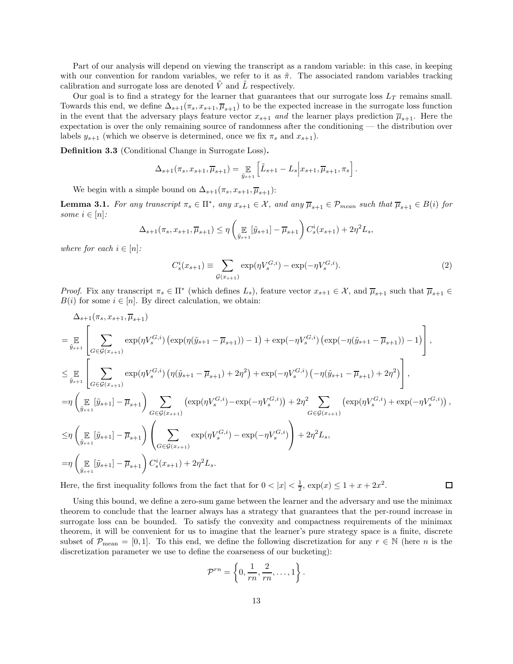Part of our analysis will depend on viewing the transcript as a random variable: in this case, in keeping with our convention for random variables, we refer to it as  $\tilde{\pi}$ . The associated random variables tracking calibration and surrogate loss are denoted  $\tilde{V}$  and  $\tilde{L}$  respectively.

Our goal is to find a strategy for the learner that guarantees that our surrogate loss  $L_T$  remains small. Towards this end, we define  $\Delta_{s+1}(\pi_s, x_{s+1}, \overline{\mu}_{s+1})$  to be the expected increase in the surrogate loss function in the event that the adversary plays feature vector  $x_{s+1}$  and the learner plays prediction  $\overline{\mu}_{s+1}$ . Here the expectation is over the only remaining source of randomness after the conditioning — the distribution over labels  $y_{s+1}$  (which we observe is determined, once we fix  $\pi_s$  and  $x_{s+1}$ ).

Definition 3.3 (Conditional Change in Surrogate Loss).

$$
\Delta_{s+1}(\pi_s, x_{s+1}, \overline{\mu}_{s+1}) = \mathop{\mathbb{E}}_{\tilde{y}_{s+1}} \left[ \tilde{L}_{s+1} - L_s \Big| x_{s+1}, \overline{\mu}_{s+1}, \pi_s \right].
$$

We begin with a simple bound on  $\Delta_{s+1}(\pi_s, x_{s+1}, \overline{\mu}_{s+1})$ :

<span id="page-14-0"></span>**Lemma 3.1.** For any transcript  $\pi_s \in \Pi^*$ , any  $x_{s+1} \in \mathcal{X}$ , and any  $\overline{\mu}_{s+1} \in \mathcal{P}_{mean}$  such that  $\overline{\mu}_{s+1} \in B(i)$  for some  $i \in [n]$ :

$$
\Delta_{s+1}(\pi_s, x_{s+1}, \overline{\mu}_{s+1}) \leq \eta\left(\mathop{\mathbb{E}}_{\tilde{y}_{s+1}}[\tilde{y}_{s+1}] - \overline{\mu}_{s+1}\right)C_s^i(x_{s+1}) + 2\eta^2L_s,
$$

where for each  $i \in [n]$ :

<span id="page-14-1"></span>
$$
C_s^i(x_{s+1}) \equiv \sum_{\mathcal{G}(x_{s+1})} \exp(\eta V_s^{G,i}) - \exp(-\eta V_s^{G,i}).
$$
 (2)

*Proof.* Fix any transcript  $\pi_s \in \Pi^*$  (which defines  $L_s$ ), feature vector  $x_{s+1} \in \mathcal{X}$ , and  $\overline{\mu}_{s+1}$  such that  $\overline{\mu}_{s+1} \in$  $B(i)$  for some  $i \in [n]$ . By direct calculation, we obtain:

$$
\Delta_{s+1}(\pi_s, x_{s+1}, \overline{\mu}_{s+1})
$$
\n
$$
= \mathop{\mathbb{E}}_{\tilde{y}_{s+1}} \left[ \sum_{G \in \mathcal{G}(x_{s+1})} \exp(\eta V_s^{G,i}) \left( \exp(\eta(\tilde{y}_{s+1} - \overline{\mu}_{s+1})) - 1 \right) + \exp(-\eta V_s^{G,i}) \left( \exp(-\eta(\tilde{y}_{s+1} - \overline{\mu}_{s+1})) - 1 \right) \right],
$$
\n
$$
\leq \mathop{\mathbb{E}}_{\tilde{y}_{s+1}} \left[ \sum_{G \in \mathcal{G}(x_{s+1})} \exp(\eta V_s^{G,i}) \left( \eta(\tilde{y}_{s+1} - \overline{\mu}_{s+1}) + 2\eta^2 \right) + \exp(-\eta V_s^{G,i}) \left( -\eta(\tilde{y}_{s+1} - \overline{\mu}_{s+1}) + 2\eta^2 \right) \right],
$$
\n
$$
= \eta \left( \mathop{\mathbb{E}}_{\tilde{y}_{s+1}} [\tilde{y}_{s+1}] - \overline{\mu}_{s+1} \right) \sum_{G \in \mathcal{G}(x_{s+1})} \left( \exp(\eta V_s^{G,i}) - \exp(-\eta V_s^{G,i}) \right) + 2\eta^2 \sum_{G \in \mathcal{G}(x_{s+1})} \left( \exp(\eta V_s^{G,i}) + \exp(-\eta V_s^{G,i}) \right),
$$
\n
$$
\leq \eta \left( \mathop{\mathbb{E}}_{\tilde{y}_{s+1}} [\tilde{y}_{s+1}] - \overline{\mu}_{s+1} \right) \left( \sum_{G \in \mathcal{G}(x_{s+1})} \exp(\eta V_s^{G,i}) - \exp(-\eta V_s^{G,i}) \right) + 2\eta^2 L_s,
$$
\n
$$
= \eta \left( \mathop{\mathbb{E}}_{\tilde{y}_{s+1}} [\tilde{y}_{s+1}] - \overline{\mu}_{s+1} \right) C_s^i(x_{s+1}) + 2\eta^2 L_s.
$$

Here, the first inequality follows from the fact that for  $0 < |x| < \frac{1}{2}$ ,  $\exp(x) \le 1 + x + 2x^2$ .  $\Box$ 

Using this bound, we define a zero-sum game between the learner and the adversary and use the minimax theorem to conclude that the learner always has a strategy that guarantees that the per-round increase in surrogate loss can be bounded. To satisfy the convexity and compactness requirements of the minimax theorem, it will be convenient for us to imagine that the learner's pure strategy space is a finite, discrete subset of  $\mathcal{P}_{\text{mean}} = [0, 1]$ . To this end, we define the following discretization for any  $r \in \mathbb{N}$  (here n is the discretization parameter we use to define the coarseness of our bucketing):

$$
\mathcal{P}^{rn} = \left\{0, \frac{1}{rn}, \frac{2}{rn}, \dots, 1\right\}.
$$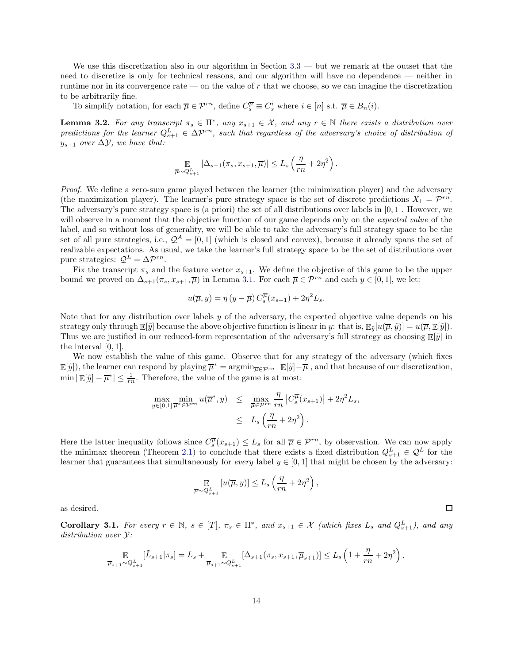We use this discretization also in our algorithm in Section  $3.3$  — but we remark at the outset that the need to discretize is only for technical reasons, and our algorithm will have no dependence — neither in runtime nor in its convergence rate — on the value of r that we choose, so we can imagine the discretization to be arbitrarily fine.

To simplify notation, for each  $\overline{\mu} \in \mathcal{P}^{rn}$ , define  $C_s^{\overline{\mu}} \equiv C_s^i$  where  $i \in [n]$  s.t.  $\overline{\mu} \in B_n(i)$ .

<span id="page-15-0"></span>**Lemma 3.2.** For any transcript  $\pi_s \in \Pi^*$ , any  $x_{s+1} \in \mathcal{X}$ , and any  $r \in \mathbb{N}$  there exists a distribution over predictions for the learner  $Q_{s+1}^L \in \Delta \mathcal{P}^{rn}$ , such that regardless of the adversary's choice of distribution of  $y_{s+1}$  over  $\Delta y$ , we have that:

$$
\mathbb{E}_{\overline{\mu}\sim Q_{s+1}^L}[\Delta_{s+1}(\pi_s, x_{s+1}, \overline{\mu})] \leq L_s \left(\frac{\eta}{rn} + 2\eta^2\right).
$$

Proof. We define a zero-sum game played between the learner (the minimization player) and the adversary (the maximization player). The learner's pure strategy space is the set of discrete predictions  $X_1 = \mathcal{P}^{rn}$ . The adversary's pure strategy space is (a priori) the set of all distributions over labels in [0, 1]. However, we will observe in a moment that the objective function of our game depends only on the expected value of the label, and so without loss of generality, we will be able to take the adversary's full strategy space to be the set of all pure strategies, i.e.,  $\mathcal{Q}^A = [0,1]$  (which is closed and convex), because it already spans the set of realizable expectations. As usual, we take the learner's full strategy space to be the set of distributions over pure strategies:  $\mathcal{Q}^L = \Delta \mathcal{P}^{rn}$ .

Fix the transcript  $\pi_s$  and the feature vector  $x_{s+1}$ . We define the objective of this game to be the upper bound we proved on  $\Delta_{s+1}(\pi_s, x_{s+1}, \overline{\mu})$  in Lemma [3.1.](#page-14-0) For each  $\overline{\mu} \in \mathcal{P}^{rn}$  and each  $y \in [0, 1]$ , we let:

$$
u(\overline{\mu}, y) = \eta (y - \overline{\mu}) C_s^{\overline{\mu}}(x_{s+1}) + 2\eta^2 L_s.
$$

Note that for any distribution over labels  $y$  of the adversary, the expected objective value depends on his strategy only through  $\mathbb{E}[\tilde{y}]$  because the above objective function is linear in y: that is,  $\mathbb{E}_{\tilde{y}}[u(\overline{\mu}, \tilde{y})] = u(\overline{\mu}, \mathbb{E}[\tilde{y}]).$ Thus we are justified in our reduced-form representation of the adversary's full strategy as choosing  $\mathbb{E}[\tilde{y}]$  in the interval [0, 1].

We now establish the value of this game. Observe that for any strategy of the adversary (which fixes  $\mathbb{E}[\tilde{y}]$ , the learner can respond by playing  $\overline{\mu}^* = \operatorname{argmin}_{\overline{\mu} \in \mathcal{P}^{rn}} |\mathbb{E}[\tilde{y}] - \overline{\mu}|$ , and that because of our discretization,  $\min |\mathbb{E}[\tilde{y}] - \overline{\mu}^*| \le \frac{1}{rn}$ . Therefore, the value of the game is at most:

$$
\max_{y \in [0,1]} \min_{\overline{\mu}^* \in \mathcal{P}^{rn}} u(\overline{\mu}^*, y) \leq \max_{\overline{\mu} \in \mathcal{P}^{rn}} \frac{\eta}{rn} |C_s^{\overline{\mu}}(x_{s+1})| + 2\eta^2 L_s,
$$
  

$$
\leq L_s \left(\frac{\eta}{rn} + 2\eta^2\right).
$$

Here the latter inequality follows since  $C_s^{\overline{\mu}}(x_{s+1}) \leq L_s$  for all  $\overline{\mu} \in \mathcal{P}^{rn}$ , by observation. We can now apply the minimax theorem (Theorem [2.1\)](#page-11-2) to conclude that there exists a fixed distribution  $Q_{s+1}^L \in \mathcal{Q}^L$  for the learner that guarantees that simultaneously for every label  $y \in [0, 1]$  that might be chosen by the adversary:

$$
\mathop{\mathbb{E}}_{\overline{\mu}\sim Q_{s+1}^{L}}\left[u(\overline{\mu},y)\right]\leq L_{s}\left(\frac{\eta}{rn}+2\eta^{2}\right),
$$

as desired.

<span id="page-15-1"></span>Corollary 3.1. For every  $r \in \mathbb{N}$ ,  $s \in [T]$ ,  $\pi_s \in \Pi^*$ , and  $x_{s+1} \in \mathcal{X}$  (which fixes  $L_s$  and  $Q_{s+1}^L$ ), and any distribution over Y:

$$
\mathop{\mathbb{E}}_{\overline{\mu}_{s+1}\sim Q^L_{s+1}}[\widetilde{L}_{s+1}|\pi_s]=L_s+\mathop{\mathbb{E}}_{\overline{\mu}_{s+1}\sim Q^L_{s+1}}[\Delta_{s+1}(\pi_s,x_{s+1},\overline{\mu}_{s+1})]\leq L_s\left(1+\frac{\eta}{rn}+2\eta^2\right).
$$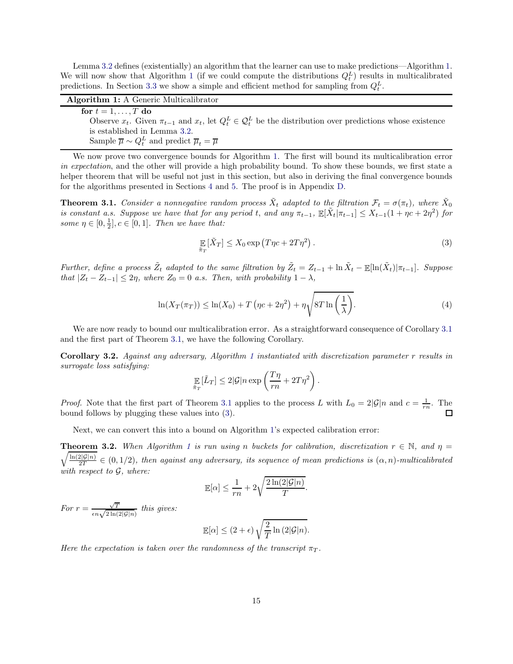Lemma [3.2](#page-15-0) defines (existentially) an algorithm that the learner can use to make predictions—Algorithm [1.](#page-16-0) We will now show that Algorithm [1](#page-16-0) (if we could compute the distributions  $Q_t^L$ ) results in multicalibrated predictions. In Section [3.3](#page-18-0) we show a simple and efficient method for sampling from  $Q_t^L$ .

| <b>Algorithm 1:</b> A Generic Multicalibrator                                                                                      |  |
|------------------------------------------------------------------------------------------------------------------------------------|--|
| for $t = 1, \ldots, T$ do                                                                                                          |  |
| Observe $x_t$ . Given $\pi_{t-1}$ and $x_t$ , let $Q_t^L \in \mathcal{Q}_t^L$ be the distribution over predictions whose existence |  |
| is established in Lemma 3.2.                                                                                                       |  |
| Sample $\overline{\mu} \sim Q_t^L$ and predict $\overline{\mu}_t = \overline{\mu}$                                                 |  |

<span id="page-16-0"></span>We now prove two convergence bounds for Algorithm [1.](#page-16-0) The first will bound its multicalibration error in expectation, and the other will provide a high probability bound. To show these bounds, we first state a helper theorem that will be useful not just in this section, but also in deriving the final convergence bounds for the algorithms presented in Sections [4](#page-20-0) and [5.](#page-32-0) The proof is in Appendix [D.](#page-59-0)

<span id="page-16-1"></span>**Theorem 3.1.** Consider a nonnegative random process  $\tilde{X}_t$  adapted to the filtration  $\mathcal{F}_t = \sigma(\pi_t)$ , where  $\tilde{X}_0$ is constant a.s. Suppose we have that for any period t, and any  $\pi_{t-1}$ ,  $\mathbb{E}[\tilde{X}_t | \pi_{t-1}] \leq X_{t-1}(1 + \eta c + 2\eta^2)$  for some  $\eta \in [0, \frac{1}{2}], c \in [0, 1].$  Then we have that:

<span id="page-16-2"></span>
$$
\mathbb{E}\left[\tilde{X}_T\right] \le X_0 \exp\left(T\eta c + 2T\eta^2\right). \tag{3}
$$

Further, define a process  $\tilde{Z}_t$  adapted to the same filtration by  $\tilde{Z}_t = Z_{t-1} + \ln \tilde{X}_t - \mathbb{E}[\ln(\tilde{X}_t)|\pi_{t-1}]$ . Suppose that  $|Z_t - Z_{t-1}| \leq 2\eta$ , where  $Z_0 = 0$  a.s. Then, with probability  $1 - \lambda$ ,

<span id="page-16-5"></span>
$$
\ln(X_T(\pi_T)) \le \ln(X_0) + T\left(\eta c + 2\eta^2\right) + \eta \sqrt{8T \ln\left(\frac{1}{\lambda}\right)}.
$$
\n(4)

We are now ready to bound our multicalibration error. As a straightforward consequence of Corollary [3.1](#page-15-1) and the first part of Theorem [3.1,](#page-16-1) we have the following Corollary.

<span id="page-16-3"></span>Corollary 3.2. Against any adversary, Algorithm [1](#page-16-0) instantiated with discretization parameter r results in surrogate loss satisfying:

$$
\mathop{\mathbb{E}}_{\tilde{\pi}_T}[\tilde{L}_T] \le 2|\mathcal{G}|n\exp\left(\frac{T\eta}{rn} + 2T\eta^2\right).
$$

*Proof.* Note that the first part of Theorem [3.1](#page-16-1) applies to the process L with  $L_0 = 2|\mathcal{G}|n$  and  $c = \frac{1}{rn}$ . The bound follows by plugging these values into [\(3\)](#page-16-2).

Next, we can convert this into a bound on Algorithm [1'](#page-16-0)s expected calibration error:

<span id="page-16-4"></span> $\sqrt{\frac{\ln(2|\mathcal{G}|n)}{2T}} \in (0,1/2)$ , then against any adversary, its sequence of mean predictions is  $(\alpha, n)$ -multicalibrated **Theorem 3.2.** When Algorithm [1](#page-16-0) is run using n buckets for calibration, discretization  $r \in \mathbb{N}$ , and  $\eta =$ with respect to  $G$ , where:

$$
\mathbb{E}[\alpha] \le \frac{1}{rn} + 2\sqrt{\frac{2\ln(2|\mathcal{G}|n)}{T}}.
$$

For  $r = \frac{\sqrt{T}}{\epsilon n \sqrt{2 \ln(2|\mathcal{G}|n)}}$  this gives:

$$
\mathbb{E}[\alpha] \le (2+\epsilon) \sqrt{\frac{2}{T} \ln (2|\mathcal{G}|n)}.
$$

Here the expectation is taken over the randomness of the transcript  $\pi_T$ .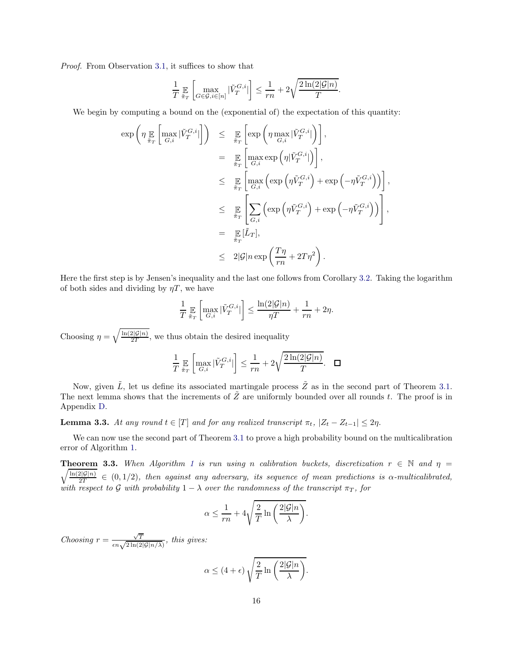Proof. From Observation [3.1,](#page-13-3) it suffices to show that

$$
\frac{1}{T}\mathop{\mathbb{E}}_{\tilde{\pi}_T}\left[\max_{G\in\mathcal{G},i\in[n]}|\tilde{V}^{G,i}_T|\right]\leq \frac{1}{rn}+2\sqrt{\frac{2\ln(2|\mathcal{G}|n)}{T}}.
$$

We begin by computing a bound on the (exponential of) the expectation of this quantity:

$$
\exp\left(\eta \max_{\tilde{\pi}_T} \left[\max_{G,i} |\tilde{V}_T^{G,i}|\right]\right) \leq \sum_{\tilde{\pi}_T} \left[\exp\left(\eta \max_{G,i} |\tilde{V}_T^{G,i}|\right)\right],
$$
  
\n
$$
= \sum_{\tilde{\pi}_T} \left[\max_{G,i} \exp\left(\eta |\tilde{V}_T^{G,i}|\right)\right],
$$
  
\n
$$
\leq \sum_{\tilde{\pi}_T} \left[\max_{G,i} \left(\exp\left(\eta \tilde{V}_T^{G,i}\right) + \exp\left(-\eta \tilde{V}_T^{G,i}\right)\right)\right],
$$
  
\n
$$
\leq \sum_{\tilde{\pi}_T} \left[\sum_{G,i} \left(\exp\left(\eta \tilde{V}_T^{G,i}\right) + \exp\left(-\eta \tilde{V}_T^{G,i}\right)\right)\right],
$$
  
\n
$$
= \sum_{\tilde{\pi}_T} [\tilde{L}_T],
$$
  
\n
$$
\leq 2|\mathcal{G}|n \exp\left(\frac{T\eta}{rn} + 2T\eta^2\right).
$$

Here the first step is by Jensen's inequality and the last one follows from Corollary [3.2.](#page-16-3) Taking the logarithm of both sides and dividing by  $\eta T$ , we have

$$
\frac{1}{T}\mathop{\mathbb{E}}_{\tilde{\pi}_T}\left[\max_{G,i}|\tilde{V}^{G,i}_T|\right] \leq \frac{\ln(2|\mathcal{G}|n)}{\eta T} + \frac{1}{rn} + 2\eta.
$$

Choosing  $\eta = \sqrt{\frac{\ln(2|\mathcal{G}|n)}{2T}}$ , we thus obtain the desired inequality

$$
\frac{1}{T}\mathop{\mathbb{E}}_{\tilde{\pi}_T}\left[\max_{G,i}|\tilde{V}^{G,i}_T|\right] \leq \frac{1}{rn} + 2\sqrt{\frac{2\ln(2|\mathcal{G}|n)}{T}}. \quad \Box
$$

Now, given  $\tilde{L}$ , let us define its associated martingale process  $\tilde{Z}$  as in the second part of Theorem [3.1.](#page-16-1) The next lemma shows that the increments of  $\tilde{Z}$  are uniformly bounded over all rounds t. The proof is in Appendix [D.](#page-59-0)

<span id="page-17-0"></span>**Lemma 3.3.** At any round  $t \in [T]$  and for any realized transcript  $\pi_t$ ,  $|Z_t - Z_{t-1}| \leq 2\eta$ .

We can now use the second part of Theorem [3.1](#page-16-1) to prove a high probability bound on the multicalibration error of Algorithm [1.](#page-16-0)

<span id="page-17-1"></span> $\sqrt{\frac{\ln(2|\mathcal{G}|n)}{2T}} \in (0, 1/2)$ , then against any adversary, its sequence of mean predictions is  $\alpha$ -multicalibrated, **Theorem 3.3.** When Algorithm [1](#page-16-0) is run using n calibration buckets, discretization  $r \in \mathbb{N}$  and  $\eta =$ with respect to G with probability  $1 - \lambda$  over the randomness of the transcript  $\pi_T$ , for

$$
\alpha \le \frac{1}{rn} + 4\sqrt{\frac{2}{T} \ln \left(\frac{2|\mathcal{G}|n}{\lambda}\right)}.
$$

Choosing  $r = \frac{\sqrt{T}}{\epsilon n \sqrt{2 \ln(2|\mathcal{G}|n/\lambda)}}$ , this gives:

$$
\alpha \le (4 + \epsilon) \sqrt{\frac{2}{T} \ln \left( \frac{2|\mathcal{G}|n}{\lambda} \right)}.
$$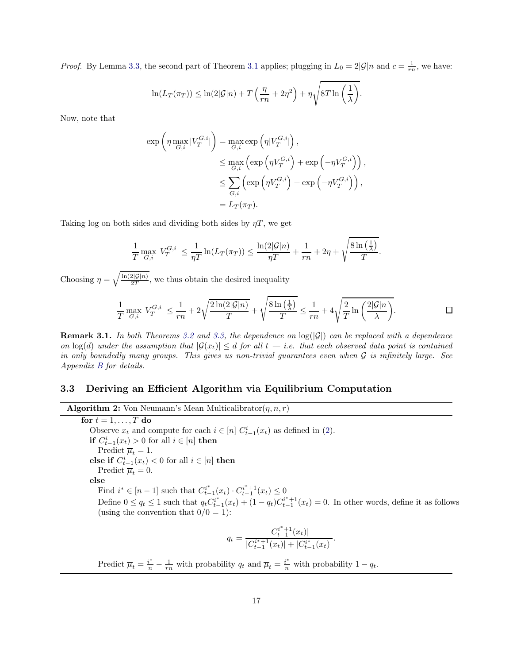*Proof.* By Lemma [3.3,](#page-17-0) the second part of Theorem [3.1](#page-16-1) applies; plugging in  $L_0 = 2|\mathcal{G}|n$  and  $c = \frac{1}{rn}$ , we have:

$$
\ln(L_T(\pi_T)) \leq \ln(2|\mathcal{G}|n) + T\left(\frac{\eta}{rn} + 2\eta^2\right) + \eta \sqrt{8T \ln\left(\frac{1}{\lambda}\right)}.
$$

Now, note that

$$
\exp\left(\eta \max_{G,i} |V_T^{G,i}| \right) = \max_{G,i} \exp\left(\eta |V_T^{G,i}| \right),
$$
  
\n
$$
\leq \max_{G,i} \left( \exp\left(\eta V_T^{G,i}\right) + \exp\left(-\eta V_T^{G,i}\right) \right),
$$
  
\n
$$
\leq \sum_{G,i} \left( \exp\left(\eta V_T^{G,i}\right) + \exp\left(-\eta V_T^{G,i}\right) \right),
$$
  
\n
$$
= L_T(\pi_T).
$$

Taking log on both sides and dividing both sides by  $\eta T$ , we get

$$
\frac{1}{T} \max_{G,i} |V_T^{G,i}| \le \frac{1}{\eta T} \ln(L_T(\pi_T)) \le \frac{\ln(2|\mathcal{G}|n)}{\eta T} + \frac{1}{rn} + 2\eta + \sqrt{\frac{8\ln(\frac{1}{\lambda})}{T}}.
$$

Choosing  $\eta = \sqrt{\frac{\ln(2|\mathcal{G}|n)}{2T}}$ , we thus obtain the desired inequality

$$
\frac{1}{T}\max_{G,i}|V_T^{G,i}|\leq \frac{1}{rn}+2\sqrt{\frac{2\ln(2|\mathcal{G}|n)}{T}}+\sqrt{\frac{8\ln\left(\frac{1}{\lambda}\right)}{T}}\leq \frac{1}{rn}+4\sqrt{\frac{2}{T}\ln\left(\frac{2|\mathcal{G}|n}{\lambda}\right)}.\hspace{1.5cm}\square
$$

**Remark 3.1.** In both Theorems [3.2](#page-16-4) and [3.3,](#page-17-1) the dependence on  $\log(|\mathcal{G}|)$  can be replaced with a dependence on  $log(d)$  under the assumption that  $|\mathcal{G}(x_t)| \leq d$  for all  $t - i.e.$  that each observed data point is contained in only boundedly many groups. This gives us non-trivial guarantees even when G is infinitely large. See Appendix [B](#page-54-0) for details.

## <span id="page-18-0"></span>3.3 Deriving an Efficient Algorithm via Equilibrium Computation

#### **Algorithm 2:** Von Neumann's Mean Multicalibrator $(\eta, n, r)$

for  $t = 1, \ldots, T$  do Observe  $x_t$  and compute for each  $i \in [n]$   $C_{t-1}^i(x_t)$  as defined in [\(2\)](#page-14-1). **if**  $C_{t-1}^i(x_t) > 0$  for all  $i \in [n]$  **then** Predict  $\overline{\mu}_t = 1$ . else if  $C_{t-1}^i(x_t) < 0$  for all  $i \in [n]$  then Predict  $\overline{\mu}_t = 0$ . else Find  $i^* \in [n-1]$  such that  $C_{t-}^{i^*}$  $t_{t-1}^{i^*}(x_t) \cdot C_{t-1}^{i^*+1}$  $t_{t-1}^{t+1}(x_t) \leq 0$ Define  $0 \le q_t \le 1$  such that  $q_t C_{t-}^{i^*}$  $\frac{i^*}{t-1}(x_t) + (1-q_t)C_{t-1}^{i^*+1}$  $t_{t-1}^{t+1}(x_t) = 0$ . In other words, define it as follows (using the convention that  $0/0 = 1$ ):  $q_t = \frac{|C_{t-1}^{i^*+1}|}{|C_{t-1}^{i^*+1}|}$  $\frac{t^{n+1}(x_t)}{t-1}$  $|C_{t-1}^{i^{*}+1}$  $\frac{t^{i+1}+1}(x_t)+|C^{i^*}_{t-1}(x_t)|$ 

<span id="page-18-1"></span>Predict  $\overline{\mu}_t = \frac{i^*}{n} - \frac{1}{rn}$  with probability  $q_t$  and  $\overline{\mu}_t = \frac{i^*}{n}$  with probability  $1 - q_t$ .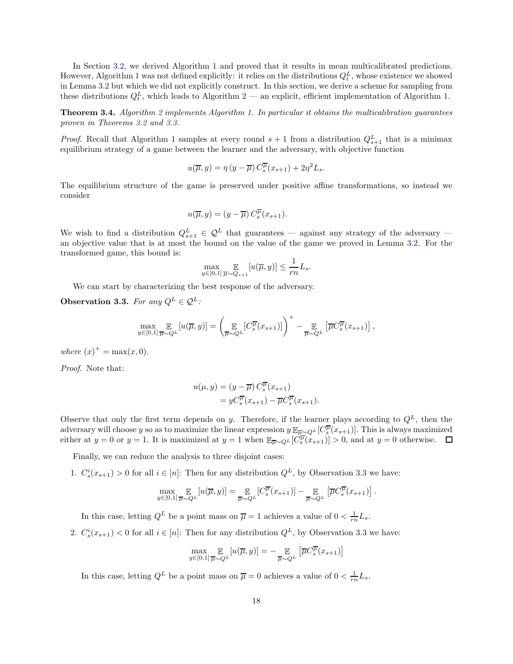In Section [3.2,](#page-13-0) we derived Algorithm [1](#page-16-0) and proved that it results in mean multicalibrated predictions. However, Algorithm [1](#page-16-0) was not defined explicitly: it relies on the distributions  $Q_t^L$ , whose existence we showed in Lemma [3.2](#page-15-0) but which we did not explicitly construct. In this section, we derive a scheme for sampling from these distributions  $Q_t^L$ , which leads to Algorithm [2](#page-18-1) — an explicit, efficient implementation of Algorithm [1.](#page-16-0)

Theorem 3.4. Algorithm [2](#page-18-1) implements Algorithm [1.](#page-16-0) In particular it obtains the multicalibration guarantees proven in Theorems [3.2](#page-16-4) and [3.3.](#page-17-1)

*Proof.* Recall that Algorithm [1](#page-16-0) samples at every round  $s + 1$  from a distribution  $Q_{s+1}^L$  that is a minimax equilibrium strategy of a game between the learner and the adversary, with objective function

$$
u(\overline{\mu}, y) = \eta (y - \overline{\mu}) C_s^{\overline{\mu}}(x_{s+1}) + 2\eta^2 L_s.
$$

The equilibrium structure of the game is preserved under positive affine transformations, so instead we consider

$$
u(\overline{\mu}, y) = (y - \overline{\mu}) C_s^{\overline{\mu}}(x_{s+1}).
$$

We wish to find a distribution  $Q_{s+1}^L \in \mathcal{Q}^L$  that guarantees — against any strategy of the adversary an objective value that is at most the bound on the value of the game we proved in Lemma [3.2.](#page-15-0) For the transformed game, this bound is:

$$
\max_{y \in [0,1]} \mathop{\mathbb{E}}_{\overline{\mu} \sim Q_{s+1}} [u(\overline{\mu}, y)] \le \frac{1}{rn} L_s.
$$

We can start by characterizing the best response of the adversary.

<span id="page-19-0"></span>Observation 3.3. For any  $Q^L \in \mathcal{Q}^L$ :

$$
\max_{y \in [0,1]} \mathop{\mathbb{E}}_{\overline{\mu} \sim Q^L} [u(\overline{\mu}, y)] = \left( \mathop{\mathbb{E}}_{\overline{\mu} \sim Q^L} [C_s^{\overline{\mu}}(x_{s+1})] \right)^+ - \mathop{\mathbb{E}}_{\overline{\mu} \sim Q^L} \left[ \overline{\mu} C_s^{\overline{\mu}}(x_{s+1}) \right],
$$

where  $(x)^{+} = \max(x, 0)$ .

Proof. Note that:

$$
u(\mu, y) = (y - \overline{\mu}) C_s^{\overline{\mu}}(x_{s+1})
$$
  
= 
$$
y C_s^{\overline{\mu}}(x_{s+1}) - \overline{\mu} C_s^{\overline{\mu}}(x_{s+1}).
$$

Observe that only the first term depends on y. Therefore, if the learner plays according to  $Q<sup>L</sup>$ , then the adversary will choose y so as to maximize the linear expression  $y \mathbb{E}_{\overline{\mu} \sim Q^L} [C_s^{\overline{\mu}}(x_{s+1})]$ . This is always maximized either at  $y = 0$  or  $y = 1$ . It is maximized at  $y = 1$  when  $\mathbb{E}_{\overline{\mu} \sim Q^L}[\overline{C_s^{\mu}}(x_{s+1})] > 0$ , and at  $y = 0$  otherwise.

Finally, we can reduce the analysis to three disjoint cases:

1.  $C_s^i(x_{s+1}) > 0$  for all  $i \in [n]$ : Then for any distribution  $Q^L$ , by Observation [3.3](#page-19-0) we have:

$$
\max_{y \in [0,1]} \mathop{\mathbb{E}}_{\overline{\mu} \sim Q^L} [u(\overline{\mu}, y)] = \mathop{\mathbb{E}}_{\overline{\mu} \sim Q^L} [C_s^{\overline{\mu}}(x_{s+1})] - \mathop{\mathbb{E}}_{\overline{\mu} \sim Q^L} [\overline{\mu} C_s^{\overline{\mu}}(x_{s+1})].
$$

In this case, letting  $Q^L$  be a point mass on  $\overline{\mu} = 1$  achieves a value of  $0 < \frac{1}{rn} L_s$ .

2.  $C_s^i(x_{s+1})$  < 0 for all  $i \in [n]$ : Then for any distribution  $Q^L$ , by Observation [3.3](#page-19-0) we have:

$$
\max_{y \in [0,1]} \mathop{\mathbb{E}}_{\overline{\mu} \sim Q^L} [u(\overline{\mu}, y)] = - \mathop{\mathbb{E}}_{\overline{\mu} \sim Q^L} \left[ \overline{\mu} C_s^{\overline{\mu}}(x_{s+1}) \right]
$$

In this case, letting  $Q^L$  be a point mass on  $\overline{\mu} = 0$  achieves a value of  $0 < \frac{1}{rn} L_s$ .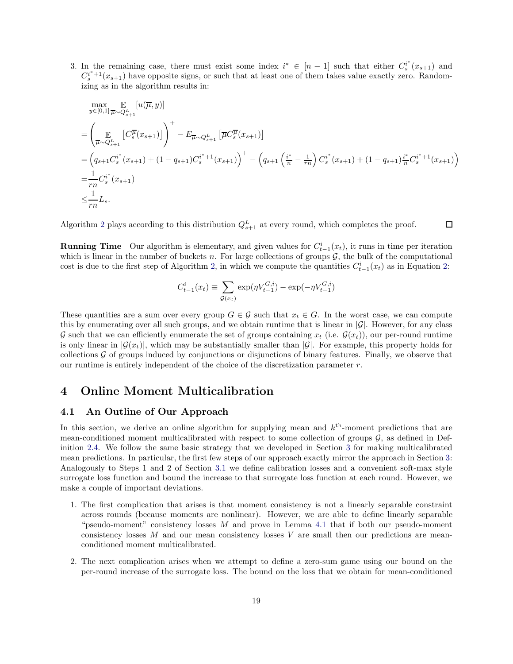3. In the remaining case, there must exist some index  $i^* \in [n-1]$  such that either  $C_s^{i^*}$  $s^{i^*}(x_{s+1})$  and  $C_s^{i^*+1}(x_{s+1})$  have opposite signs, or such that at least one of them takes value exactly zero. Randomizing as in the algorithm results in:

$$
\max_{y \in [0,1]} \mathbb{E}_{\pi \sim Q_{s+1}^{L}}[u(\overline{\mu}, y)]
$$
\n=
$$
\left(\underset{\overline{\mu} \sim Q_{s+1}^{L}}{\mathbb{E}}[C_{s}^{\overline{\mu}}(x_{s+1})]\right)^{+} - E_{\overline{\mu} \sim Q_{s+1}^{L}}[\overline{\mu}C_{s}^{\overline{\mu}}(x_{s+1})]
$$
\n=
$$
\left(q_{s+1}C_{s}^{i^{*}}(x_{s+1}) + (1 - q_{s+1})C_{s}^{i^{*}+1}(x_{s+1})\right)^{+} - \left(q_{s+1}\left(\frac{i^{*}}{n} - \frac{1}{rn}\right)C_{s}^{i^{*}}(x_{s+1}) + (1 - q_{s+1})\frac{i^{*}}{n}C_{s}^{i^{*}+1}(x_{s+1})\right)
$$
\n=
$$
\frac{1}{rn}C_{s}^{i^{*}}(x_{s+1})
$$
\n
$$
\leq \frac{1}{rn}L_{s}.
$$

 $\Box$ 

Algorithm [2](#page-18-1) plays according to this distribution  $Q_{s+1}^L$  at every round, which completes the proof.

**Running Time** Our algorithm is elementary, and given values for  $C_{t-1}^i(x_t)$ , it runs in time per iteration which is linear in the number of buckets n. For large collections of groups  $G$ , the bulk of the computational cost is due to the first step of Algorithm [2,](#page-18-1) in which we compute the quantities  $C_{t-1}^i(x_t)$  as in Equation [2:](#page-14-1)

$$
C_{t-1}^{i}(x_t) \equiv \sum_{\mathcal{G}(x_t)} \exp(\eta V_{t-1}^{G,i}) - \exp(-\eta V_{t-1}^{G,i})
$$

These quantities are a sum over every group  $G \in \mathcal{G}$  such that  $x_t \in G$ . In the worst case, we can compute this by enumerating over all such groups, and we obtain runtime that is linear in  $|\mathcal{G}|$ . However, for any class G such that we can efficiently enumerate the set of groups containing  $x_t$  (i.e.  $\mathcal{G}(x_t)$ ), our per-round runtime is only linear in  $|\mathcal{G}(x_t)|$ , which may be substantially smaller than  $|\mathcal{G}|$ . For example, this property holds for collections  $\mathcal G$  of groups induced by conjunctions or disjunctions of binary features. Finally, we observe that our runtime is entirely independent of the choice of the discretization parameter  $r$ .

# <span id="page-20-1"></span><span id="page-20-0"></span>4 Online Moment Multicalibration

### 4.1 An Outline of Our Approach

In this section, we derive an online algorithm for supplying mean and  $k^{\text{th}}$ -moment predictions that are mean-conditioned moment multicalibrated with respect to some collection of groups  $\mathcal{G}$ , as defined in Definition [2.4.](#page-10-0) We follow the same basic strategy that we developed in Section [3](#page-12-0) for making multicalibrated mean predictions. In particular, the first few steps of our approach exactly mirror the approach in Section [3:](#page-12-0) Analogously to Steps 1 and 2 of Section [3.1](#page-12-1) we define calibration losses and a convenient soft-max style surrogate loss function and bound the increase to that surrogate loss function at each round. However, we make a couple of important deviations.

- 1. The first complication that arises is that moment consistency is not a linearly separable constraint across rounds (because moments are nonlinear). However, we are able to define linearly separable "pseudo-moment" consistency losses  $M$  and prove in Lemma [4.1](#page-22-0) that if both our pseudo-moment consistency losses  $M$  and our mean consistency losses  $V$  are small then our predictions are meanconditioned moment multicalibrated.
- 2. The next complication arises when we attempt to define a zero-sum game using our bound on the per-round increase of the surrogate loss. The bound on the loss that we obtain for mean-conditioned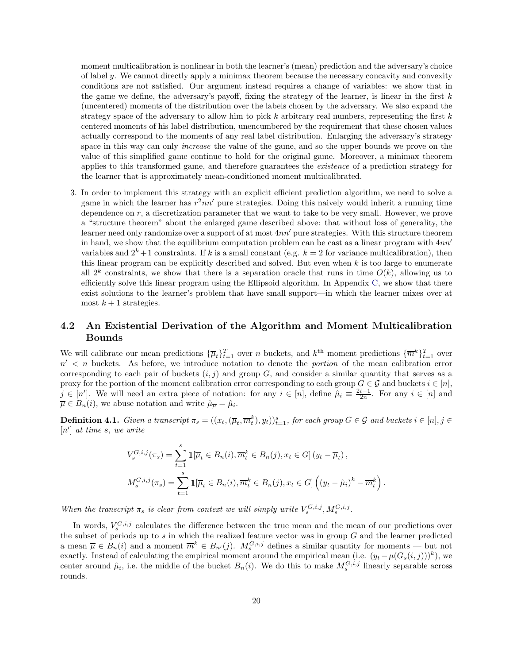moment multicalibration is nonlinear in both the learner's (mean) prediction and the adversary's choice of label y. We cannot directly apply a minimax theorem because the necessary concavity and convexity conditions are not satisfied. Our argument instead requires a change of variables: we show that in the game we define, the adversary's payoff, fixing the strategy of the learner, is linear in the first  $k$ (uncentered) moments of the distribution over the labels chosen by the adversary. We also expand the strategy space of the adversary to allow him to pick k arbitrary real numbers, representing the first  $k$ centered moments of his label distribution, unencumbered by the requirement that these chosen values actually correspond to the moments of any real label distribution. Enlarging the adversary's strategy space in this way can only *increase* the value of the game, and so the upper bounds we prove on the value of this simplified game continue to hold for the original game. Moreover, a minimax theorem applies to this transformed game, and therefore guarantees the existence of a prediction strategy for the learner that is approximately mean-conditioned moment multicalibrated.

3. In order to implement this strategy with an explicit efficient prediction algorithm, we need to solve a game in which the learner has  $r^2nn'$  pure strategies. Doing this naively would inherit a running time dependence on r, a discretization parameter that we want to take to be very small. However, we prove a "structure theorem" about the enlarged game described above: that without loss of generality, the learner need only randomize over a support of at most 4nn′ pure strategies. With this structure theorem in hand, we show that the equilibrium computation problem can be cast as a linear program with 4nn′ variables and  $2^k + 1$  constraints. If k is a small constant (e.g.  $k = 2$  for variance multicalibration), then this linear program can be explicitly described and solved. But even when  $k$  is too large to enumerate all  $2^k$  constraints, we show that there is a separation oracle that runs in time  $O(k)$ , allowing us to efficiently solve this linear program using the Ellipsoid algorithm. In Appendix [C,](#page-58-0) we show that there exist solutions to the learner's problem that have small support—in which the learner mixes over at most  $k+1$  strategies.

# <span id="page-21-0"></span>4.2 An Existential Derivation of the Algorithm and Moment Multicalibration Bounds

We will calibrate our mean predictions  $\{\overline{\mu}_t\}_{t=1}^T$  over n buckets, and  $k^{\text{th}}$  moment predictions  $\{\overline{m}^k\}_{t=1}^T$  over  $n'$   $\lt$  n buckets. As before, we introduce notation to denote the *portion* of the mean calibration error corresponding to each pair of buckets  $(i, j)$  and group G, and consider a similar quantity that serves as a proxy for the portion of the moment calibration error corresponding to each group  $G \in \mathcal{G}$  and buckets  $i \in [n]$ ,  $j \in [n']$ . We will need an extra piece of notation: for any  $i \in [n]$ , define  $\hat{\mu}_i \equiv \frac{2i-1}{2n}$ . For any  $i \in [n]$  and  $\overline{\mu} \in B_n(i)$ , we abuse notation and write  $\hat{\mu} = \hat{\mu}_i$ .

<span id="page-21-1"></span>**Definition 4.1.** Given a transcript  $\pi_s = ((x_t, (\overline{\mu}_t, \overline{m}_t^k), y_t))_{t=1}^s$ , for each group  $G \in \mathcal{G}$  and buckets  $i \in [n], j \in \mathcal{G}$  $[n']$  at time s, we write

$$
V_s^{G,i,j}(\pi_s) = \sum_{t=1}^s \mathbb{1}[\overline{\mu}_t \in B_n(i), \overline{m}_t^k \in B_n(j), x_t \in G] \left( y_t - \overline{\mu}_t \right),
$$
  

$$
M_s^{G,i,j}(\pi_s) = \sum_{t=1}^s \mathbb{1}[\overline{\mu}_t \in B_n(i), \overline{m}_t^k \in B_n(j), x_t \in G] \left( (y_t - \hat{\mu}_i)^k - \overline{m}_t^k \right).
$$

When the transcript  $\pi_s$  is clear from context we will simply write  $V_s^{G,i,j}, M_s^{G,i,j}$ .

In words,  $V_s^{G,i,j}$  calculates the difference between the true mean and the mean of our predictions over the subset of periods up to  $s$  in which the realized feature vector was in group  $G$  and the learner predicted a mean  $\overline{\mu} \in B_n(i)$  and a moment  $\overline{m}^k \in B_{n'}(j)$ .  $M_s^{G,i,j}$  defines a similar quantity for moments — but not exactly. Instead of calculating the empirical moment around the empirical mean (i.e.  $(y_t - \mu(G_s(i, j)))^k$ ), we center around  $\hat{\mu}_i$ , i.e. the middle of the bucket  $B_n(i)$ . We do this to make  $M_s^{G,i,j}$  linearly separable across rounds.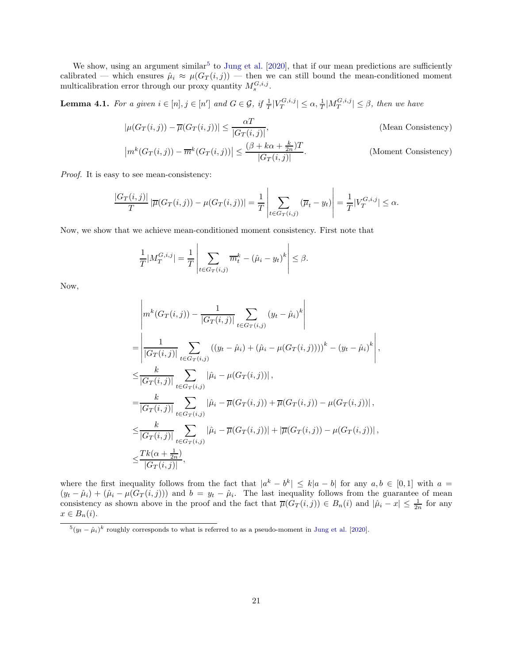We show, using an argument similar<sup>[5](#page-22-1)</sup> to [Jung et al.](#page-43-1) [\[2020](#page-43-1)], that if our mean predictions are sufficiently calibrated — which ensures  $\hat{\mu}_i \approx \mu(G_T(i,j))$  — then we can still bound the mean-conditioned moment multicalibration error through our proxy quantity  $M_s^{G,i,j}$ .

<span id="page-22-0"></span>**Lemma 4.1.** For a given  $i \in [n], j \in [n']$  and  $G \in \mathcal{G}$ , if  $\frac{1}{T} |V_T^{G,i,j}| \leq \alpha$ ,  $\frac{1}{T} |M_T^{G,i,j}| \leq \beta$ , then we have

$$
|\mu(G_T(i,j)) - \overline{\mu}(G_T(i,j))| \le \frac{\alpha T}{|G_T(i,j)|},
$$
 (Mean Consistency)  

$$
|m^k(G_T(i,j)) - \overline{m}^k(G_T(i,j))| \le \frac{(\beta + k\alpha + \frac{k}{2n})T}{|G_T(i,j)|}.
$$
 (Moment Consistency)

Proof. It is easy to see mean-consistency:

$$
\frac{|G_T(i,j)|}{T} |\overline{\mu}(G_T(i,j)) - \mu(G_T(i,j))| = \frac{1}{T} \left| \sum_{t \in G_T(i,j)} (\overline{\mu}_t - y_t) \right| = \frac{1}{T} |V_T^{G,i,j}| \le \alpha.
$$

Now, we show that we achieve mean-conditioned moment consistency. First note that

$$
\frac{1}{T} |M_T^{G,i,j}| = \frac{1}{T} \left| \sum_{t \in G_T(i,j)} \overline{m}_t^k - (\hat{\mu}_i - y_t)^k \right| \le \beta.
$$

Now,

$$
\begin{split}\n&\left| m^{k}(G_{T}(i,j)) - \frac{1}{|G_{T}(i,j)|} \sum_{t \in G_{T}(i,j)} (y_{t} - \hat{\mu}_{i})^{k} \right| \\
&= \left| \frac{1}{|G_{T}(i,j)|} \sum_{t \in G_{T}(i,j)} ((y_{t} - \hat{\mu}_{i}) + (\hat{\mu}_{i} - \mu(G_{T}(i,j))))^{k} - (y_{t} - \hat{\mu}_{i})^{k} \right|, \\
&\leq \frac{k}{|G_{T}(i,j)|} \sum_{t \in G_{T}(i,j)} |\hat{\mu}_{i} - \mu(G_{T}(i,j))|, \\
&= \frac{k}{|G_{T}(i,j)|} \sum_{t \in G_{T}(i,j)} |\hat{\mu}_{i} - \overline{\mu}(G_{T}(i,j)) + \overline{\mu}(G_{T}(i,j)) - \mu(G_{T}(i,j))|, \\
&\leq \frac{k}{|G_{T}(i,j)|} \sum_{t \in G_{T}(i,j)} |\hat{\mu}_{i} - \overline{\mu}(G_{T}(i,j))| + |\overline{\mu}(G_{T}(i,j)) - \mu(G_{T}(i,j))|, \\
&\leq \frac{Tk(\alpha + \frac{1}{2n})}{|G_{T}(i,j)|},\n\end{split}
$$

where the first inequality follows from the fact that  $|a^k - b^k| \le k|a - b|$  for any  $a, b \in [0, 1]$  with  $a =$  $(y_t - \hat{\mu}_i) + (\hat{\mu}_i - \mu(G_T(i,j)))$  and  $b = y_t - \hat{\mu}_i$ . The last inequality follows from the guarantee of mean consistency as shown above in the proof and the fact that  $\overline{\mu}(G_T(i,j)) \in B_n(i)$  and  $|\hat{\mu}_i - x| \leq \frac{1}{2n}$  for any  $x \in B_n(i)$ .

<span id="page-22-1"></span> $^{5}(y_t - \hat{\mu}_i)^k$  roughly corresponds to what is referred to as a pseudo-moment in [Jung et al.](#page-43-1) [\[2020](#page-43-1)].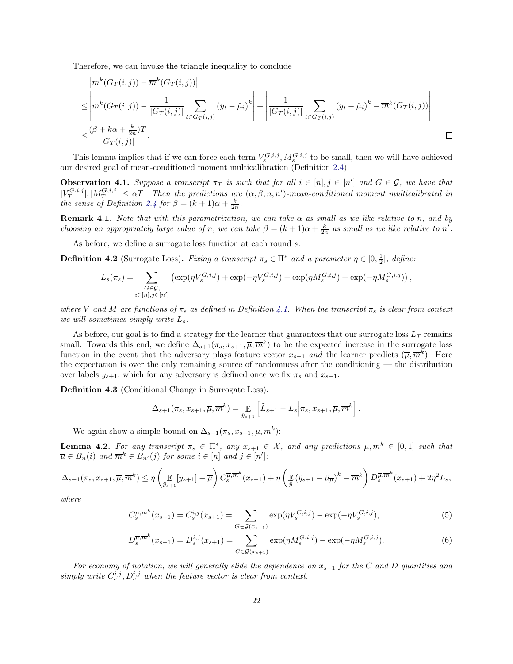Therefore, we can invoke the triangle inequality to conclude

$$
|m^{k}(G_{T}(i,j)) - \overline{m}^{k}(G_{T}(i,j))|
$$
  
\n
$$
\leq |m^{k}(G_{T}(i,j)) - \frac{1}{|G_{T}(i,j)|} \sum_{t \in G_{T}(i,j)} (y_{t} - \hat{\mu}_{i})^{k} + |\frac{1}{|G_{T}(i,j)|} \sum_{t \in G_{T}(i,j)} (y_{t} - \hat{\mu}_{i})^{k} - \overline{m}^{k}(G_{T}(i,j))|
$$
  
\n
$$
\leq \frac{(\beta + k\alpha + \frac{k}{2n})T}{|G_{T}(i,j)|}.
$$

This lemma implies that if we can force each term  $V_s^{G,i,j}$ ,  $M_s^{G,i,j}$  to be small, then we will have achieved our desired goal of mean-conditioned moment multicalibration (Definition [2.4\)](#page-10-0).

<span id="page-23-3"></span>**Observation 4.1.** Suppose a transcript  $\pi_T$  is such that for all  $i \in [n], j \in [n']$  and  $G \in \mathcal{G}$ , we have that  $|V_T^{G,i,j}|,|M_T^{G,i,j}| \leq \alpha T$ . Then the predictions are  $(\alpha, \beta, n, n')$ -mean-conditioned moment multicalibrated in the sense of Definition [2.4](#page-10-0) for  $\beta = (k+1)\alpha + \frac{k}{2n}$ .

**Remark 4.1.** Note that with this parametrization, we can take  $\alpha$  as small as we like relative to n, and by choosing an appropriately large value of n, we can take  $\beta = (k+1)\alpha + \frac{k}{2n}$  as small as we like relative to n'.

As before, we define a surrogate loss function at each round  $s$ .

**Definition 4.2** (Surrogate Loss). Fixing a transcript  $\pi_s \in \Pi^*$  and a parameter  $\eta \in [0, \frac{1}{2}]$ , define:

$$
L_s(\pi_s) = \sum_{\substack{G \in \mathcal{G}, \\ i \in [n], j \in [n']} } (\exp(\eta V_s^{G,i,j}) + \exp(-\eta V_s^{G,i,j}) + \exp(\eta M_s^{G,i,j}) + \exp(-\eta M_s^{G,i,j}))
$$

where V and M are functions of  $\pi_s$  as defined in Definition [4.1.](#page-21-1) When the transcript  $\pi_s$  is clear from context we will sometimes simply write  $L_s$ .

As before, our goal is to find a strategy for the learner that guarantees that our surrogate loss  $L_T$  remains small. Towards this end, we define  $\Delta_{s+1}(\pi_s, x_{s+1}, \overline{\mu}, \overline{m}^k)$  to be the expected increase in the surrogate loss function in the event that the adversary plays feature vector  $x_{s+1}$  and the learner predicts  $(\overline{\mu}, \overline{m}^k)$ . Here the expectation is over the only remaining source of randomness after the conditioning — the distribution over labels  $y_{s+1}$ , which for any adversary is defined once we fix  $\pi_s$  and  $x_{s+1}$ .

Definition 4.3 (Conditional Change in Surrogate Loss).

<span id="page-23-1"></span>
$$
\Delta_{s+1}(\pi_s, x_{s+1}, \overline{\mu}, \overline{m}^k) = \mathop{\mathbb{E}}_{\tilde{y}_{s+1}} \left[ \tilde{L}_{s+1} - L_s \Big| \pi_s, x_{s+1}, \overline{\mu}, \overline{m}^k \right].
$$

We again show a simple bound on  $\Delta_{s+1}(\pi_s, x_{s+1}, \overline{\mu}, \overline{m}^k)$ :

<span id="page-23-0"></span>**Lemma 4.2.** For any transcript  $\pi_s \in \Pi^*$ , any  $x_{s+1} \in \mathcal{X}$ , and any predictions  $\overline{\mu}, \overline{m}^k \in [0,1]$  such that  $\overline{\mu} \in B_n(i)$  and  $\overline{m}^k \in B_{n'}(j)$  for some  $i \in [n]$  and  $j \in [n']$ :

$$
\Delta_{s+1}(\pi_s, x_{s+1}, \overline{\mu}, \overline{m}^k) \le \eta \left( \mathop{\mathbb{E}}_{\tilde{y}_{s+1}} [\tilde{y}_{s+1}] - \overline{\mu} \right) C_s^{\overline{\mu}, \overline{m}^k}(x_{s+1}) + \eta \left( \mathop{\mathbb{E}}_{\tilde{y}} (\tilde{y}_{s+1} - \hat{\mu}_{\overline{\mu}})^k - \overline{m}^k \right) D_s^{\overline{\mu}, \overline{m}^k}(x_{s+1}) + 2\eta^2 L_s,
$$

where

$$
C_s^{\overline{\mu}, \overline{m}^k}(x_{s+1}) = C_s^{i,j}(x_{s+1}) = \sum_{G \in \mathcal{G}(x_{s+1})} \exp(\eta V_s^{G,i,j}) - \exp(-\eta V_s^{G,i,j}), \tag{5}
$$

<span id="page-23-2"></span>
$$
D_s^{\overline{\mu}, \overline{m}^k}(x_{s+1}) = D_s^{i,j}(x_{s+1}) = \sum_{G \in \mathcal{G}(x_{s+1})} \exp(\eta M_s^{G,i,j}) - \exp(-\eta M_s^{G,i,j}).
$$
\n(6)

For economy of notation, we will generally elide the dependence on  $x_{s+1}$  for the C and D quantities and simply write  $C_s^{i,j}, D_s^{i,j}$  when the feature vector is clear from context.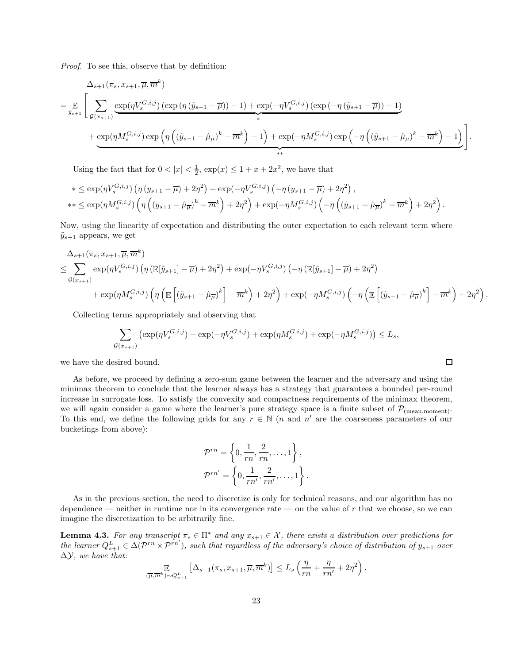Proof. To see this, observe that by definition:

$$
\Delta_{s+1}(\pi_s, x_{s+1}, \overline{\mu}, \overline{m}^k)
$$
\n
$$
= \mathbb{E} \left[ \sum_{\mathcal{G}(x_{s+1})} \underbrace{\exp(\eta V_s^{G,i,j}) \left( \exp\left(\eta \left(\tilde{y}_{s+1} - \overline{\mu}\right)\right) - 1 \right) + \exp(-\eta V_s^{G,i,j}) \left( \exp\left(-\eta \left(\tilde{y}_{s+1} - \overline{\mu}\right)\right) - 1 \right)}_{*} + \underbrace{\exp(\eta M_s^{G,i,j}) \exp\left(\eta \left(\left(\tilde{y}_{s+1} - \hat{\mu}_{\overline{\mu}}\right)^k - \overline{m}^k\right) - 1\right) + \exp(-\eta M_s^{G,i,j}) \exp\left(-\eta \left(\left(\tilde{y}_{s+1} - \hat{\mu}_{\overline{\mu}}\right)^k - \overline{m}^k\right) - 1\right) \right]}_{**}.
$$

Using the fact that for  $0 < |x| < \frac{1}{2}$ ,  $\exp(x) \leq 1 + x + 2x^2$ , we have that

$$
*\leq \exp(\eta V_s^{G,i,j}) \left( \eta \left( y_{s+1} - \overline{\mu} \right) + 2\eta^2 \right) + \exp(-\eta V_s^{G,i,j}) \left( -\eta \left( y_{s+1} - \overline{\mu} \right) + 2\eta^2 \right),
$$
  
\n
$$
**\leq \exp(\eta M_s^{G,i,j}) \left( \eta \left( \left( y_{s+1} - \hat{\mu}_{\overline{\mu}} \right)^k - \overline{m}^k \right) + 2\eta^2 \right) + \exp(-\eta M_s^{G,i,j}) \left( -\eta \left( \left( \tilde{y}_{s+1} - \hat{\mu}_{\overline{\mu}} \right)^k - \overline{m}^k \right) + 2\eta^2 \right).
$$

Now, using the linearity of expectation and distributing the outer expectation to each relevant term where  $\tilde{y}_{s+1}$  appears, we get

$$
\Delta_{s+1}(\pi_s, x_{s+1}, \overline{\mu}, \overline{m}^k)
$$
\n
$$
\leq \sum_{\mathcal{G}(x_{s+1})} \exp(\eta V_s^{G,i,j}) \left( \eta \left( \mathbb{E}[\tilde{y}_{s+1}] - \overline{\mu} \right) + 2\eta^2 \right) + \exp(-\eta V_s^{G,i,j}) \left( -\eta \left( \mathbb{E}[\tilde{y}_{s+1}] - \overline{\mu} \right) + 2\eta^2 \right)
$$
\n
$$
+ \exp(\eta M_s^{G,i,j}) \left( \eta \left( \mathbb{E} \left[ (\tilde{y}_{s+1} - \hat{\mu}_{\overline{\mu}})^k \right] - \overline{m}^k \right) + 2\eta^2 \right) + \exp(-\eta M_s^{G,i,j}) \left( -\eta \left( \mathbb{E} \left[ (\tilde{y}_{s+1} - \hat{\mu}_{\overline{\mu}})^k \right] - \overline{m}^k \right) + 2\eta^2 \right).
$$

Collecting terms appropriately and observing that

$$
\sum_{\mathcal{G}(x_{s+1})} \left( \exp(\eta V_s^{G,i,j}) + \exp(-\eta V_s^{G,i,j}) + \exp(\eta M_s^{G,i,j}) + \exp(-\eta M_s^{G,i,j}) \right) \le L_s,
$$

 $\Box$ 

we have the desired bound.

As before, we proceed by defining a zero-sum game between the learner and the adversary and using the minimax theorem to conclude that the learner always has a strategy that guarantees a bounded per-round increase in surrogate loss. To satisfy the convexity and compactness requirements of the minimax theorem, we will again consider a game where the learner's pure strategy space is a finite subset of  $P_{(mean,moment)}$ . To this end, we define the following grids for any  $r \in \mathbb{N}$  (*n* and *n'* are the coarseness parameters of our bucketings from above):

$$
\mathcal{P}^{rn} = \left\{0, \frac{1}{rn}, \frac{2}{rn}, \dots, 1\right\},\
$$

$$
\mathcal{P}^{rn'} = \left\{0, \frac{1}{rn'}, \frac{2}{rn'}, \dots, 1\right\}.
$$

As in the previous section, the need to discretize is only for technical reasons, and our algorithm has no dependence — neither in runtime nor in its convergence rate — on the value of r that we choose, so we can imagine the discretization to be arbitrarily fine.

<span id="page-24-0"></span>**Lemma 4.3.** For any transcript  $\pi_s \in \Pi^*$  and any  $x_{s+1} \in \mathcal{X}$ , there exists a distribution over predictions for the learner  $Q_{s+1}^L \in \Delta(\mathcal{P}^{rn} \times \mathcal{P}^{rn'})$ , such that regardless of the adversary's choice of distribution of  $y_{s+1}$  over  $\Delta \mathcal{Y}$ , we have that:

$$
\mathbb{E}_{(\overline{\mu},\overline{m}^k)\sim Q_{s+1}^L}\left[\Delta_{s+1}(\pi_s,x_{s+1},\overline{\mu},\overline{m}^k)\right] \leq L_s\left(\frac{\eta}{rn} + \frac{\eta}{rn'} + 2\eta^2\right).
$$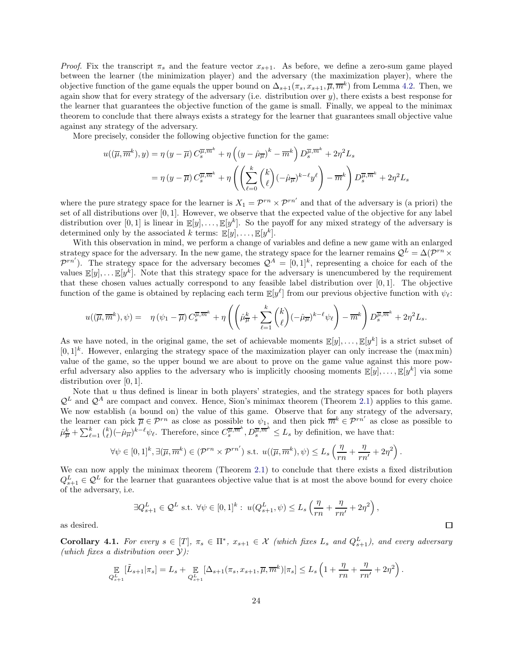*Proof.* Fix the transcript  $\pi_s$  and the feature vector  $x_{s+1}$ . As before, we define a zero-sum game played between the learner (the minimization player) and the adversary (the maximization player), where the objective function of the game equals the upper bound on  $\Delta_{s+1}(\pi_s, x_{s+1}, \overline{\mu}, \overline{m}^k)$  from Lemma [4.2.](#page-23-0) Then, we again show that for every strategy of the adversary (i.e. distribution over  $y$ ), there exists a best response for the learner that guarantees the objective function of the game is small. Finally, we appeal to the minimax theorem to conclude that there always exists a strategy for the learner that guarantees small objective value against any strategy of the adversary.

More precisely, consider the following objective function for the game:

$$
u((\overline{\mu}, \overline{m}^k), y) = \eta (y - \overline{\mu}) C_s^{\overline{\mu}, \overline{m}^k} + \eta \left( (y - \hat{\mu}_{\overline{\mu}})^k - \overline{m}^k \right) D_s^{\overline{\mu}, \overline{m}^k} + 2\eta^2 L_s
$$
  

$$
= \eta (y - \overline{\mu}) C_s^{\overline{\mu}, \overline{m}^k} + \eta \left( \left( \sum_{\ell=0}^k {k \choose \ell} (-\hat{\mu}_{\overline{\mu}})^{k-\ell} y^\ell \right) - \overline{m}^k \right) D_s^{\overline{\mu}, \overline{m}^k} + 2\eta^2 L_s
$$

where the pure strategy space for the learner is  $X_1 = \mathcal{P}^{rn} \times \mathcal{P}^{rn'}$  and that of the adversary is (a priori) the set of all distributions over  $[0, 1]$ . However, we observe that the expected value of the objective for any label distribution over [0, 1] is linear in  $\mathbb{E}[y], \ldots, \mathbb{E}[y^k]$ . So the payoff for any mixed strategy of the adversary is determined only by the associated k terms:  $\mathbb{E}[y], \dots, \mathbb{E}[y^k].$ 

With this observation in mind, we perform a change of variables and define a new game with an enlarged strategy space for the adversary. In the new game, the strategy space for the learner remains  $\mathcal{Q}^L = \Delta(\mathcal{P}^{rn} \times \mathbb{R})$  $\mathcal{P}^{rn'}$ ). The strategy space for the adversary becomes  $\mathcal{Q}^A = [0,1]^k$ , representing a choice for each of the values  $\mathbb{E}[y], \ldots \mathbb{E}[y^k]$ . Note that this strategy space for the adversary is unencumbered by the requirement that these chosen values actually correspond to any feasible label distribution over [0, 1]. The objective function of the game is obtained by replacing each term  $\mathbb{E}[y^{\ell}]$  from our previous objective function with  $\psi_{\ell}$ :

$$
u((\overline{\mu}, \overline{m}^k), \psi) = \eta(\psi_1 - \overline{\mu}) C_s^{\overline{\mu}, \overline{m}^k} + \eta \left( \left( \hat{\mu}^k_{\overline{\mu}} + \sum_{\ell=1}^k {k \choose \ell} (-\hat{\mu}_{\overline{\mu}})^{k-\ell} \psi_\ell \right) - \overline{m}^k \right) D_s^{\overline{\mu}, \overline{m}^k} + 2\eta^2 L_s.
$$

As we have noted, in the original game, the set of achievable moments  $\mathbb{E}[y], \ldots, \mathbb{E}[y^k]$  is a strict subset of  $[0,1]^k$ . However, enlarging the strategy space of the maximization player can only increase the (maxmin) value of the game, so the upper bound we are about to prove on the game value against this more powerful adversary also applies to the adversary who is implicitly choosing moments  $\mathbb{E}[y], \ldots, \mathbb{E}[y^k]$  via some distribution over [0, 1].

Note that  $u$  thus defined is linear in both players' strategies, and the strategy spaces for both players  $\mathcal{Q}^L$  and  $\mathcal{Q}^A$  are compact and convex. Hence, Sion's minimax theorem (Theorem [2.1\)](#page-11-2) applies to this game. We now establish (a bound on) the value of this game. Observe that for any strategy of the adversary, the learner can pick  $\overline{\mu} \in \mathcal{P}^{rn}$  as close as possible to  $\psi_1$ , and then pick  $\overline{m}^k \in \mathcal{P}^{rn'}$  as close as possible to  $\hat{\mu}^k_{\overline{\mu}} + \sum_{\ell=1}^k {k \choose \ell} (-\hat{\mu}_{\overline{\mu}})^{k-\ell} \psi_{\ell}$ . Therefore, since  $C_s^{\overline{\mu}, \overline{m}^k}, D_s^{\overline{\mu}, \overline{m}^k} \leq L_s$  by definition, we have that:

$$
\forall \psi \in [0,1]^k, \exists (\overline{\mu}, \overline{m}^k) \in (\mathcal{P}^{rn} \times \mathcal{P}^{rn'}) \text{ s.t. } u((\overline{\mu}, \overline{m}^k), \psi) \leq L_s \left(\frac{\eta}{rn} + \frac{\eta}{rn'} + 2\eta^2\right).
$$

We can now apply the minimax theorem (Theorem [2.1\)](#page-11-2) to conclude that there exists a fixed distribution  $Q_{s+1}^L \in \mathcal{Q}^L$  for the learner that guarantees objective value that is at most the above bound for every choice of the adversary, i.e.

$$
\exists Q_{s+1}^{L} \in \mathcal{Q}^{L} \text{ s.t. } \forall \psi \in [0,1]^{k}: \ u(Q_{s+1}^{L}, \psi) \le L_{s} \left(\frac{\eta}{rn} + \frac{\eta}{rn'} + 2\eta^{2}\right),\
$$

as desired.

<span id="page-25-0"></span>**Corollary 4.1.** For every  $s \in [T]$ ,  $\pi_s \in \Pi^*$ ,  $x_{s+1} \in \mathcal{X}$  (which fixes  $L_s$  and  $Q_{s+1}^L$ ), and every adversary (which fixes a distribution over  $\mathcal{Y}$ ):

$$
\mathbb{E}_{Q_{s+1}^L}[\tilde{L}_{s+1}|\pi_s] = L_s + \mathbb{E}_{Q_{s+1}^L}[\Delta_{s+1}(\pi_s, x_{s+1}, \overline{\mu}, \overline{m}^k)|\pi_s] \leq L_s \left(1 + \frac{\eta}{rn} + \frac{\eta}{rn'} + 2\eta^2\right).
$$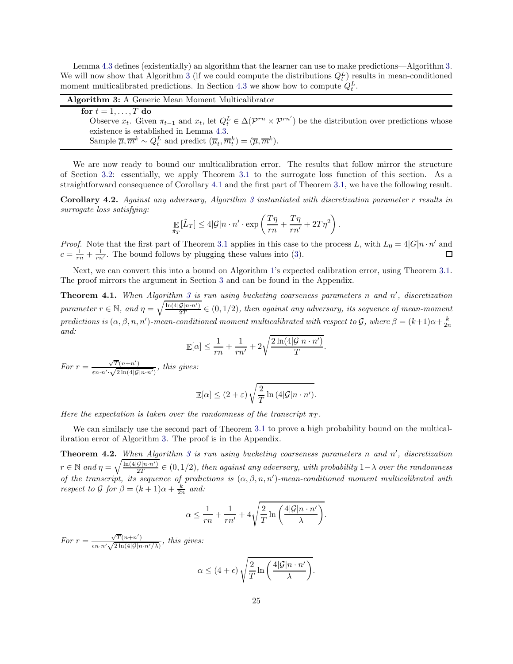Lemma [4.3](#page-24-0) defines (existentially) an algorithm that the learner can use to make predictions—Algorithm [3.](#page-26-0) We will now show that Algorithm [3](#page-26-0) (if we could compute the distributions  $Q_t^L$ ) results in mean-conditioned moment multicalibrated predictions. In Section [4.3](#page-27-0) we show how to compute  $Q_t^L$ .

| <b>Algorithm 3:</b> A Generic Mean Moment Multicalibrator                                                                                                  |
|------------------------------------------------------------------------------------------------------------------------------------------------------------|
| for $t = 1, \ldots, T$ do                                                                                                                                  |
| Observe $x_t$ . Given $\pi_{t-1}$ and $x_t$ , let $Q_t^L \in \Delta(\mathcal{P}^{rn} \times \mathcal{P}^{rn'})$ be the distribution over predictions whose |
| existence is established in Lemma 4.3.                                                                                                                     |
| Sample $\overline{\mu}, \overline{m}^k \sim Q_t^L$ and predict $(\overline{\mu}_t, \overline{m}_t^k) = (\overline{\mu}, \overline{m}^k)$ .                 |
|                                                                                                                                                            |

<span id="page-26-0"></span>We are now ready to bound our multicalibration error. The results that follow mirror the structure of Section [3.2:](#page-13-0) essentially, we apply Theorem [3.1](#page-16-1) to the surrogate loss function of this section. As a straightforward consequence of Corollary [4.1](#page-25-0) and the first part of Theorem [3.1,](#page-16-1) we have the following result.

<span id="page-26-3"></span>Corollary 4.2. Against any adversary, Algorithm [3](#page-26-0) instantiated with discretization parameter r results in surrogate loss satisfying:

$$
\mathop{\mathbb{E}}_{\tilde{\pi}_T}[\tilde{L}_T] \le 4|\mathcal{G}|n \cdot n' \cdot \exp\left(\frac{T\eta}{rn} + \frac{T\eta}{rn'} + 2T\eta^2\right).
$$

*Proof.* Note that the first part of Theorem [3.1](#page-16-1) applies in this case to the process L, with  $L_0 = 4|G|n \cdot n'$  and  $c = \frac{1}{rn} + \frac{1}{rn'}$ . The bound follows by plugging these values into [\(3\)](#page-16-2). □

Next, we can convert this into a bound on Algorithm [1'](#page-16-0)s expected calibration error, using Theorem [3.1.](#page-16-1) The proof mirrors the argument in Section [3](#page-12-0) and can be found in the Appendix.

<span id="page-26-1"></span>**Theorem 4.1.** When Algorithm [3](#page-26-0) is run using bucketing coarseness parameters n and  $n'$ , discretization parameter  $r \in \mathbb{N}$ , and  $\eta = \sqrt{\frac{\ln(4|\mathcal{G}|n \cdot n')}{2T}} \in (0, 1/2)$ , then against any adversary, its sequence of mean-moment predictions is  $(\alpha, \beta, n, n')$ -mean-conditioned moment multicalibrated with respect to  $\mathcal{G}$ , where  $\beta = (k+1)\alpha + \frac{k}{2n}$ and:

$$
\mathbb{E}[\alpha] \le \frac{1}{rn} + \frac{1}{rn'} + 2\sqrt{\frac{2\ln(4|\mathcal{G}|n \cdot n')}{T}}.
$$

For  $r = \frac{\sqrt{T}(n+n')}{\sqrt{2L(1+n)}}$  $\frac{\sqrt{1(n+n)}}{\varepsilon n \cdot n' \cdot \sqrt{2\ln(4|\mathcal{G}|n \cdot n')}}$ , this gives:

$$
\mathbb{E}[\alpha] \le (2+\varepsilon) \sqrt{\frac{2}{T} \ln (4|\mathcal{G}|n \cdot n')}.
$$

Here the expectation is taken over the randomness of the transcript  $\pi_T$ .

We can similarly use the second part of Theorem [3.1](#page-16-1) to prove a high probability bound on the multicalibration error of Algorithm [3.](#page-26-0) The proof is in the Appendix.

<span id="page-26-2"></span>**Theorem 4.2.** When Algorithm [3](#page-26-0) is run using bucketing coarseness parameters n and  $n'$ , discretization  $r \in \mathbb{N}$  and  $\eta = \sqrt{\frac{\ln(4|\mathcal{G}|n \cdot n')}{2T}} \in (0, 1/2)$ , then against any adversary, with probability  $1-\lambda$  over the randomness of the transcript, its sequence of predictions is  $(\alpha, \beta, n, n')$ -mean-conditioned moment multicalibrated with respect to  $\mathcal G$  for  $\beta = (k+1)\alpha + \frac{k}{2n}$  and:

$$
\alpha \le \frac{1}{rn} + \frac{1}{rn'} + 4\sqrt{\frac{2}{T} \ln \left( \frac{4|\mathcal{G}|n \cdot n'}{\lambda} \right)}.
$$

For  $r = \frac{\sqrt{T}(n+n')}{\sqrt{2T(1+n')}}$  $\frac{\sqrt{1(n+n)}}{\epsilon n \cdot n' \sqrt{2\ln(4|\mathcal{G}|n \cdot n'/\lambda)}},$  this gives:

$$
\alpha \le (4 + \epsilon) \sqrt{\frac{2}{T} \ln \left( \frac{4|\mathcal{G}|n \cdot n'}{\lambda} \right)}.
$$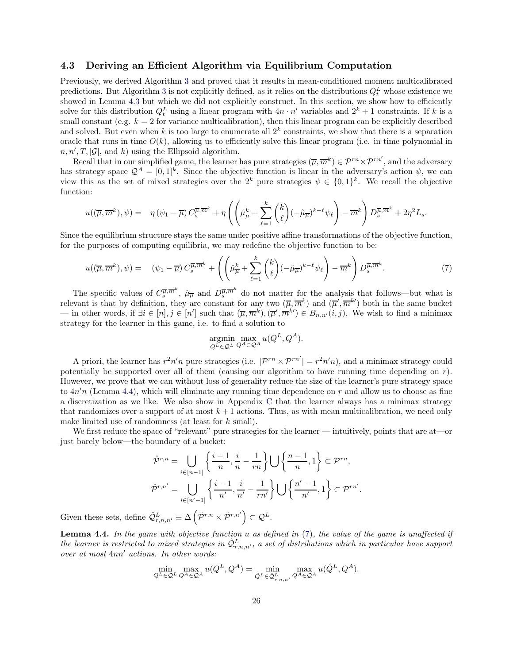## <span id="page-27-0"></span>4.3 Deriving an Efficient Algorithm via Equilibrium Computation

Previously, we derived Algorithm [3](#page-26-0) and proved that it results in mean-conditioned moment multicalibrated predictions. But Algorithm [3](#page-26-0) is not explicitly defined, as it relies on the distributions  $Q_t^L$  whose existence we showed in Lemma [4.3](#page-24-0) but which we did not explicitly construct. In this section, we show how to efficiently solve for this distribution  $Q_t^L$  using a linear program with  $4n \cdot n'$  variables and  $2^k + 1$  constraints. If k is a small constant (e.g.  $k = 2$  for variance multicalibration), then this linear program can be explicitly described and solved. But even when k is too large to enumerate all  $2^k$  constraints, we show that there is a separation oracle that runs in time  $O(k)$ , allowing us to efficiently solve this linear program (i.e. in time polynomial in  $n, n', T, |\mathcal{G}|$ , and k) using the Ellipsoid algorithm.

Recall that in our simplified game, the learner has pure strategies  $(\overline{\mu}, \overline{m}^k) \in \mathcal{P}^{rn} \times \mathcal{P}^{rn'}$ , and the adversary has strategy space  $\mathcal{Q}^A = [0,1]^k$ . Since the objective function is linear in the adversary's action  $\psi$ , we can view this as the set of mixed strategies over the  $2^k$  pure strategies  $\psi \in \{0,1\}^k$ . We recall the objective function:

$$
u((\overline{\mu}, \overline{m}^k), \psi) = \eta(\psi_1 - \overline{\mu}) C_s^{\overline{\mu}, \overline{m}^k} + \eta \left( \left( \hat{\mu}^k_{\overline{\mu}} + \sum_{\ell=1}^k {k \choose \ell} (-\hat{\mu}^{\overline{\mu}})^{k-\ell} \psi_\ell \right) - \overline{m}^k \right) D_s^{\overline{\mu}, \overline{m}^k} + 2\eta^2 L_s.
$$

Since the equilibrium structure stays the same under positive affine transformations of the objective function, for the purposes of computing equilibria, we may redefine the objective function to be:

$$
u((\overline{\mu}, \overline{m}^k), \psi) = (\psi_1 - \overline{\mu}) C_s^{\overline{\mu}, \overline{m}^k} + \left( \left( \hat{\mu}_{\overline{\mu}}^k + \sum_{\ell=1}^k {k \choose \ell} (-\hat{\mu}_{\overline{\mu}})^{k-\ell} \psi_\ell \right) - \overline{m}^k \right) D_s^{\overline{\mu}, \overline{m}^k}.
$$
 (7)

The specific values of  $C_s^{\overline{\mu},\overline{m}^k}$ ,  $\hat{\mu}_{\overline{\mu}}$  and  $D_s^{\overline{\mu},\overline{m}^k}$  do not matter for the analysis that follows—but what is relevant is that by definition, they are constant for any two  $(\overline{\mu}, \overline{m}^k)$  and  $(\overline{\mu}', \overline{m}^{k'})$  both in the same bucket — in other words, if  $\exists i \in [n], j \in [n']$  such that  $(\overline{\mu}, \overline{m}^k), (\overline{\mu}', \overline{m}^{k'}) \in B_{n,n'}(i,j)$ . We wish to find a minimax strategy for the learner in this game, i.e. to find a solution to

<span id="page-27-2"></span>
$$
\underset{Q^L \in \mathcal{Q}^L}{\text{argmin}} \underset{Q^A \in \mathcal{Q}^A}{\text{max}} u(Q^L, Q^A).
$$

A priori, the learner has  $r^2n'n$  pure strategies (i.e.  $|\mathcal{P}^{rn} \times \mathcal{P}^{rn'}| = r^2n'n$ ), and a minimax strategy could potentially be supported over all of them (causing our algorithm to have running time depending on  $r$ ). However, we prove that we can without loss of generality reduce the size of the learner's pure strategy space to  $4n'n$  (Lemma [4.4\)](#page-27-1), which will eliminate any running time dependence on r and allow us to choose as fine a discretization as we like. We also show in Appendix [C](#page-58-0) that the learner always has a minimax strategy that randomizes over a support of at most  $k+1$  actions. Thus, as with mean multicalibration, we need only make limited use of randomness (at least for k small).

We first reduce the space of "relevant" pure strategies for the learner — intuitively, points that are at—or just barely below—the boundary of a bucket:

$$
\hat{\mathcal{P}}^{r,n} = \bigcup_{i \in [n-1]} \left\{ \frac{i-1}{n}, \frac{i}{n} - \frac{1}{rn} \right\} \bigcup \left\{ \frac{n-1}{n}, 1 \right\} \subset \mathcal{P}^{rn},
$$

$$
\hat{\mathcal{P}}^{r,n'} = \bigcup_{i \in [n'-1]} \left\{ \frac{i-1}{n'}, \frac{i}{n'} - \frac{1}{rn'} \right\} \bigcup \left\{ \frac{n'-1}{n'}, 1 \right\} \subset \mathcal{P}^{rn'}.
$$

Given these sets, define  $\hat{\mathcal{Q}}_{r,n,n'}^L \equiv \Delta \left( \hat{\mathcal{P}}^{r,n} \times \hat{\mathcal{P}}^{r,n'} \right) \subset \mathcal{Q}^L$ .

<span id="page-27-1"></span>**Lemma 4.4.** In the game with objective function  $u$  as defined in  $(7)$ , the value of the game is unaffected if the learner is restricted to mixed strategies in  $\hat{Q}^L_{r,n,n'}$ , a set of distributions which in particular have support over at most 4nn′ actions. In other words:

$$
\min_{Q^L \in \mathcal{Q}^L} \max_{Q^A \in \mathcal{Q}^A} u(Q^L, Q^A) = \min_{\hat{Q}^L \in \hat{\mathcal{Q}}_{r,n,n'}^L} \max_{Q^A \in \mathcal{Q}^A} u(\hat{Q}^L, Q^A).
$$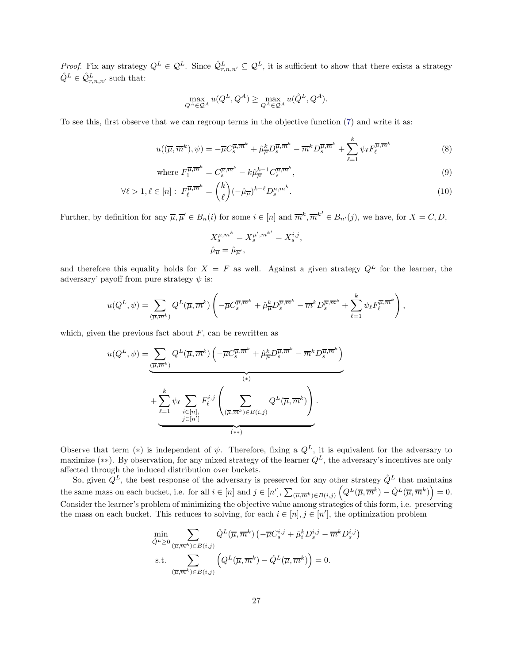*Proof.* Fix any strategy  $Q^L \in \mathcal{Q}^L$ . Since  $\hat{\mathcal{Q}}_{r,n,n'}^L \subseteq \mathcal{Q}^L$ , it is sufficient to show that there exists a strategy  $\hat{Q}^L \in \hat{\mathcal{Q}}^L_{r,n,n'}$  such that:

$$
\max_{Q^A \in \mathcal{Q}^A} u(Q^L, Q^A) \ge \max_{Q^A \in \mathcal{Q}^A} u(\hat{Q}^L, Q^A).
$$

To see this, first observe that we can regroup terms in the objective function [\(7\)](#page-27-2) and write it as:

$$
u((\overline{\mu}, \overline{m}^k), \psi) = -\overline{\mu}C_s^{\overline{\mu}, \overline{m}^k} + \hat{\mu}_{\overline{\mu}}^k D_s^{\overline{\mu}, \overline{m}^k} - \overline{m}^k D_s^{\overline{\mu}, \overline{m}^k} + \sum_{\ell=1}^k \psi_\ell F_\ell^{\overline{\mu}, \overline{m}^k}
$$
(8)

where 
$$
F_1^{\overline{\mu}, \overline{m}^k} = C_s^{\overline{\mu}, \overline{m}^k} - k\hat{\mu}_{\overline{\mu}}^{k-1} C_s^{\overline{\mu}, \overline{m}^k},
$$
\n
$$
(9)
$$

$$
\forall \ell > 1, \ell \in [n]: \ F_{\ell}^{\overline{\mu}, \overline{m}^k} = {k \choose \ell} (-\hat{\mu}_{\overline{\mu}})^{k-\ell} D_s^{\overline{\mu}, \overline{m}^k}.
$$
 (10)

Further, by definition for any  $\overline{\mu}, \overline{\mu}' \in B_n(i)$  for some  $i \in [n]$  and  $\overline{m}^k, \overline{m}^{k'} \in B_{n'}(j)$ , we have, for  $X = C, D$ ,

<span id="page-28-1"></span><span id="page-28-0"></span>
$$
X_s^{\overline{\mu}, \overline{m}^k} = X_s^{\overline{\mu}', \overline{m}^{k'}} = X_s^{i, j},
$$
  

$$
\hat{\mu}_{\overline{\mu}} = \hat{\mu}_{\overline{\mu}'},
$$

and therefore this equality holds for  $X = F$  as well. Against a given strategy  $Q<sup>L</sup>$  for the learner, the adversary' payoff from pure strategy  $\psi$  is:

$$
u(Q^L, \psi) = \sum_{(\overline{\mu}, \overline{m}^k)} Q^L(\overline{\mu}, \overline{m}^k) \left( -\overline{\mu} C_s^{\overline{\mu}, \overline{m}^k} + \hat{\mu}_{\overline{\mu}}^k D_s^{\overline{\mu}, \overline{m}^k} - \overline{m}^k D_s^{\overline{\mu}, \overline{m}^k} + \sum_{\ell=1}^k \psi_\ell F_\ell^{\overline{\mu}, \overline{m}^k} \right),
$$

which, given the previous fact about  $F$ , can be rewritten as

$$
u(Q^L, \psi) = \underbrace{\sum_{(\overline{\mu}, \overline{m}^k)} Q^L(\overline{\mu}, \overline{m}^k) \left( -\overline{\mu} C_s^{\overline{\mu}, \overline{m}^k} + \hat{\mu}_{\overline{\mu}}^k D_s^{\overline{\mu}, \overline{m}^k} - \overline{m}^k D_s^{\overline{\mu}, \overline{m}^k} \right)}_{(*)} + \underbrace{\sum_{\ell=1}^k \psi_\ell \sum_{i \in [n],} F_\ell^{i,j} \left( \sum_{(\overline{\mu}, \overline{m}^k) \in B(i,j)} Q^L(\overline{\mu}, \overline{m}^k) \right)}_{j \in [n']}.
$$

Observe that term (\*) is independent of  $\psi$ . Therefore, fixing a  $Q^L$ , it is equivalent for the adversary to maximize (\*\*). By observation, for any mixed strategy of the learner  $Q^L$ , the adversary's incentives are only affected through the induced distribution over buckets.

So, given  $\tilde{Q}^L$ , the best response of the adversary is preserved for any other strategy  $\hat{Q}^L$  that maintains the same mass on each bucket, i.e. for all  $i \in [n]$  and  $j \in [n']$ ,  $\sum_{(\overline{\mu}, \overline{m}^k) \in B(i,j)}$  $\left(Q^L(\overline{\mu},\overline{m}^k)-\hat{Q}^L(\overline{\mu},\overline{m}^k)\right)=0.$ Consider the learner's problem of minimizing the objective value among strategies of this form, i.e. preserving the mass on each bucket. This reduces to solving, for each  $i \in [n], j \in [n']$ , the optimization problem

$$
\min_{\hat{Q}^L \ge 0} \sum_{(\overline{\mu}, \overline{m}^k) \in B(i,j)} \hat{Q}^L(\overline{\mu}, \overline{m}^k) \left( -\overline{\mu} C_s^{i,j} + \hat{\mu}_i^k D_s^{i,j} - \overline{m}^k D_s^{i,j} \right)
$$
\ns.t. 
$$
\sum_{(\overline{\mu}, \overline{m}^k) \in B(i,j)} \left( Q^L(\overline{\mu}, \overline{m}^k) - \hat{Q}^L(\overline{\mu}, \overline{m}^k) \right) = 0.
$$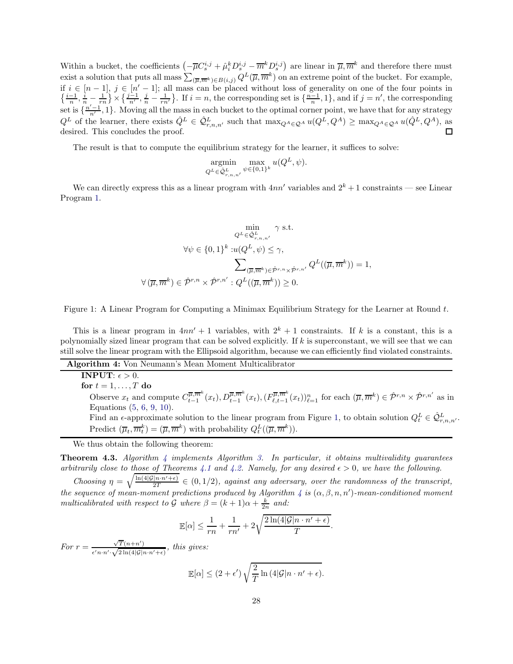Within a bucket, the coefficients  $\left(-\overline{\mu}C_s^{i,j} + \hat{\mu}_i^k D_s^{i,j} - \overline{m}^k D_s^{i,j}\right)$  are linear in  $\overline{\mu}, \overline{m}^k$  and therefore there must exist a solution that puts all mass  $\sum_{(\overline{\mu},\overline{m}^k)\in B(i,j)} Q^L(\overline{\mu},\overline{m}^k)$  on an extreme point of the bucket. For example, if  $i \in [n-1]$ ,  $j \in [n'-1]$ ; all mass can be placed without loss of generality on one of the four points in  $\{\frac{i-1}{n}, \frac{i}{n} - \frac{1}{rn}\} \times \{\frac{j-1}{n'}, \frac{j}{n} - \frac{1}{rn'}\}$ . If  $i = n$ , the corresponding set is  $\{\frac{n-1}{n}, 1\}$ , and if set is  $\{\frac{n'-1}{n'}, 1\}$ . Moving all the mass in each bucket to the optimal corner point, we have that for any strategy  $Q^L$  of the learner, there exists  $\hat{Q}^L \in \hat{Q}^L_{r,n,n'}$  such that  $\max_{Q^A \in \mathcal{Q}^A} u(Q^L, Q^A) \geq \max_{Q^A \in \mathcal{Q}^A} u(\hat{Q}^L, Q^A)$ , as desired. This concludes the proof.

The result is that to compute the equilibrium strategy for the learner, it suffices to solve:

$$
\operatornamewithlimits{argmin}_{Q^L \in \hat{\mathcal{Q}}_{r,n,n'}^L} \max_{\psi \in \{0,1\}^k} u(Q^L, \psi).
$$

<span id="page-29-0"></span>We can directly express this as a linear program with  $4nn'$  variables and  $2^k + 1$  constraints — see Linear Program [1.](#page-29-0)

$$
\min_{Q^L \in \hat{\mathcal{Q}}_{r,n,n'}^{L}} \gamma \text{ s.t.}
$$

$$
\forall \psi \in \{0,1\}^k : u(Q^L, \psi) \le \gamma,
$$

$$
\sum_{(\overline{\mu}, \overline{m}^k) \in \hat{\mathcal{P}}^{r,n} \times \hat{\mathcal{P}}^{r,n'} : Q^L((\overline{\mu}, \overline{m}^k)) \ge 0.
$$

Figure 1: A Linear Program for Computing a Minimax Equilibrium Strategy for the Learner at Round t.

This is a linear program in  $4nn' + 1$  variables, with  $2^k + 1$  constraints. If k is a constant, this is a polynomially sized linear program that can be solved explicitly. If k is superconstant, we will see that we can still solve the linear program with the Ellipsoid algorithm, because we can efficiently find violated constraints.

Algorithm 4: Von Neumann's Mean Moment Multicalibrator **INPUT:**  $\epsilon > 0$ . for  $t = 1, \ldots, T$  do Observe  $x_t$  and compute  $C_{t-1}^{\overline{\mu},\overline{m}^k}$  $\overline{u^{\mu},m^{k}}(x_{t}), D_{t-1}^{\overline{\mu},\overline{m}^{k}}(x_{t}), (F_{\ell,t-1}^{\overline{\mu},\overline{m}^{k}})$  $(\overline{\mu},\overline{m}^k)(x_t)\}_{t=1}^n$  for each  $(\overline{\mu},\overline{m}^k) \in \hat{\mathcal{P}}^{r,n} \times \hat{\mathcal{P}}^{r,n'}$  as in Equations [\(5,](#page-23-1) [6,](#page-23-2) [9,](#page-28-0) [10\)](#page-28-1). Find an  $\epsilon$ -approximate solution to the linear program from Figure [1,](#page-29-0) to obtain solution  $Q_t^L \in \hat{Q}_{r,n,n'}^L$ . Predict  $(\overline{\mu}_t, \overline{m}_t^k) = (\overline{\mu}, \overline{m}^k)$  with probability  $Q_t^L((\overline{\mu}, \overline{m}^k))$ .

<span id="page-29-1"></span>We thus obtain the following theorem:

<span id="page-29-2"></span>**Theorem [4](#page-29-1).[3.](#page-26-0)** Algorithm 4 implements Algorithm 3. In particular, it obtains multivalidity quarantees arbitrarily close to those of Theorems [4.1](#page-26-1) and [4.2.](#page-26-2) Namely, for any desired  $\epsilon > 0$ , we have the following.

Choosing  $\eta = \sqrt{\frac{\ln(4|\mathcal{G}|n \cdot n'+\epsilon)}{2T}} \in (0, 1/2)$ , against any adversary, over the randomness of the transcript, the sequence of mean-moment predictions produced by Algorithm [4](#page-29-1) is  $(\alpha, \beta, n, n')$ -mean-conditioned moment multicalibrated with respect to  $\mathcal G$  where  $\beta = (k+1)\alpha + \frac{k}{2n}$  and:

$$
\mathbb{E}[\alpha] \leq \frac{1}{rn} + \frac{1}{rn'} + 2\sqrt{\frac{2\ln(4|\mathcal{G}|n \cdot n' + \epsilon)}{T}}.
$$

For  $r = \frac{\sqrt{T}(n+n')}{\sqrt{2T(1+n)}}$  $\frac{\sqrt{1(n+n)}}{\epsilon' n \cdot n' \cdot \sqrt{2\ln(4|\mathcal{G}|n \cdot n'+\epsilon)}}$ , this gives:

$$
\mathbb{E}[\alpha] \le (2+\epsilon') \sqrt{\frac{2}{T} \ln (4|\mathcal{G}|n \cdot n' + \epsilon)}.
$$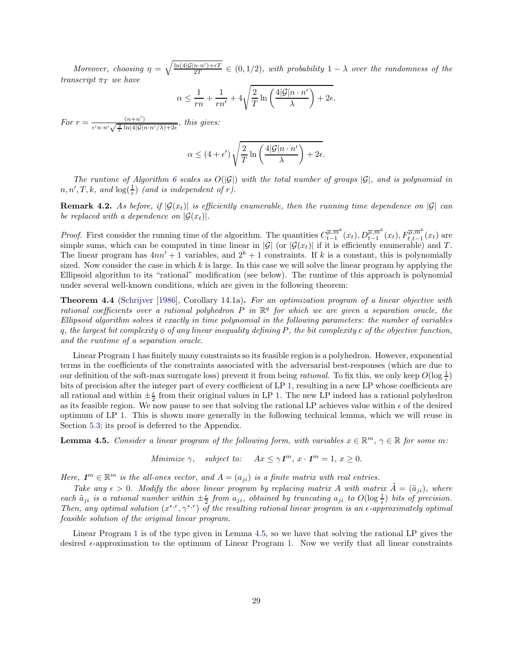Moreover, choosing  $\eta = \sqrt{\frac{\ln(4|\mathcal{G}|n\cdot n') + \epsilon T}{2T}} \in (0, 1/2)$ , with probability  $1 - \lambda$  over the randomness of the transcript  $\pi_T$  we have

$$
\alpha \le \frac{1}{rn} + \frac{1}{rn'} + 4\sqrt{\frac{2}{T} \ln\left(\frac{4|\mathcal{G}|n \cdot n'}{\lambda}\right) + 2\epsilon}.
$$

For  $r = \frac{(n+n')}{(n+n')^2 \ln(4|\mathcal{L}|)}$  $\frac{(n+n)}{\epsilon' n \cdot n'} \sqrt{\frac{2}{T} \ln(4|\mathcal{G}|n \cdot n'/\lambda) + 2\epsilon}$ , this gives:

$$
\alpha \le (4 + \epsilon') \sqrt{\frac{2}{T} \ln \left( \frac{4|\mathcal{G}|n \cdot n'}{\lambda} \right) + 2\epsilon}.
$$

The runtime of Algorithm [6](#page-37-1) scales as  $O(|\mathcal{G}|)$  with the total number of groups  $|\mathcal{G}|$ , and is polynomial in  $n, n', T, k, \text{ and } \log(\frac{1}{\epsilon}) \text{ (and is independent of } r).$ 

**Remark 4.2.** As before, if  $|\mathcal{G}(x_t)|$  is efficiently enumerable, then the running time dependence on  $|\mathcal{G}|$  can be replaced with a dependence on  $|\mathcal{G}(x_t)|$ .

*Proof.* First consider the running time of the algorithm. The quantities  $C_{t-1}^{\overline{\mu},\overline{m}^k}$  $\overline{u}$ , $\overline{m}^k(x_t)$ ,  $D_{t-1}^{\overline{\mu}, \overline{m}^k}(x_t)$ ,  $F_{\ell, t-1}^{\overline{\mu}, \overline{m}^k}(x_t)$  are simple sums, which can be computed in time linear in  $|\mathcal{G}|$  (or  $|\mathcal{G}(x_t)|$  if it is efficiently enumerable) and T. The linear program has  $4nn'+1$  variables, and  $2^k+1$  constraints. If k is a constant, this is polynomially sized. Now consider the case in which  $k$  is large. In this case we will solve the linear program by applying the Ellipsoid algorithm to its "rational" modification (see below). The runtime of this approach is polynomial under several well-known conditions, which are given in the following theorem:

<span id="page-30-1"></span>Theorem 4.4 [\(Schrijver](#page-43-17) [\[1986\]](#page-43-17), Corollary 14.1a). For an optimization program of a linear objective with rational coefficients over a rational polyhedron  $P$  in  $\mathbb{R}^q$  for which we are given a separation oracle, the Ellipsoid algorithm solves it exactly in time polynomial in the following parameters: the number of variables q, the largest bit complexity  $\phi$  of any linear inequality defining P, the bit complexity c of the objective function, and the runtime of a separation oracle.

Linear Program [1](#page-29-0) has finitely many constraints so its feasible region is a polyhedron. However, exponential terms in the coefficients of the constraints associated with the adversarial best-responses (which are due to our definition of the soft-max surrogate loss) prevent it from being *rational*. To fix this, we only keep  $O(\log \frac{1}{\epsilon})$ bits of precision after the integer part of every coefficient of LP [1,](#page-29-0) resulting in a new LP whose coefficients are all rational and within  $\pm \frac{\epsilon}{2}$  from their original values in LP [1.](#page-29-0) The new LP indeed has a rational polyhedron as its feasible region. We now pause to see that solving the rational LP achieves value within  $\epsilon$  of the desired optimum of LP [1.](#page-29-0) This is shown more generally in the following technical lemma, which we will reuse in Section [5.3;](#page-37-0) its proof is deferred to the Appendix.

<span id="page-30-0"></span>**Lemma 4.5.** Consider a linear program of the following form, with variables  $x \in \mathbb{R}^m$ ,  $\gamma \in \mathbb{R}$  for some m:

Minimize  $\gamma$ , subject to:  $Ax \leq \gamma \mathbf{1}^m$ ,  $x \cdot \mathbf{1}^m = 1$ ,  $x \geq 0$ .

Here,  $\mathbf{1}^m \in \mathbb{R}^m$  is the all-ones vector, and  $A = (a_{ji})$  is a finite matrix with real entries.

Take any  $\epsilon > 0$ . Modify the above linear program by replacing matrix A with matrix  $\tilde{A} = (\tilde{a}_{ii})$ , where each  $\tilde{a}_{ji}$  is a rational number within  $\pm \frac{\epsilon}{2}$  from  $a_{ji}$ , obtained by truncating  $a_{ji}$  to  $O(\log \frac{1}{\epsilon})$  bits of precision. Then, any optimal solution  $(x^{*,r}, \gamma^{*,r})$  of the resulting rational linear program is an  $\epsilon$ -approximately optimal feasible solution of the original linear program.

Linear Program [1](#page-29-0) is of the type given in Lemma [4.5,](#page-30-0) so we have that solving the rational LP gives the desired  $\epsilon$ -approximation to the optimum of Linear Program [1.](#page-29-0) Now we verify that all linear constraints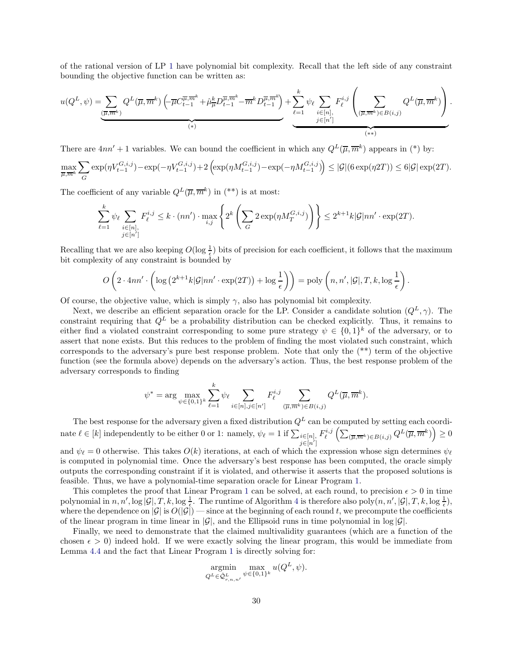of the rational version of LP [1](#page-29-0) have polynomial bit complexity. Recall that the left side of any constraint bounding the objective function can be written as:

$$
u(Q^L, \psi) = \underbrace{\sum_{(\overline{\mu}, \overline{m}^k)} Q^L(\overline{\mu}, \overline{m}^k) \left( \overline{\mu} C^{\overline{\mu}, \overline{m}^k}_{t-1} + \widehat{\mu}^k_{\overline{\mu}} D^{\overline{\mu}, \overline{m}^k}_{t-1} - \overline{m}^k D^{\overline{\mu}, \overline{m}^k}_{t-1} \right)}_{(*)} + \underbrace{\sum_{\ell=1}^k \psi_\ell \sum_{i \in [n],} F^{i,j}_\ell \left( \sum_{(\overline{\mu}, \overline{m}^k) \in B(i,j)} Q^L(\overline{\mu}, \overline{m}^k) \right)}_{(*)}.
$$

There are  $4nn'+1$  variables. We can bound the coefficient in which any  $Q^L(\overline{\mu}, \overline{m}^k)$  appears in (\*) by:

$$
\max_{\overline{\mu}, \overline{m}^k} \sum_G \exp(\eta V_{t-1}^{G,i,j}) - \exp(-\eta V_{t-1}^{G,i,j}) + 2 \left( \exp(\eta M_{t-1}^{G,i,j}) - \exp(-\eta M_{t-1}^{G,i,j}) \right) \le |\mathcal{G}| (6 \exp(\eta 2T)) \le 6 |\mathcal{G}| \exp(2T).
$$

The coefficient of any variable  $Q^L(\overline{\mu}, \overline{m}^k)$  in (\*\*) is at most:

$$
\sum_{\ell=1}^k \psi_\ell \sum_{\substack{i \in [n], \\ j \in [n']} } F_\ell^{i,j} \leq k \cdot (nn') \cdot \max_{i,j} \left\{ 2^k \left( \sum_G 2 \exp(\eta M_T^{G,i,j}) \right) \right\} \leq 2^{k+1} k |\mathcal{G}| nn' \cdot \exp(2T).
$$

Recalling that we are also keeping  $O(\log \frac{1}{\epsilon})$  bits of precision for each coefficient, it follows that the maximum bit complexity of any constraint is bounded by

$$
O\left(2 \cdot 4nn' \cdot \left(\log\left(2^{k+1}k|\mathcal{G}|nn'\cdot \exp(2T)\right) + \log\frac{1}{\epsilon}\right)\right) = \text{poly}\left(n, n', |\mathcal{G}|, T, k, \log\frac{1}{\epsilon}\right).
$$

Of course, the objective value, which is simply  $\gamma$ , also has polynomial bit complexity.

Next, we describe an efficient separation oracle for the LP. Consider a candidate solution  $(Q<sup>L</sup>, \gamma)$ . The constraint requiring that  $Q^L$  be a probability distribution can be checked explicitly. Thus, it remains to either find a violated constraint corresponding to some pure strategy  $\psi \in \{0,1\}^k$  of the adversary, or to assert that none exists. But this reduces to the problem of finding the most violated such constraint, which corresponds to the adversary's pure best response problem. Note that only the (\*\*) term of the objective function (see the formula above) depends on the adversary's action. Thus, the best response problem of the adversary corresponds to finding

$$
\psi^* = \arg \max_{\psi \in \{0,1\}^k} \sum_{\ell=1}^k \psi_\ell \sum_{i \in [n], j \in [n']} F_\ell^{i,j} \sum_{(\overline{\mu}, \overline{m}^k) \in B(i,j)} Q^L(\overline{\mu}, \overline{m}^k).
$$

The best response for the adversary given a fixed distribution  $Q<sup>L</sup>$  can be computed by setting each coordinate  $\ell \in [k]$  independently to be either 0 or 1: namely,  $\psi_{\ell} = 1$  if  $\sum_{i \in [n]}$  $j\in [n']$  $F_{\ell}^{i,j}\left(\sum_{(\overline{\mu},\overline{m}^k)\in B(i,j)} Q^L(\overline{\mu},\overline{m}^k)\right) \geq 0$ 

and  $\psi_{\ell} = 0$  otherwise. This takes  $O(k)$  iterations, at each of which the expression whose sign determines  $\psi_{\ell}$ is computed in polynomial time. Once the adversary's best response has been computed, the oracle simply outputs the corresponding constraint if it is violated, and otherwise it asserts that the proposed solutions is feasible. Thus, we have a polynomial-time separation oracle for Linear Program [1.](#page-29-0)

This completes the proof that Linear Program [1](#page-29-0) can be solved, at each round, to precision  $\epsilon > 0$  in time polynomial in  $n, n', \log |\mathcal{G}|, T, k, \log \frac{1}{\epsilon}$ . The runtime of Algorithm [4](#page-29-1) is therefore also  $\text{poly}(n, n', |\mathcal{G}|, T, k, \log \frac{1}{\epsilon})$ , where the dependence on  $|\mathcal{G}|$  is  $O(|\mathcal{G}|)$  — since at the beginning of each round t, we precompute the coefficients of the linear program in time linear in  $|\mathcal{G}|$ , and the Ellipsoid runs in time polynomial in  $\log |\mathcal{G}|$ .

Finally, we need to demonstrate that the claimed multivalidity guarantees (which are a function of the chosen  $\epsilon > 0$ ) indeed hold. If we were exactly solving the linear program, this would be immediate from Lemma [4.4](#page-27-1) and the fact that Linear Program [1](#page-29-0) is directly solving for:

$$
\operatornamewithlimits{argmin}_{Q^L \in \hat{\mathcal{Q}}_{r,n,n'}^L} \max_{\psi \in \{0,1\}^k} u(Q^L, \psi).
$$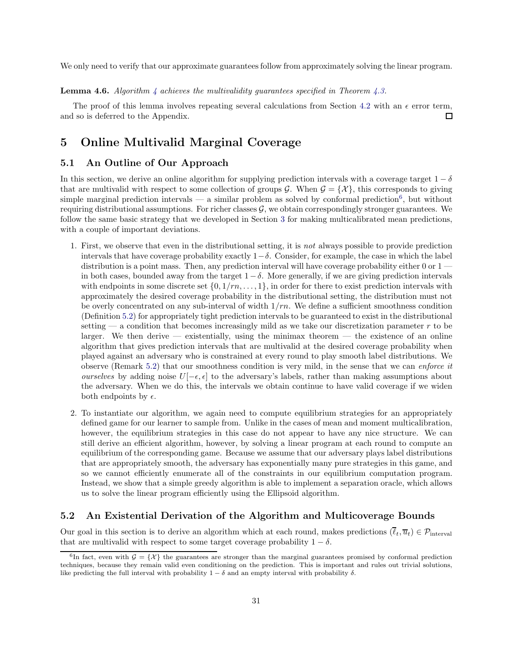We only need to verify that our approximate guarantees follow from approximately solving the linear program.

<span id="page-32-4"></span>**Lemma [4](#page-29-1).6.** Algorithm 4 achieves the multivalidity quarantees specified in Theorem [4.3.](#page-29-2)

The proof of this lemma involves repeating several calculations from Section [4.2](#page-21-0) with an  $\epsilon$  error term, and so is deferred to the Appendix. П

# <span id="page-32-0"></span>5 Online Multivalid Marginal Coverage

## <span id="page-32-1"></span>5.1 An Outline of Our Approach

In this section, we derive an online algorithm for supplying prediction intervals with a coverage target  $1 - \delta$ that are multivalid with respect to some collection of groups  $\mathcal{G}$ . When  $\mathcal{G} = {\mathcal{X}}$ , this corresponds to giving simple marginal prediction intervals — a similar problem as solved by conformal prediction<sup>[6](#page-32-3)</sup>, but without requiring distributional assumptions. For richer classes  $\mathcal{G}$ , we obtain correspondingly stronger guarantees. We follow the same basic strategy that we developed in Section [3](#page-12-0) for making multicalibrated mean predictions, with a couple of important deviations.

- 1. First, we observe that even in the distributional setting, it is not always possible to provide prediction intervals that have coverage probability exactly  $1-\delta$ . Consider, for example, the case in which the label distribution is a point mass. Then, any prediction interval will have coverage probability either 0 or  $1$ in both cases, bounded away from the target  $1-\delta$ . More generally, if we are giving prediction intervals with endpoints in some discrete set  $\{0, 1/m, \ldots, 1\}$ , in order for there to exist prediction intervals with approximately the desired coverage probability in the distributional setting, the distribution must not be overly concentrated on any sub-interval of width  $1/m$ . We define a sufficient smoothness condition (Definition [5.2\)](#page-33-0) for appropriately tight prediction intervals to be guaranteed to exist in the distributional setting — a condition that becomes increasingly mild as we take our discretization parameter  $r$  to be larger. We then derive  $-$  existentially, using the minimax theorem  $-$  the existence of an online algorithm that gives prediction intervals that are multivalid at the desired coverage probability when played against an adversary who is constrained at every round to play smooth label distributions. We observe (Remark [5.2\)](#page-36-0) that our smoothness condition is very mild, in the sense that we can enforce it ourselves by adding noise  $U[-\epsilon, \epsilon]$  to the adversary's labels, rather than making assumptions about the adversary. When we do this, the intervals we obtain continue to have valid coverage if we widen both endpoints by  $\epsilon$ .
- 2. To instantiate our algorithm, we again need to compute equilibrium strategies for an appropriately defined game for our learner to sample from. Unlike in the cases of mean and moment multicalibration, however, the equilibrium strategies in this case do not appear to have any nice structure. We can still derive an efficient algorithm, however, by solving a linear program at each round to compute an equilibrium of the corresponding game. Because we assume that our adversary plays label distributions that are appropriately smooth, the adversary has exponentially many pure strategies in this game, and so we cannot efficiently enumerate all of the constraints in our equilibrium computation program. Instead, we show that a simple greedy algorithm is able to implement a separation oracle, which allows us to solve the linear program efficiently using the Ellipsoid algorithm.

# <span id="page-32-2"></span>5.2 An Existential Derivation of the Algorithm and Multicoverage Bounds

Our goal in this section is to derive an algorithm which at each round, makes predictions  $(\bar{\ell}_t, \bar{u}_t) \in \mathcal{P}_{\text{interval}}$ that are multivalid with respect to some target coverage probability  $1 - \delta$ .

<span id="page-32-3"></span><sup>&</sup>lt;sup>6</sup>In fact, even with  $\mathcal{G} = \{X\}$  the guarantees are stronger than the marginal guarantees promised by conformal prediction techniques, because they remain valid even conditioning on the prediction. This is important and rules out trivial solutions, like predicting the full interval with probability  $1 - \delta$  and an empty interval with probability  $\delta$ .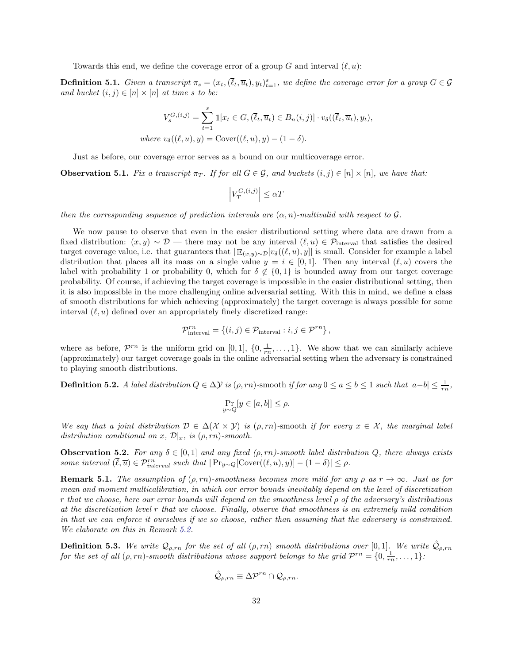Towards this end, we define the coverage error of a group G and interval  $(\ell, u)$ :

<span id="page-33-1"></span>**Definition 5.1.** Given a transcript  $\pi_s = (x_t, (\overline{\ell}_t, \overline{u}_t), y_t)_{t=1}^s$ , we define the coverage error for a group  $G \in \mathcal{G}$ and bucket  $(i, j) \in [n] \times [n]$  at time s to be:

$$
V_s^{G,(i,j)} = \sum_{t=1}^s \mathbb{1}[x_t \in G, (\overline{\ell}_t, \overline{u}_t) \in B_n(i,j)] \cdot v_\delta((\overline{\ell}_t, \overline{u}_t), y_t),
$$
  
where  $v_\delta((\ell, u), y) = \text{Cover}((\ell, u), y) - (1 - \delta).$ 

Just as before, our coverage error serves as a bound on our multicoverage error.

<span id="page-33-3"></span>**Observation 5.1.** Fix a transcript  $\pi_T$ . If for all  $G \in \mathcal{G}$ , and buckets  $(i, j) \in [n] \times [n]$ , we have that:

$$
\left|V_T^{G,(i,j)}\right| \leq \alpha T
$$

then the corresponding sequence of prediction intervals are  $(\alpha, n)$ -multivalid with respect to G.

We now pause to observe that even in the easier distributional setting where data are drawn from a fixed distribution:  $(x, y) \sim \mathcal{D}$  — there may not be any interval  $(\ell, u) \in \mathcal{P}_{\text{interval}}$  that satisfies the desired target coverage value, i.e. that guarantees that  $|\mathbb{E}_{(x,y)\sim\mathcal{D}}[v_\delta((\ell,u),y]|$  is small. Consider for example a label distribution that places all its mass on a single value  $y = i \in [0,1]$ . Then any interval  $(\ell, u)$  covers the label with probability 1 or probability 0, which for  $\delta \notin \{0,1\}$  is bounded away from our target coverage probability. Of course, if achieving the target coverage is impossible in the easier distributional setting, then it is also impossible in the more challenging online adversarial setting. With this in mind, we define a class of smooth distributions for which achieving (approximately) the target coverage is always possible for some interval  $(\ell, u)$  defined over an appropriately finely discretized range:

$$
\mathcal{P}_{\text{interval}}^{rn} = \{ (i, j) \in \mathcal{P}_{\text{interval}} : i, j \in \mathcal{P}^{rn} \},
$$

where as before,  $\mathcal{P}^{rn}$  is the uniform grid on [0, 1],  $\{0, \frac{1}{rn}, \ldots, 1\}$ . We show that we can similarly achieve (approximately) our target coverage goals in the online adversarial setting when the adversary is constrained to playing smooth distributions.

<span id="page-33-0"></span>**Definition 5.2.** A label distribution  $Q \in \Delta \mathcal{Y}$  is  $(\rho, rn)$ -smooth if for any  $0 \le a \le b \le 1$  such that  $|a-b| \le \frac{1}{rn}$ ,

$$
\Pr_{y \sim Q}[y \in [a, b]] \le \rho.
$$

We say that a joint distribution  $D \in \Delta(\mathcal{X} \times \mathcal{Y})$  is  $(\rho, rn)$ -smooth if for every  $x \in \mathcal{X}$ , the marginal label distribution conditional on x,  $\mathcal{D}|_x$ , is  $(\rho, rn)$ -smooth.

<span id="page-33-2"></span>**Observation 5.2.** For any  $\delta \in [0,1]$  and any fixed  $(\rho, rn)$ -smooth label distribution Q, there always exists some interval  $(\overline{\ell}, \overline{u}) \in \mathcal{P}^{rn}_{interval}$  such that  $|\Pr_{y \sim Q}[\text{Cover}((\ell, u), y)] - (1 - \delta)| \le \rho$ .

**Remark 5.1.** The assumption of  $(\rho, rn)$ -smoothness becomes more mild for any  $\rho$  as  $r \to \infty$ . Just as for mean and moment multicalibration, in which our error bounds inevitably depend on the level of discretization r that we choose, here our error bounds will depend on the smoothness level ρ of the adversary's distributions at the discretization level r that we choose. Finally, observe that smoothness is an extremely mild condition in that we can enforce it ourselves if we so choose, rather than assuming that the adversary is constrained. We elaborate on this in Remark [5.2.](#page-36-0)

**Definition 5.3.** We write  $Q_{\rho,rn}$  for the set of all  $(\rho, rn)$  smooth distributions over  $[0, 1]$ . We write  $\hat{Q}_{\rho,rn}$ for the set of all  $(\rho, rn)$ -smooth distributions whose support belongs to the grid  $\mathcal{P}^{rn} = \{0, \frac{1}{rn}, \ldots, 1\}$ :

$$
\hat{\mathcal{Q}}_{\rho,rn} \equiv \Delta \mathcal{P}^{rn} \cap \mathcal{Q}_{\rho,rn}.
$$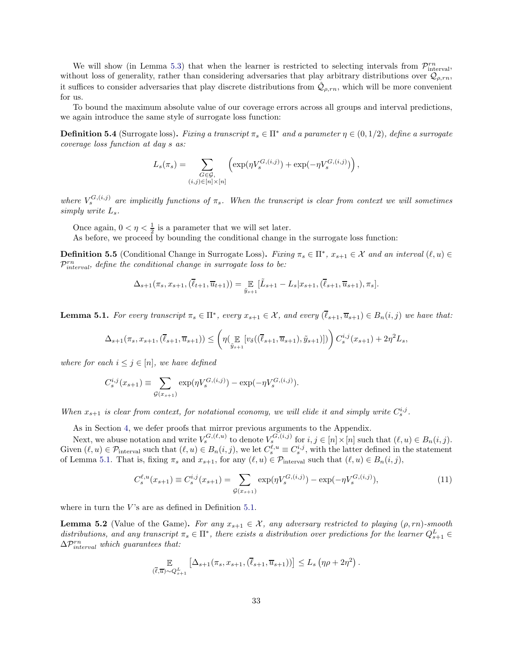We will show (in Lemma [5.3\)](#page-35-0) that when the learner is restricted to selecting intervals from  $\mathcal{P}_{\text{interval}}^{rn}$ , without loss of generality, rather than considering adversaries that play arbitrary distributions over  $\mathcal{Q}_{\rho,rn}$ , it suffices to consider adversaries that play discrete distributions from  $\hat{Q}_{\rho,rn}$ , which will be more convenient for us.

To bound the maximum absolute value of our coverage errors across all groups and interval predictions, we again introduce the same style of surrogate loss function:

**Definition 5.4** (Surrogate loss). Fixing a transcript  $\pi_s \in \Pi^*$  and a parameter  $\eta \in (0, 1/2)$ , define a surrogate coverage loss function at day s as:

$$
L_s(\pi_s) = \sum_{\substack{G \in \mathcal{G}, \\ (i,j) \in [n] \times [n]}} \left( \exp(\eta V_s^{G,(i,j)}) + \exp(-\eta V_s^{G,(i,j)}) \right),
$$

where  $V_s^{G,(i,j)}$  are implicitly functions of  $\pi_s$ . When the transcript is clear from context we will sometimes simply write  $L_s$ .

Once again,  $0 < \eta < \frac{1}{2}$  is a parameter that we will set later.

As before, we proceed by bounding the conditional change in the surrogate loss function:

**Definition 5.5** (Conditional Change in Surrogate Loss). Fixing  $\pi_s \in \Pi^*$ ,  $x_{s+1} \in \mathcal{X}$  and an interval  $(\ell, u) \in$  $\mathcal{P}^{rn}_{interval}$ , define the conditional change in surrogate loss to be:

$$
\Delta_{s+1}(\pi_s, x_{s+1}, (\bar{\ell}_{t+1}, \overline{u}_{t+1})) = \mathop{\mathbb{E}}_{\tilde{y}_{s+1}} [\tilde{L}_{s+1} - L_s | x_{s+1}, (\bar{\ell}_{s+1}, \overline{u}_{s+1}), \pi_s].
$$

<span id="page-34-0"></span>**Lemma 5.1.** For every transcript  $\pi_s \in \Pi^*$ , every  $x_{s+1} \in \mathcal{X}$ , and every  $(\ell_{s+1}, \overline{u}_{s+1}) \in B_n(i,j)$  we have that:

$$
\Delta_{s+1}(\pi_s, x_{s+1}, (\bar{\ell}_{s+1}, \overline{u}_{s+1})) \leq \left( \eta(\mathop{\mathbb{E}}_{\tilde{y}_{s+1}}[v_{\delta}((\bar{\ell}_{s+1}, \overline{u}_{s+1}), \tilde{y}_{s+1})]) \right) C_s^{i,j}(x_{s+1}) + 2\eta^2 L_s,
$$

where for each  $i \leq j \in [n]$ , we have defined

$$
C_s^{i,j}(x_{s+1}) \equiv \sum_{\mathcal{G}(x_{s+1})} \exp(\eta V_s^{\mathcal{G},(i,j)}) - \exp(-\eta V_s^{\mathcal{G},(i,j)}).
$$

When  $x_{s+1}$  is clear from context, for notational economy, we will elide it and simply write  $C_s^{i,j}$ .

As in Section [4,](#page-20-0) we defer proofs that mirror previous arguments to the Appendix.

Next, we abuse notation and write  $V_s^{G,(\ell,u)}$  to denote  $V_s^{G,(i,j)}$  for  $i, j \in [n] \times [n]$  such that  $(\ell, u) \in B_n(i,j)$ . Given  $(\ell, u) \in \mathcal{P}_{\text{interval}}$  such that  $(\ell, u) \in B_n(i, j)$ , we let  $C_s^{\ell, u} \equiv C_s^{i, j}$ , with the latter defined in the statement of Lemma [5.1.](#page-34-0) That is, fixing  $\pi_s$  and  $x_{s+1}$ , for any  $(\ell, u) \in \mathcal{P}_{\text{interval}}$  such that  $(\ell, u) \in B_n(i, j)$ ,

<span id="page-34-2"></span>
$$
C_s^{\ell, u}(x_{s+1}) \equiv C_s^{i, j}(x_{s+1}) = \sum_{\mathcal{G}(x_{s+1})} \exp(\eta V_s^{G, (i, j)}) - \exp(-\eta V_s^{G, (i, j)}),\tag{11}
$$

where in turn the  $V$ 's are as defined in Definition [5.1.](#page-33-1)

<span id="page-34-1"></span>**Lemma 5.2** (Value of the Game). For any  $x_{s+1} \in \mathcal{X}$ , any adversary restricted to playing  $(\rho, rn)$ -smooth distributions, and any transcript  $\pi_s \in \Pi^*$ , there exists a distribution over predictions for the learner  $Q_{s+1}^L \in$  $\Delta \mathcal{P}^{rn}_{interval}$  which guarantees that:

$$
\mathbb{E}_{(\overline{\ell},\overline{u})\sim Q_{s+1}^L} \left[ \Delta_{s+1}(\pi_s, x_{s+1}, (\overline{\ell}_{s+1}, \overline{u}_{s+1})) \right] \leq L_s \left( \eta \rho + 2\eta^2 \right).
$$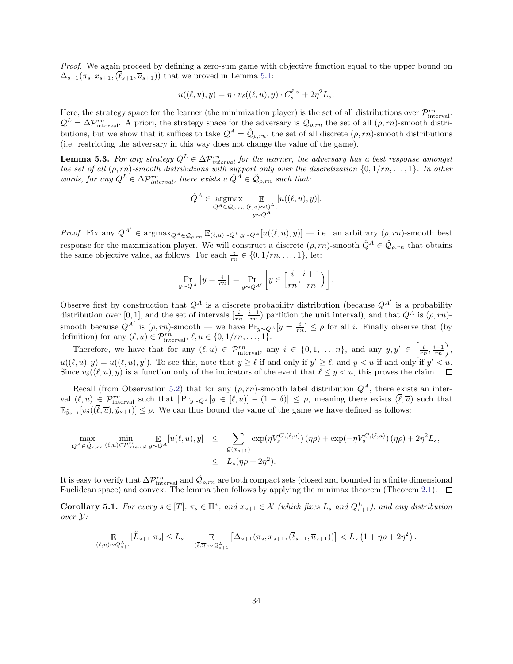Proof. We again proceed by defining a zero-sum game with objective function equal to the upper bound on  $\Delta_{s+1}(\pi_s, x_{s+1}, \overline{\ell}_{s+1}, \overline{u}_{s+1})$  that we proved in Lemma [5.1:](#page-34-0)

$$
u((\ell, u), y) = \eta \cdot v_{\delta}((\ell, u), y) \cdot C_s^{\ell, u} + 2\eta^2 L_s.
$$

Here, the strategy space for the learner (the minimization player) is the set of all distributions over  $\mathcal{P}_{\text{interval}}^{rn}$ :  $\mathcal{Q}^L = \Delta \mathcal{P}_{\text{interval}}^{\text{rn}}$ . A priori, the strategy space for the adversary is  $\mathcal{Q}_{\rho, rn}$  the set of all  $(\rho, rn)$ -smooth distributions, but we show that it suffices to take  $\mathcal{Q}^A = \hat{\mathcal{Q}}_{\rho,rn}$ , the set of all discrete  $(\rho, rn)$ -smooth distributions (i.e. restricting the adversary in this way does not change the value of the game).

<span id="page-35-0"></span>**Lemma 5.3.** For any strategy  $Q^L \in \Delta P_{interval}^m$  for the learner, the adversary has a best response amongst the set of all  $(\rho, rn)$ -smooth distributions with support only over the discretization  $\{0, 1/rn, \ldots, 1\}$ . In other words, for any  $Q^L \in \Delta \mathcal{P}_{interval}^m$ , there exists a  $\hat{Q}^A \in \hat{\mathcal{Q}}_{\rho, rn}$  such that:

$$
\hat{Q}^A \in \underset{Q^A \in \mathcal{Q}_{\rho, rn}}{\operatorname{argmax}} \mathop{\mathbb{E}}_{\substack{(u, u) \sim Q^L, \\ y \sim Q^A}} [u((\ell, u), y)].
$$

*Proof.* Fix any  $Q^{A'} \in \text{argmax}_{Q^A \in \mathcal{Q}_{\rho, rn}} \mathbb{E}_{(\ell,u) \sim Q^L, y \sim Q^A}[u((\ell,u), y)]$  — i.e. an arbitrary  $(\rho, rn)$ -smooth best response for the maximization player. We will construct a discrete  $(\rho, rn)$ -smooth  $\hat{Q}^A \in \hat{Q}_{\rho, rn}$  that obtains the same objective value, as follows. For each  $\frac{i}{rn} \in \{0, 1/rn, \ldots, 1\}$ , let:

$$
\Pr_{y \sim Q^A} \left[ y = \frac{i}{rn} \right] = \Pr_{y \sim Q^{A'}} \left[ y \in \left[ \frac{i}{rn}, \frac{i+1}{rn} \right) \right].
$$

Observe first by construction that  $Q^A$  is a discrete probability distribution (because  $Q^{A'}$  is a probability distribution over [0, 1], and the set of intervals  $[\frac{i}{rn}, \frac{i+1}{rn}]$  partition the unit interval), and that  $Q^A$  is  $(\rho, rn)$ smooth because  $Q^{A'}$  is  $(\rho, rn)$ -smooth — we have  $\Pr_{y \sim Q^A}[y = \frac{i}{rn}] \leq \rho$  for all i. Finally observe that (by definition) for any  $(\ell, u) \in \mathcal{P}_{\text{interval}}^{rn}, \ell, u \in \{0, 1/rn, \ldots, 1\}.$ 

Therefore, we have that for any  $(\ell, u) \in \mathcal{P}_{\text{interval}}^{rn}$ , any  $i \in \{0, 1, ..., n\}$ , and any  $y, y' \in \left[\frac{i}{rn}, \frac{i+1}{rn}\right)$ ,  $u((\ell, u), y) = u((\ell, u), y')$ . To see this, note that  $y \ge \ell$  if and only if  $y' \ge \ell$ , and  $y < u$  if and only if  $y' < u$ . Since  $v_{\delta}((\ell, u), y)$  is a function only of the indicators of the event that  $\ell \leq y < u$ , this proves the claim.  $\Box$ 

Recall (from Observation [5.2\)](#page-33-2) that for any  $(\rho, rn)$ -smooth label distribution  $Q^A$ , there exists an interval  $(\ell, u) \in \mathcal{P}_{\text{interval}}^{\text{rn}}$  such that  $|\Pr_{y \sim Q^A}[y \in [\ell, u)] - (1 - \delta)| \leq \rho$ , meaning there exists  $(\overline{\ell}, \overline{u})$  such that  $\mathbb{E}_{\tilde{y}_{s+1}}[v_\delta((\overline{\ell},\overline{u}),\tilde{y}_{s+1})] \leq \rho$ . We can thus bound the value of the game we have defined as follows:

$$
\max_{Q^A \in \hat{\mathcal{Q}}_{\rho, rn}} \min_{(\ell, u) \in \mathcal{P}_{\text{interval}}^{\text{rn}}} \mathbb{E}_{Q^A} [u(\ell, u), y] \leq \sum_{\mathcal{G}(x_{s+1})} \exp(\eta V_s^{G, (\ell, u)}) (\eta \rho) + \exp(-\eta V_s^{G, (\ell, u)}) (\eta \rho) + 2\eta^2 L_s,
$$
  

$$
\leq L_s(\eta \rho + 2\eta^2).
$$

It is easy to verify that  $\Delta \mathcal{P}_{\text{interval}}^{rn}$  and  $\hat{\mathcal{Q}}_{\rho, rn}$  are both compact sets (closed and bounded in a finite dimensional Euclidean space) and convex. The lemma then follows by applying the minimax theorem (Theorem [2.1\)](#page-11-2).  $\Box$ 

<span id="page-35-1"></span>**Corollary 5.1.** For every  $s \in [T]$ ,  $\pi_s \in \Pi^*$ , and  $x_{s+1} \in \mathcal{X}$  (which fixes  $L_s$  and  $Q_{s+1}^L$ ), and any distribution over Y:

$$
\mathbb{E}_{(\ell,u)\sim Q_{s+1}^L}[\tilde{L}_{s+1}|\pi_s] \leq L_s + \mathbb{E}_{(\overline{\ell},\overline{u})\sim Q_{s+1}^L}[\Delta_{s+1}(\pi_s,x_{s+1},(\overline{\ell}_{s+1},\overline{u}_{s+1}))] < L_s(1+\eta\rho+2\eta^2).
$$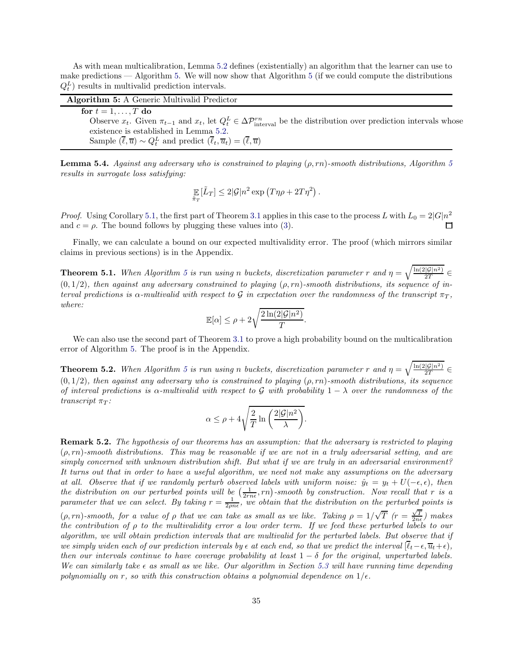As with mean multicalibration, Lemma [5.2](#page-34-1) defines (existentially) an algorithm that the learner can use to make predictions  $-$  Algorithm [5.](#page-36-1) We will now show that Algorithm [5](#page-36-1) (if we could compute the distributions  $Q_t^L$ ) results in multivalid prediction intervals.

| <b>Algorithm 5:</b> A Generic Multivalid Predictor                                                                                                          |  |
|-------------------------------------------------------------------------------------------------------------------------------------------------------------|--|
| for $t = 1, \ldots, T$ do                                                                                                                                   |  |
| Observe $x_t$ . Given $\pi_{t-1}$ and $x_t$ , let $Q_t^L \in \Delta \mathcal{P}_{\text{interval}}^{rn}$ be the distribution over prediction intervals whose |  |
| existence is established in Lemma 5.2.                                                                                                                      |  |
| Sample $(\overline{\ell}, \overline{u}) \sim Q_t^L$ and predict $(\overline{\ell}_t, \overline{u}_t) = (\overline{\ell}, \overline{u})$                     |  |

<span id="page-36-4"></span><span id="page-36-1"></span>**Lemma [5](#page-36-1).4.** Against any adversary who is constrained to playing  $(\rho, rn)$ -smooth distributions, Algorithm 5 results in surrogate loss satisfying:

$$
\mathop{\mathbb{E}}_{\tilde{\pi}_T}[\tilde{L}_T] \leq 2|\mathcal{G}|n^2 \exp(T\eta \rho + 2T\eta^2).
$$

*Proof.* Using Corollary [5.1,](#page-35-1) the first part of Theorem [3.1](#page-16-1) applies in this case to the process L with  $L_0 = 2|G|n^2$ and  $c = \rho$ . The bound follows by plugging these values into [\(3\)](#page-16-2).

Finally, we can calculate a bound on our expected multivalidity error. The proof (which mirrors similar claims in previous sections) is in the Appendix.

<span id="page-36-2"></span>**Theorem [5](#page-36-1).1.** When Algorithm 5 is run using n buckets, discretization parameter r and  $\eta = \sqrt{\frac{\ln(2|\mathcal{G}|n^2)}{2T}}$  $(0, 1/2)$ , then against any adversary constrained to playing  $(\rho, rn)$ -smooth distributions, its sequence of interval predictions is  $\alpha$ -multivalid with respect to G in expectation over the randomness of the transcript  $\pi_T$ , where:

$$
\mathbb{E}[\alpha] \le \rho + 2\sqrt{\frac{2\ln(2|\mathcal{G}|n^2)}{T}}.
$$

We can also use the second part of Theorem [3.1](#page-16-1) to prove a high probability bound on the multicalibration error of Algorithm [5.](#page-36-1) The proof is in the Appendix.

<span id="page-36-3"></span>**Theorem [5](#page-36-1).2.** When Algorithm 5 is run using n buckets, discretization parameter r and  $\eta = \sqrt{\frac{\ln(2|\mathcal{G}|n^2)}{2T}}$  $(0, 1/2)$ , then against any adversary who is constrained to playing  $(\rho, rn)$ -smooth distributions, its sequence of interval predictions is  $\alpha$ -multivalid with respect to G with probability  $1 - \lambda$  over the randomness of the transcript  $\pi_T$ :

$$
\alpha \le \rho + 4\sqrt{\frac{2}{T} \ln \left( \frac{2|\mathcal{G}|n^2}{\lambda} \right)}.
$$

<span id="page-36-0"></span>Remark 5.2. The hypothesis of our theorems has an assumption: that the adversary is restricted to playing  $(\rho, rn)$ -smooth distributions. This may be reasonable if we are not in a truly adversarial setting, and are simply concerned with unknown distribution shift. But what if we are truly in an adversarial environment? It turns out that in order to have a useful algorithm, we need not make any assumptions on the adversary at all. Observe that if we randomly perturb observed labels with uniform noise:  $\hat{y}_t = y_t + U(-\epsilon, \epsilon)$ , then the distribution on our perturbed points will be  $(\frac{1}{2rn\epsilon}, rn)$ -smooth by construction. Now recall that r is a parameter that we can select. By taking  $r = \frac{1}{2\rho n \epsilon}$ , we obtain that the distribution on the perturbed points is  $(\rho, rn)$ -smooth, for a value of  $\rho$  that we can take as small as we like. Taking  $\rho = 1/\sqrt{T}$   $(r = \frac{\sqrt{T}}{2n\epsilon})$  makes the contribution of ρ to the multivalidity error a low order term. If we feed these perturbed labels to our algorithm, we will obtain prediction intervals that are multivalid for the perturbed labels. But observe that if we simply widen each of our prediction intervals by  $\epsilon$  at each end, so that we predict the interval  $[\ell_t-\epsilon,\overline{u}_t+\epsilon)$ , then our intervals continue to have coverage probability at least  $1 - \delta$  for the original, unperturbed labels. We can similarly take  $\epsilon$  as small as we like. Our algorithm in Section [5.3](#page-37-0) will have running time depending polynomially on r, so with this construction obtains a polynomial dependence on  $1/\epsilon$ .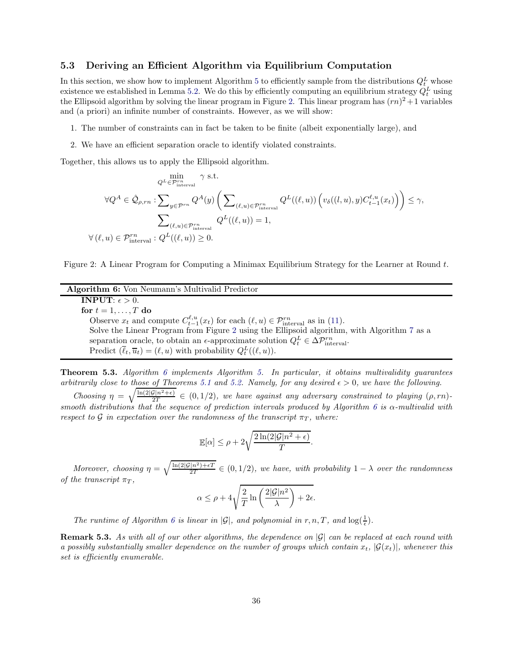## <span id="page-37-0"></span>5.3 Deriving an Efficient Algorithm via Equilibrium Computation

In this section, we show how to implement Algorithm [5](#page-36-1) to efficiently sample from the distributions  $Q_t^L$  whose existence we established in Lemma [5.2.](#page-34-1) We do this by efficiently computing an equilibrium strategy  $Q_t^L$  using the Ellipsoid algorithm by solving the linear program in Figure [2.](#page-37-2) This linear program has  $(rn)^2 + 1$  variables and (a priori) an infinite number of constraints. However, as we will show:

- 1. The number of constraints can in fact be taken to be finite (albeit exponentially large), and
- <span id="page-37-2"></span>2. We have an efficient separation oracle to identify violated constraints.

Together, this allows us to apply the Ellipsoid algorithm.

$$
\varphi^{L} \in \mathcal{P}^{rn}_{\text{interval}} \gamma \text{ s.t.}
$$
\n
$$
\forall Q^{A} \in \hat{\mathcal{Q}}_{\rho, rn} : \sum_{y \in \mathcal{P}^{rn}} Q^{A}(y) \left( \sum_{(\ell, u) \in \mathcal{P}^{rn}_{\text{interval}}} Q^{L}((\ell, u)) \left( v_{\delta}((l, u), y) C_{t-1}^{\ell, u}(x_{t}) \right) \right) \leq \gamma,
$$
\n
$$
\sum_{(\ell, u) \in \mathcal{P}^{rn}_{\text{interval}}} Q^{L}((\ell, u)) = 1,
$$
\n
$$
\forall (\ell, u) \in \mathcal{P}^{rn}_{\text{interval}} : Q^{L}((\ell, u)) \geq 0.
$$

Figure 2: A Linear Program for Computing a Minimax Equilibrium Strategy for the Learner at Round t.

| <b>Algorithm 6:</b> Von Neumann's Multivalid Predictor                                                                   |
|--------------------------------------------------------------------------------------------------------------------------|
| <b>INPUT:</b> $\epsilon > 0$ .                                                                                           |
| for $t = 1, , T$ do                                                                                                      |
| Observe $x_t$ and compute $C_{t-1}^{\ell,u}(x_t)$ for each $(\ell,u) \in \mathcal{P}_{\text{interval}}^{rn}$ as in (11). |
| Solve the Linear Program from Figure 2 using the Ellipsoid algorithm, with Algorithm 7 as a                              |
| separation oracle, to obtain an $\epsilon$ -approximate solution $Q_t^L \in \Delta \mathcal{P}_{\text{interval}}^{rn}$ . |
| Predict $(\overline{\ell}_t, \overline{u}_t) = (\ell, u)$ with probability $Q_t^L((\ell, u))$ .                          |

<span id="page-37-3"></span><span id="page-37-1"></span>**Theorem [5.](#page-36-1)3.** Algorithm [6](#page-37-1) implements Algorithm 5. In particular, it obtains multivalidity guarantees arbitrarily close to those of Theorems [5.1](#page-36-2) and [5.2.](#page-36-3) Namely, for any desired  $\epsilon > 0$ , we have the following.

Choosing  $\eta = \sqrt{\frac{\ln(2|\mathcal{G}|n^2+\epsilon)}{2T}} \in (0, 1/2)$ , we have against any adversary constrained to playing  $(\rho, rn)$ -smooth distributions that the sequence of prediction intervals produced by Algorithm [6](#page-37-1) is  $\alpha$ -multivalid with respect to G in expectation over the randomness of the transcript  $\pi_T$ , where:

$$
\mathbb{E}[\alpha] \le \rho + 2\sqrt{\frac{2\ln(2|\mathcal{G}|n^2 + \epsilon)}{T}}.
$$

Moreover, choosing  $\eta = \sqrt{\frac{\ln(2|\mathcal{G}|n^2) + \epsilon T}{2T}} \in (0, 1/2)$ , we have, with probability  $1 - \lambda$  over the randomness of the transcript  $\pi_T$ 

$$
\alpha \leq \rho + 4\sqrt{\frac{2}{T} \ln \left( \frac{2|\mathcal{G}|n^2}{\lambda} \right) + 2\epsilon}.
$$

The runtime of Algorithm [6](#page-37-1) is linear in  $|\mathcal{G}|$ , and polynomial in r, n, T, and  $\log(\frac{1}{\epsilon})$ .

**Remark 5.3.** As with all of our other algorithms, the dependence on  $|\mathcal{G}|$  can be replaced at each round with a possibly substantially smaller dependence on the number of groups which contain  $x_t$ ,  $|\mathcal{G}(x_t)|$ , whenever this set is efficiently enumerable.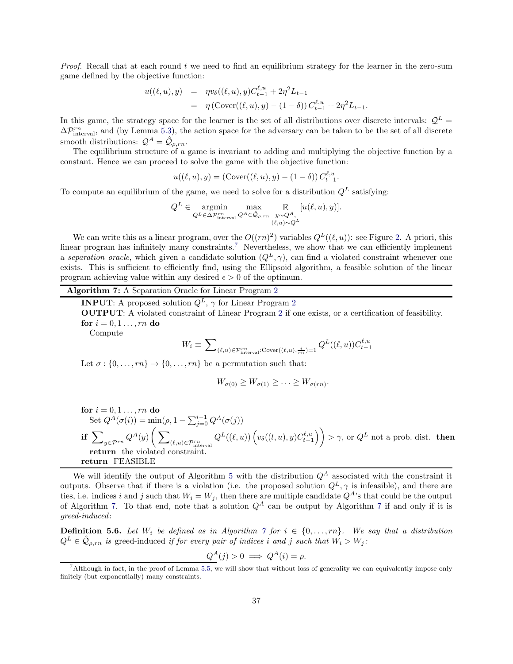*Proof.* Recall that at each round  $t$  we need to find an equilibrium strategy for the learner in the zero-sum game defined by the objective function:

$$
u((\ell, u), y) = \eta v_{\delta}((\ell, u), y) C_{t-1}^{\ell, u} + 2\eta^2 L_{t-1}
$$
  
=  $\eta \left( \text{Cover}((\ell, u), y) - (1 - \delta) \right) C_{t-1}^{\ell, u} + 2\eta^2 L_{t-1}.$ 

In this game, the strategy space for the learner is the set of all distributions over discrete intervals:  $\mathcal{Q}^L$  =  $\Delta\mathcal{P}_{\text{interval}}^{rn}$ , and (by Lemma [5.3\)](#page-35-0), the action space for the adversary can be taken to be the set of all discrete smooth distributions:  $\mathcal{Q}^A = \hat{\mathcal{Q}}_{\rho, rn}$ .

The equilibrium structure of a game is invariant to adding and multiplying the objective function by a constant. Hence we can proceed to solve the game with the objective function:

 $u((\ell, u), y) = (\text{Cover}((\ell, u), y) - (1 - \delta)) C_{t-1}^{\ell, u}.$ 

To compute an equilibrium of the game, we need to solve for a distribution  $Q^L$  satisfying:

$$
Q^{L} \in \underset{Q^{L} \in \Delta \mathcal{P}_{\text{interval}}^{rn}}{\operatorname{argmin}} \underset{Q^{A} \in \hat{\mathcal{Q}}_{\rho, rn}}{\operatorname{max}} \underset{\substack{y \sim Q^{A}, \\ (\ell, u) \sim Q^{L}}}{{\mathbb{E}}}[u(\ell, u), y)].
$$

We can write this as a linear program, over the  $O((rn)^2)$  variables  $Q^L((\ell, u))$ : see Figure [2.](#page-37-2) A priori, this linear program has infinitely many constraints.<sup>[7](#page-38-1)</sup> Nevertheless, we show that we can efficiently implement a separation oracle, which given a candidate solution  $(Q<sup>L</sup>, \gamma)$ , can find a violated constraint whenever one exists. This is sufficient to efficiently find, using the Ellipsoid algorithm, a feasible solution of the linear program achieving value within any desired  $\epsilon > 0$  of the optimum.

# <span id="page-38-2"></span>Algorithm 7: A Separation Oracle for Linear Program [2](#page-37-2)

**INPUT:** A proposed solution  $Q^L$ ,  $\gamma$  for Linear Program [2](#page-37-2) OUTPUT: A violated constraint of Linear Program [2](#page-37-2) if one exists, or a certification of feasibility. for  $i = 0, 1, \ldots, rn$  do Compute  $W_i \equiv \sum$  $(\ell, u) \in \mathcal{P}_{\text{interval}}^{rn} : \text{Cover}((\ell, u), \frac{i}{rn}) = 1 \frac{Q^L((\ell, u))C_{t-1}^{\ell, u}}{Q^L((\ell, u))C_{t-1}^{\ell, u}}$ 

Let  $\sigma : \{0, \ldots, rn\} \to \{0, \ldots, rn\}$  be a permutation such that:

$$
W_{\sigma(0)} \ge W_{\sigma(1)} \ge \ldots \ge W_{\sigma(rn)}.
$$

for 
$$
i = 0, 1, ..., rn
$$
 do  
\nSet  $Q^A(\sigma(i)) = min(\rho, 1 - \sum_{j=0}^{i-1} Q^A(\sigma(j)))$   
\nif  $\sum_{y \in \mathcal{P}^{rn}} Q^A(y) \left( \sum_{(\ell,u) \in \mathcal{P}^{rn}_{interval}} Q^L((\ell,u)) \left( v_\delta((l,u), y) C^{\ell,u}_{t-1} \right) \right) > \gamma$ , or  $Q^L$  not a prob. dist. then  
\nreturn the violated constraint.  
\nreturn FEASIBLE

<span id="page-38-0"></span>We will identify the output of Algorithm [5](#page-36-1) with the distribution  $Q<sup>A</sup>$  associated with the constraint it outputs. Observe that if there is a violation (i.e. the proposed solution  $Q^L$ ,  $\gamma$  is infeasible), and there are ties, i.e. indices i and j such that  $W_i = W_j$ , then there are multiple candidate  $Q^A$ 's that could be the output of Algorithm [7.](#page-38-0) To that end, note that a solution  $Q^A$  can be output by Algorithm [7](#page-38-0) if and only if it is greed-induced:

**Definition 5.6.** Let  $W_i$  be defined as in Algorithm [7](#page-38-0) for  $i \in \{0, \ldots, rn\}$ . We say that a distribution  $Q^L \in \hat{\mathcal{Q}}_{\rho, rn}$  is greed-induced if for every pair of indices i and j such that  $W_i > W_j$ :

$$
Q^A(j) > 0 \implies Q^A(i) = \rho.
$$

<span id="page-38-1"></span><sup>7</sup>Although in fact, in the proof of Lemma [5.5,](#page-39-0) we will show that without loss of generality we can equivalently impose only finitely (but exponentially) many constraints.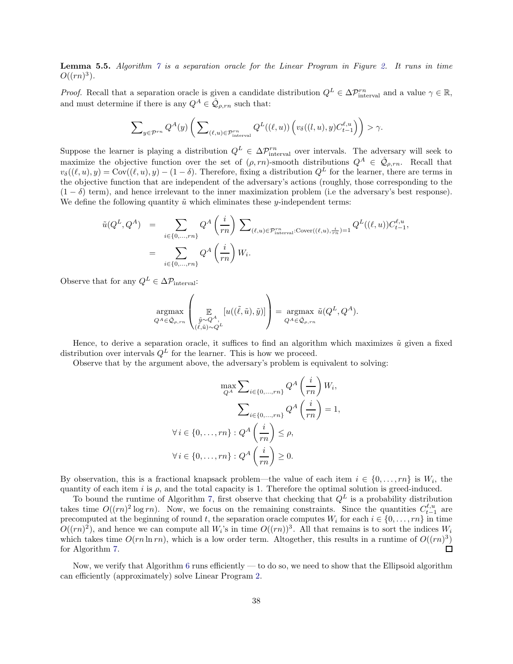<span id="page-39-0"></span>**Lemma 5.5.** Algorithm  $\gamma$  is a separation oracle for the Linear Program in Figure [2.](#page-37-2) It runs in time  $O((rn)^3)$ .

*Proof.* Recall that a separation oracle is given a candidate distribution  $Q^L \in \Delta \mathcal{P}_{\text{interval}}^m$  and a value  $\gamma \in \mathbb{R}$ , and must determine if there is any  $Q^A \in \hat{\mathcal{Q}}_{\rho, rn}$  such that:

$$
\sum\nolimits_{y\in{\mathcal{P}^{rn}}} Q^A(y)\left(\sum\nolimits_{(\ell,u)\in{\mathcal{P}^{rn}_{\rm interval}}} Q^L((\ell,u))\left(v_\delta((l,u),y)C^{\ell,u}_{t-1}\right)\right) > \gamma.
$$

Suppose the learner is playing a distribution  $Q^L \in \Delta \mathcal{P}_{\text{interval}}^{rn}$  over intervals. The adversary will seek to maximize the objective function over the set of  $(\rho, rn)$ -smooth distributions  $Q^A \in \hat{\mathcal{Q}}_{\rho, rn}$ . Recall that  $v_\delta((\ell, u), y) = \text{Cov}((\ell, u), y) - (1 - \delta)$ . Therefore, fixing a distribution  $Q^L$  for the learner, there are terms in the objective function that are independent of the adversary's actions (roughly, those corresponding to the  $(1 - \delta)$  term), and hence irrelevant to the inner maximization problem (i.e the adversary's best response). We define the following quantity  $\tilde{u}$  which eliminates these y-independent terms:

$$
\tilde{u}(Q^L, Q^A) = \sum_{i \in \{0, \dots, rn\}} Q^A \left(\frac{i}{rn}\right) \sum_{(\ell, u) \in \mathcal{P}_{\text{interval}}^{rn} : \text{Cover}((\ell, u), \frac{i}{rn}) = 1} Q^L((\ell, u)) C_{t-1}^{\ell, u},
$$
\n
$$
= \sum_{i \in \{0, \dots, rn\}} Q^A \left(\frac{i}{rn}\right) W_i.
$$

Observe that for any  $Q^L \in \Delta \mathcal{P}_{\text{interval}}$ :

$$
\underset{Q^A \in \hat{\mathcal{Q}}_{\rho, rn}}{\operatorname{argmax}} \left( \underset{\substack{\tilde{y} \sim Q^A, \\ (\tilde{\ell}, \tilde{u}) \sim Q^L}}{\mathbb{E}} \left[ u((\tilde{\ell}, \tilde{u}), \tilde{y}) \right] \right) = \underset{Q^A \in \hat{\mathcal{Q}}_{\rho, rn}}{\operatorname{argmax}} \tilde{u}(Q^L, Q^A).
$$

Hence, to derive a separation oracle, it suffices to find an algorithm which maximizes  $\tilde{u}$  given a fixed distribution over intervals  $Q^L$  for the learner. This is how we proceed.

Observe that by the argument above, the adversary's problem is equivalent to solving:

$$
\max_{Q^A} \sum_{i \in \{0, \dots, rn\}} Q^A \left(\frac{i}{rn}\right) W_i,
$$

$$
\sum_{i \in \{0, \dots, rn\}} Q^A \left(\frac{i}{rn}\right) = 1,
$$

$$
\forall i \in \{0, \dots, rn\} : Q^A \left(\frac{i}{rn}\right) \le \rho,
$$

$$
\forall i \in \{0, \dots, rn\} : Q^A \left(\frac{i}{rn}\right) \ge 0.
$$

By observation, this is a fractional knapsack problem—the value of each item  $i \in \{0, \ldots, rn\}$  is  $W_i$ , the quantity of each item i is  $\rho$ , and the total capacity is 1. Therefore the optimal solution is greed-induced.

To bound the runtime of Algorithm [7,](#page-38-0) first observe that checking that  $Q^L$  is a probability distribution takes time  $O((rn)^2 \log rn)$ . Now, we focus on the remaining constraints. Since the quantities  $C_{t-1}^{\ell,u}$  are precomputed at the beginning of round t, the separation oracle computes  $W_i$  for each  $i \in \{0, \ldots, rn\}$  in time  $O((rn)^2)$ , and hence we can compute all  $W_i$ 's in time  $O((rn))^3$ . All that remains is to sort the indices  $W_i$ which takes time  $O(rn\ln r n)$ , which is a low order term. Altogether, this results in a runtime of  $O((rn)^3)$ for Algorithm [7.](#page-38-0)  $\Box$ 

Now, we verify that Algorithm [6](#page-37-1) runs efficiently — to do so, we need to show that the Ellipsoid algorithm can efficiently (approximately) solve Linear Program [2.](#page-37-2)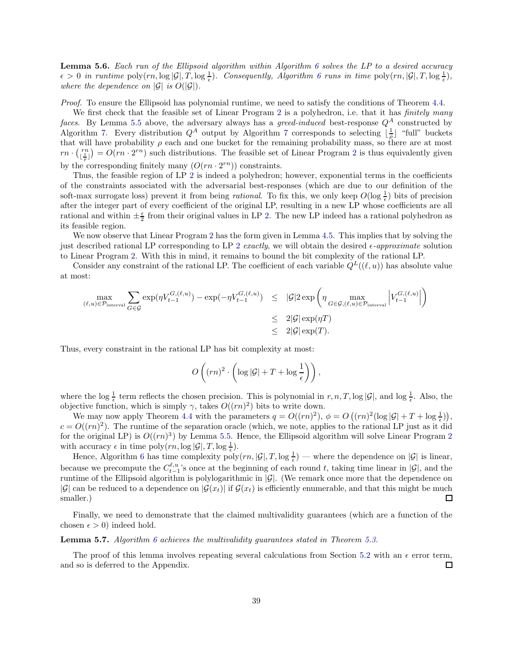**Lemma 5.[6](#page-37-1).** Each run of the Ellipsoid algorithm within Algorithm 6 solves the LP to a desired accuracy  $\epsilon > 0$  in runtime  $\text{poly}(rn, \log |\mathcal{G}|, T, \log \frac{1}{\epsilon})$ . Consequently, Algorithm [6](#page-37-1) runs in time  $\text{poly}(rn, |\mathcal{G}|, T, \log \frac{1}{\epsilon})$ , where the dependence on  $|\mathcal{G}|$  is  $O(|\mathcal{G}|)$ .

Proof. To ensure the Ellipsoid has polynomial runtime, we need to satisfy the conditions of Theorem [4.4.](#page-30-1)

We first check that the feasible set of Linear Program [2](#page-37-2) is a polyhedron, i.e. that it has *finitely many* faces. By Lemma [5.5](#page-39-0) above, the adversary always has a greed-induced best-response  $Q^A$  constructed by Algorithm [7.](#page-38-2) Every distribution  $Q^A$  output by Algorithm [7](#page-38-2) corresponds to selecting  $\lfloor \frac{1}{\rho} \rfloor$  "full" buckets that will have probability  $\rho$  each and one bucket for the remaining probability mass, so there are at most  $rn \cdot \left(\frac{rn}{\lfloor \frac{1}{a} \rfloor}\right)$  $\binom{rn}{\lfloor \frac{1}{\rho} \rfloor} = O(rn \cdot 2^{rn})$  $\binom{rn}{\lfloor \frac{1}{\rho} \rfloor} = O(rn \cdot 2^{rn})$  $\binom{rn}{\lfloor \frac{1}{\rho} \rfloor} = O(rn \cdot 2^{rn})$  such distributions. The feasible set of Linear Program 2 is thus equivalently given by the corresponding finitely many  $(O(rn \cdot 2^{rn}))$  constraints.

Thus, the feasible region of LP [2](#page-37-2) is indeed a polyhedron; however, exponential terms in the coefficients of the constraints associated with the adversarial best-responses (which are due to our definition of the soft-max surrogate loss) prevent it from being *rational*. To fix this, we only keep  $O(\log \frac{1}{\epsilon})$  bits of precision after the integer part of every coefficient of the original LP, resulting in a new LP whose coefficients are all rational and within  $\pm \frac{\epsilon}{2}$  from their original values in LP [2.](#page-37-2) The new LP indeed has a rational polyhedron as its feasible region.

We now observe that Linear Program [2](#page-37-2) has the form given in Lemma [4.5.](#page-30-0) This implies that by solving the just described rational LP corresponding to LP [2](#page-37-2) exactly, we will obtain the desired  $\epsilon$ -approximate solution to Linear Program [2.](#page-37-2) With this in mind, it remains to bound the bit complexity of the rational LP.

Consider any constraint of the rational LP. The coefficient of each variable  $Q^L((\ell, u))$  has absolute value at most:

$$
\begin{array}{rcl} \displaystyle \max_{(\ell, u) \in \mathcal{P}_{\text{interval}}} \sum_{G \in \mathcal{G}} \exp(\eta V_{t-1}^{G, (\ell, u)}) \;\; & \leq \;\; |\mathcal{G}| 2 \exp\left(\eta \max_{G \in \mathcal{G}, (\ell, u) \in \mathcal{P}_{\text{interval}}}\left|V_{t-1}^{G, (\ell, u)}\right|\right) \\ & \leq \;\; 2|\mathcal{G}| \exp(\eta T) \\ & \leq \;\; 2|\mathcal{G}| \exp(\eta T). \end{array}
$$

Thus, every constraint in the rational LP has bit complexity at most:

$$
O\left((rn)^2 \cdot \left(\log |\mathcal{G}| + T + \log \frac{1}{\epsilon}\right)\right),\
$$

where the log  $\frac{1}{\epsilon}$  term reflects the chosen precision. This is polynomial in  $r, n, T$ , log  $|\mathcal{G}|$ , and log  $\frac{1}{\epsilon}$ . Also, the objective function, which is simply  $\gamma$ , takes  $O((rn)^2)$  bits to write down.

We may now apply Theorem [4.4](#page-30-1) with the parameters  $q = O((rn)^2)$ ,  $\phi = O((rn)^2(\log |\mathcal{G}| + T + \log \frac{1}{\epsilon}))$ ,  $c = O((rn)^2)$ . The runtime of the separation oracle (which, we note, applies to the rational LP just as it did for the original LP) is  $O((rn)^3)$  by Lemma [5.5.](#page-39-0) Hence, the Ellipsoid algorithm will solve Linear Program [2](#page-37-2) with accuracy  $\epsilon$  in time poly $(rn, \log |\mathcal{G}|, T, \log \frac{1}{\epsilon}).$ 

Hence, Algorithm [6](#page-37-1) has time complexity  $\text{poly}(rn, |\mathcal{G}|, T, \log \frac{1}{\epsilon})$  — where the dependence on  $|\mathcal{G}|$  is linear, because we precompute the  $C_{t-1}^{\ell,u}$ 's once at the beginning of each round t, taking time linear in  $|\mathcal{G}|$ , and the runtime of the Ellipsoid algorithm is polylogarithmic in  $|\mathcal{G}|$ . (We remark once more that the dependence on |G| can be reduced to a dependence on  $|\mathcal{G}(x_t)|$  if  $\mathcal{G}(x_t)$  is efficiently enumerable, and that this might be much smaller.) smaller.)

Finally, we need to demonstrate that the claimed multivalidity guarantees (which are a function of the chosen  $\epsilon > 0$ ) indeed hold.

#### **Lemma 5.7.** Algorithm [6](#page-37-1) achieves the multivalidity quarantees stated in Theorem [5.3.](#page-37-3)

The proof of this lemma involves repeating several calculations from Section [5.2](#page-32-2) with an  $\epsilon$  error term, and so is deferred to the Appendix.  $\Box$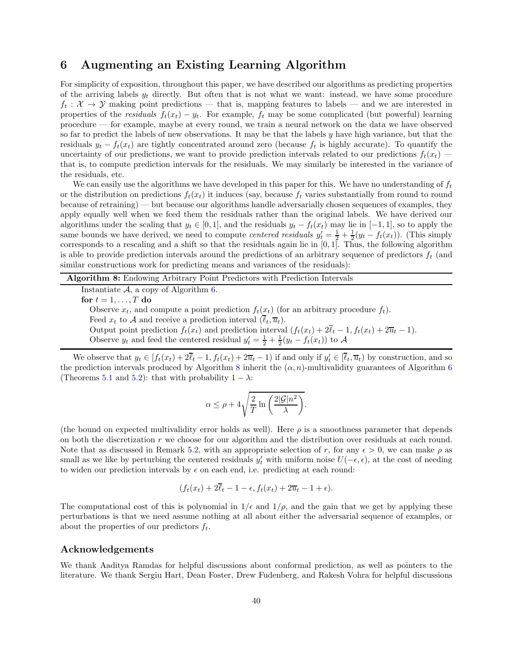# <span id="page-41-0"></span>6 Augmenting an Existing Learning Algorithm

For simplicity of exposition, throughout this paper, we have described our algorithms as predicting properties of the arriving labels  $y_t$  directly. But often that is not what we want: instead, we have some procedure  $f_t: \mathcal{X} \to \mathcal{Y}$  making point predictions — that is, mapping features to labels — and we are interested in properties of the *residuals*  $f_t(x_t) - y_t$ . For example,  $f_t$  may be some complicated (but powerful) learning procedure — for example, maybe at every round, we train a neural network on the data we have observed so far to predict the labels of new observations. It may be that the labels  $y$  have high variance, but that the residuals  $y_t - f_t(x_t)$  are tightly concentrated around zero (because  $f_t$  is highly accurate). To quantify the uncertainty of our predictions, we want to provide prediction intervals related to our predictions  $f_t(x_t)$  that is, to compute prediction intervals for the residuals. We may similarly be interested in the variance of the residuals, etc.

We can easily use the algorithms we have developed in this paper for this. We have no understanding of  $f_t$ or the distribution on predictions  $f_t(x_t)$  it induces (say, because  $f_t$  varies substantially from round to round because of retraining) — but because our algorithms handle adversarially chosen sequences of examples, they apply equally well when we feed them the residuals rather than the original labels. We have derived our algorithms under the scaling that  $y_t \in [0, 1]$ , and the residuals  $y_t - f_t(x_t)$  may lie in  $[-1, 1]$ , so to apply the same bounds we have derived, we need to compute *centered residuals*  $y'_t = \frac{1}{2} + \frac{1}{2}(y_t - f_t(x_t))$ . (This simply corresponds to a rescaling and a shift so that the residuals again lie in [0, 1]. Thus, the following algorithm is able to provide prediction intervals around the predictions of an arbitrary sequence of predictors  $f_t$  (and similar constructions work for predicting means and variances of the residuals):

Algorithm 8: Endowing Arbitrary Point Predictors with Prediction Intervals

Instantiate  $A$ , a copy of Algorithm [6.](#page-37-1)

for  $t = 1, \ldots, T$  do

Observe  $x_t$ , and compute a point prediction  $f_t(x_t)$  (for an arbitrary procedure  $f_t$ ). Feed  $x_t$  to A and receive a prediction interval  $(\overline{\ell}_t, \overline{u}_t)$ . Output point prediction  $f_t(x_t)$  and prediction interval  $(f_t(x_t) + 2\overline{\ell}_t - 1, f_t(x_t) + 2\overline{\ell}_t - 1)$ .

<span id="page-41-1"></span>Observe  $y_t$  and feed the centered residual  $y'_t = \frac{1}{2} + \frac{1}{2}(y_t - f_t(x_t))$  to A

We observe that  $y_t \in [f_t(x_t) + 2\ell_t - 1, f_t(x_t) + 2\overline{u}_t - 1]$  if and only if  $y'_t \in [\ell_t, \overline{u}_t)$  by construction, and so the prediction intervals produced by Algorithm [8](#page-41-1) inherit the  $(\alpha, n)$ -multivalidity guarantees of Algorithm [6](#page-37-1) (Theorems [5.1](#page-36-2) and [5.2\)](#page-36-3): that with probability  $1 - \lambda$ :

$$
\alpha \le \rho + 4\sqrt{\frac{2}{T} \ln \left( \frac{2|\mathcal{G}|n^2}{\lambda} \right)}.
$$

(the bound on expected multivalidity error holds as well). Here  $\rho$  is a smoothness parameter that depends on both the discretization r we choose for our algorithm and the distribution over residuals at each round. Note that as discussed in Remark [5.2,](#page-36-0) with an appropriate selection of r, for any  $\epsilon > 0$ , we can make  $\rho$  as small as we like by perturbing the centered residuals  $y'_t$  with uniform noise  $U(-\epsilon, \epsilon)$ , at the cost of needing to widen our prediction intervals by  $\epsilon$  on each end, i.e. predicting at each round:

$$
(f_t(x_t) + 2\overline{\ell}_t - 1 - \epsilon, f_t(x_t) + 2\overline{u}_t - 1 + \epsilon).
$$

The computational cost of this is polynomial in  $1/\epsilon$  and  $1/\rho$ , and the gain that we get by applying these perturbations is that we need assume nothing at all about either the adversarial sequence of examples, or about the properties of our predictors  $f_t$ .

### Acknowledgements

We thank Aaditya Ramdas for helpful discussions about conformal prediction, as well as pointers to the literature. We thank Sergiu Hart, Dean Foster, Drew Fudenberg, and Rakesh Vohra for helpful discussions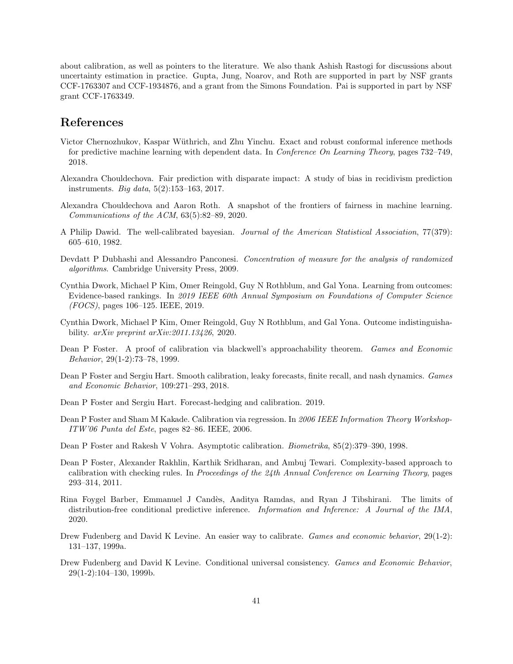about calibration, as well as pointers to the literature. We also thank Ashish Rastogi for discussions about uncertainty estimation in practice. Gupta, Jung, Noarov, and Roth are supported in part by NSF grants CCF-1763307 and CCF-1934876, and a grant from the Simons Foundation. Pai is supported in part by NSF grant CCF-1763349.

# References

- <span id="page-42-13"></span>Victor Chernozhukov, Kaspar Wüthrich, and Zhu Yinchu. Exact and robust conformal inference methods for predictive machine learning with dependent data. In *Conference On Learning Theory*, pages 732–749, 2018.
- <span id="page-42-9"></span>Alexandra Chouldechova. Fair prediction with disparate impact: A study of bias in recidivism prediction instruments. Big data, 5(2):153–163, 2017.
- <span id="page-42-14"></span>Alexandra Chouldechova and Aaron Roth. A snapshot of the frontiers of fairness in machine learning. Communications of the ACM, 63(5):82–89, 2020.
- <span id="page-42-0"></span>A Philip Dawid. The well-calibrated bayesian. Journal of the American Statistical Association, 77(379): 605–610, 1982.
- <span id="page-42-15"></span>Devdatt P Dubhashi and Alessandro Panconesi. Concentration of measure for the analysis of randomized algorithms. Cambridge University Press, 2009.
- <span id="page-42-10"></span>Cynthia Dwork, Michael P Kim, Omer Reingold, Guy N Rothblum, and Gal Yona. Learning from outcomes: Evidence-based rankings. In 2019 IEEE 60th Annual Symposium on Foundations of Computer Science (FOCS), pages 106–125. IEEE, 2019.
- <span id="page-42-11"></span>Cynthia Dwork, Michael P Kim, Omer Reingold, Guy N Rothblum, and Gal Yona. Outcome indistinguishability. arXiv preprint arXiv:2011.13426, 2020.
- <span id="page-42-3"></span>Dean P Foster. A proof of calibration via blackwell's approachability theorem. Games and Economic Behavior, 29(1-2):73–78, 1999.
- <span id="page-42-8"></span>Dean P Foster and Sergiu Hart. Smooth calibration, leaky forecasts, finite recall, and nash dynamics. Games and Economic Behavior, 109:271–293, 2018.
- <span id="page-42-4"></span>Dean P Foster and Sergiu Hart. Forecast-hedging and calibration. 2019.
- <span id="page-42-7"></span>Dean P Foster and Sham M Kakade. Calibration via regression. In 2006 IEEE Information Theory Workshop-ITW'06 Punta del Este, pages 82–86. IEEE, 2006.
- <span id="page-42-1"></span>Dean P Foster and Rakesh V Vohra. Asymptotic calibration. Biometrika, 85(2):379–390, 1998.
- <span id="page-42-6"></span>Dean P Foster, Alexander Rakhlin, Karthik Sridharan, and Ambuj Tewari. Complexity-based approach to calibration with checking rules. In *Proceedings of the 24th Annual Conference on Learning Theory*, pages 293–314, 2011.
- <span id="page-42-12"></span>Rina Foygel Barber, Emmanuel J Cand`es, Aaditya Ramdas, and Ryan J Tibshirani. The limits of distribution-free conditional predictive inference. Information and Inference: A Journal of the IMA, 2020.
- <span id="page-42-2"></span>Drew Fudenberg and David K Levine. An easier way to calibrate. *Games and economic behavior*, 29(1-2): 131–137, 1999a.
- <span id="page-42-5"></span>Drew Fudenberg and David K Levine. Conditional universal consistency. Games and Economic Behavior, 29(1-2):104–130, 1999b.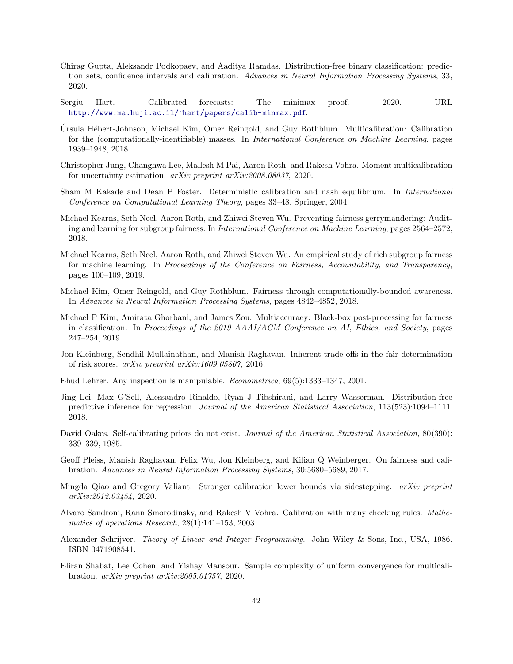- <span id="page-43-13"></span>Chirag Gupta, Aleksandr Podkopaev, and Aaditya Ramdas. Distribution-free binary classification: prediction sets, confidence intervals and calibration. Advances in Neural Information Processing Systems, 33, 2020.
- <span id="page-43-3"></span>Sergiu Hart. Calibrated forecasts: The minimax proof. 2020. URL <http://www.ma.huji.ac.il/~hart/papers/calib-minmax.pdf>.
- <span id="page-43-0"></span>Ursula Hébert-Johnson, Michael Kim, Omer Reingold, and Guy Rothblum. Multicalibration: Calibration for the (computationally-identifiable) masses. In International Conference on Machine Learning, pages 1939–1948, 2018.
- <span id="page-43-1"></span>Christopher Jung, Changhwa Lee, Mallesh M Pai, Aaron Roth, and Rakesh Vohra. Moment multicalibration for uncertainty estimation. arXiv preprint arXiv:2008.08037, 2020.
- <span id="page-43-7"></span>Sham M Kakade and Dean P Foster. Deterministic calibration and nash equilibrium. In International Conference on Computational Learning Theory, pages 33–48. Springer, 2004.
- <span id="page-43-14"></span>Michael Kearns, Seth Neel, Aaron Roth, and Zhiwei Steven Wu. Preventing fairness gerrymandering: Auditing and learning for subgroup fairness. In International Conference on Machine Learning, pages 2564–2572, 2018.
- <span id="page-43-15"></span>Michael Kearns, Seth Neel, Aaron Roth, and Zhiwei Steven Wu. An empirical study of rich subgroup fairness for machine learning. In Proceedings of the Conference on Fairness, Accountability, and Transparency, pages 100–109, 2019.
- <span id="page-43-16"></span>Michael Kim, Omer Reingold, and Guy Rothblum. Fairness through computationally-bounded awareness. In Advances in Neural Information Processing Systems, pages 4842–4852, 2018.
- <span id="page-43-10"></span>Michael P Kim, Amirata Ghorbani, and James Zou. Multiaccuracy: Black-box post-processing for fairness in classification. In Proceedings of the 2019 AAAI/ACM Conference on AI, Ethics, and Society, pages 247–254, 2019.
- <span id="page-43-8"></span>Jon Kleinberg, Sendhil Mullainathan, and Manish Raghavan. Inherent trade-offs in the fair determination of risk scores. arXiv preprint arXiv:1609.05807, 2016.
- <span id="page-43-5"></span>Ehud Lehrer. Any inspection is manipulable. Econometrica, 69(5):1333–1347, 2001.
- <span id="page-43-4"></span>Jing Lei, Max G'Sell, Alessandro Rinaldo, Ryan J Tibshirani, and Larry Wasserman. Distribution-free predictive inference for regression. Journal of the American Statistical Association, 113(523):1094–1111, 2018.
- <span id="page-43-6"></span>David Oakes. Self-calibrating priors do not exist. Journal of the American Statistical Association, 80(390): 339–339, 1985.
- <span id="page-43-9"></span>Geoff Pleiss, Manish Raghavan, Felix Wu, Jon Kleinberg, and Kilian Q Weinberger. On fairness and calibration. Advances in Neural Information Processing Systems, 30:5680–5689, 2017.
- <span id="page-43-12"></span>Mingda Qiao and Gregory Valiant. Stronger calibration lower bounds via sidestepping. arXiv preprint arXiv:2012.03454, 2020.
- <span id="page-43-2"></span>Alvaro Sandroni, Rann Smorodinsky, and Rakesh V Vohra. Calibration with many checking rules. Mathematics of operations Research, 28(1):141–153, 2003.
- <span id="page-43-17"></span>Alexander Schrijver. Theory of Linear and Integer Programming. John Wiley & Sons, Inc., USA, 1986. ISBN 0471908541.
- <span id="page-43-11"></span>Eliran Shabat, Lee Cohen, and Yishay Mansour. Sample complexity of uniform convergence for multicalibration. arXiv preprint arXiv:2005.01757, 2020.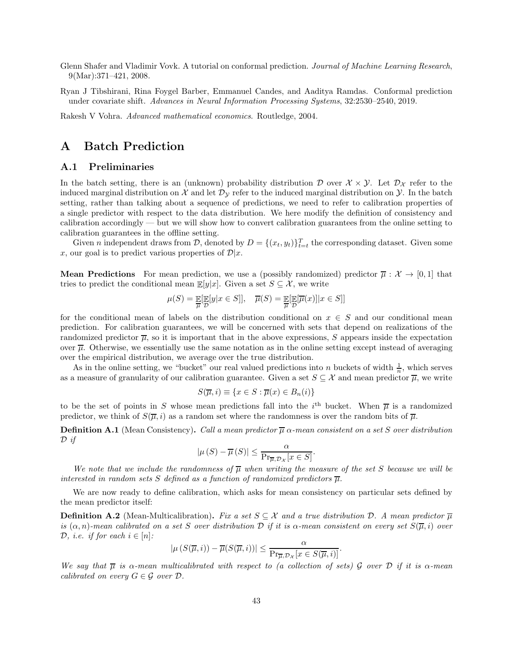- <span id="page-44-2"></span>Glenn Shafer and Vladimir Vovk. A tutorial on conformal prediction. Journal of Machine Learning Research, 9(Mar):371–421, 2008.
- <span id="page-44-3"></span>Ryan J Tibshirani, Rina Foygel Barber, Emmanuel Candes, and Aaditya Ramdas. Conformal prediction under covariate shift. Advances in Neural Information Processing Systems, 32:2530–2540, 2019.

<span id="page-44-4"></span>Rakesh V Vohra. Advanced mathematical economics. Routledge, 2004.

# <span id="page-44-1"></span><span id="page-44-0"></span>A Batch Prediction

### A.1 Preliminaries

In the batch setting, there is an (unknown) probability distribution D over  $\mathcal{X} \times \mathcal{Y}$ . Let  $\mathcal{D}_{\mathcal{X}}$  refer to the induced marginal distribution on  $\mathcal X$  and let  $\mathcal D_{\mathcal Y}$  refer to the induced marginal distribution on  $\mathcal Y$ . In the batch setting, rather than talking about a sequence of predictions, we need to refer to calibration properties of a single predictor with respect to the data distribution. We here modify the definition of consistency and calibration accordingly — but we will show how to convert calibration guarantees from the online setting to calibration guarantees in the offline setting.

Given *n* independent draws from *D*, denoted by  $D = \{(x_t, y_t)\}_{t=t}^T$  the corresponding dataset. Given some x, our goal is to predict various properties of  $\mathcal{D}|x$ .

**Mean Predictions** For mean prediction, we use a (possibly randomized) predictor  $\overline{\mu}: \mathcal{X} \to [0,1]$  that tries to predict the conditional mean  $\mathbb{E}[y|x]$ . Given a set  $S \subseteq \mathcal{X}$ , we write

$$
\mu(S) = \mathop{\mathbb{E}}_{\overline{\mu}}[\mathop{\mathbb{E}}_{\mathcal{D}}[y|x \in S]], \quad \overline{\mu}(S) = \mathop{\mathbb{E}}_{\overline{\mu}}[\mathop{\mathbb{E}}_{\mathcal{D}}[\overline{\mu}(x)]|x \in S]]
$$

for the conditional mean of labels on the distribution conditional on  $x \in S$  and our conditional mean prediction. For calibration guarantees, we will be concerned with sets that depend on realizations of the randomized predictor  $\overline{\mu}$ , so it is important that in the above expressions, S appears inside the expectation over  $\overline{\mu}$ . Otherwise, we essentially use the same notation as in the online setting except instead of averaging over the empirical distribution, we average over the true distribution.

As in the online setting, we "bucket" our real valued predictions into n buckets of width  $\frac{1}{n}$ , which serves as a measure of granularity of our calibration guarantee. Given a set  $S \subseteq \mathcal{X}$  and mean predictor  $\overline{\mu}$ , we write

$$
S(\overline{\mu},i) \equiv \{x \in S : \overline{\mu}(x) \in B_n(i)\}\
$$

to be the set of points in S whose mean predictions fall into the  $i^{\text{th}}$  bucket. When  $\overline{\mu}$  is a randomized predictor, we think of  $S(\overline{\mu}, i)$  as a random set where the randomness is over the random bits of  $\overline{\mu}$ .

**Definition A.1** (Mean Consistency). Call a mean predictor  $\overline{\mu}$   $\alpha$ -mean consistent on a set S over distribution  $\mathcal{D}$  if

$$
|\mu(S) - \overline{\mu}(S)| \le \frac{\alpha}{\Pr_{\overline{\mu}, \mathcal{D}_X} [x \in S]}
$$

.

We note that we include the randomness of  $\overline{\mu}$  when writing the measure of the set S because we will be interested in random sets S defined as a function of randomized predictors  $\overline{\mu}$ .

We are now ready to define calibration, which asks for mean consistency on particular sets defined by the mean predictor itself:

**Definition A.2** (Mean-Multicalibration). Fix a set  $S \subseteq \mathcal{X}$  and a true distribution  $D$ . A mean predictor  $\overline{\mu}$ is  $(\alpha, n)$ -mean calibrated on a set S over distribution D if it is  $\alpha$ -mean consistent on every set  $S(\overline{\mu}, i)$  over D, i.e. if for each  $i \in [n]$ :

$$
|\mu(S(\overline{\mu},i)) - \overline{\mu}(S(\overline{\mu},i))| \leq \frac{\alpha}{\Pr_{\overline{\mu}, \mathcal{D}_{\mathcal{X}}} [x \in S(\overline{\mu},i)]}.
$$

We say that  $\overline{\mu}$  is  $\alpha$ -mean multicalibrated with respect to (a collection of sets) G over D if it is  $\alpha$ -mean calibrated on every  $G \in \mathcal{G}$  over  $\mathcal{D}$ .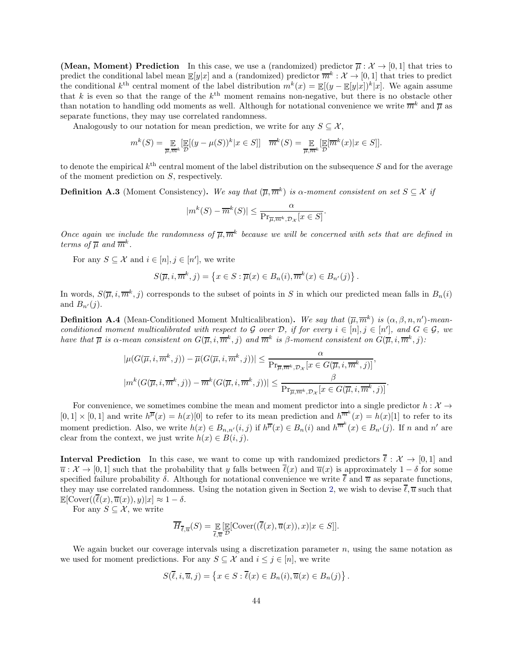**(Mean, Moment) Prediction** In this case, we use a (randomized) predictor  $\overline{\mu}: \mathcal{X} \to [0, 1]$  that tries to predict the conditional label mean  $\mathbb{E}[y|x]$  and a (randomized) predictor  $\overline{m}^k : \mathcal{X} \to [0,1]$  that tries to predict the conditional  $k^{\text{th}}$  central moment of the label distribution  $m^k(x) = \mathbb{E}[(y - \mathbb{E}[y|x])^k|x]$ . We again assume that k is even so that the range of the  $k^{\text{th}}$  moment remains non-negative, but there is no obstacle other than notation to handling odd moments as well. Although for notational convenience we write  $\overline{m}^k$  and  $\overline{\mu}$  as separate functions, they may use correlated randomness.

Analogously to our notation for mean prediction, we write for any  $S \subseteq \mathcal{X}$ ,

$$
m^{k}(S) = \mathop{\mathbb{E}}_{\overline{\mu}, \overline{m}^{k}} \left[ \mathop{\mathbb{E}}_{\mathcal{D}}[(y - \mu(S))^{k} | x \in S] \right] \quad \overline{m}^{k}(S) = \mathop{\mathbb{E}}_{\overline{\mu}, \overline{m}^{k}} \left[ \mathop{\mathbb{E}}_{\mathcal{D}}[\overline{m}^{k}(x) | x \in S] \right].
$$

to denote the empirical  $k^{\text{th}}$  central moment of the label distribution on the subsequence S and for the average of the moment prediction on S, respectively.

**Definition A.3** (Moment Consistency). We say that  $(\overline{\mu}, \overline{m}^k)$  is a-moment consistent on set  $S \subseteq \mathcal{X}$  if

$$
|m^{k}(S) - \overline{m}^{k}(S)| \leq \frac{\alpha}{\Pr_{\overline{\mu}, \overline{m}^{k}, \mathcal{D}_{X}}[x \in S]}.
$$

Once again we include the randomness of  $\overline{\mu}, \overline{m}^k$  because we will be concerned with sets that are defined in terms of  $\overline{\mu}$  and  $\overline{m}^k$ .

For any  $S \subseteq \mathcal{X}$  and  $i \in [n], j \in [n']$ , we write

$$
S(\overline{\mu}, i, \overline{m}^k, j) = \left\{ x \in S : \overline{\mu}(x) \in B_n(i), \overline{m}^k(x) \in B_{n'}(j) \right\}.
$$

In words,  $S(\overline{\mu}, i, \overline{m}^k, j)$  corresponds to the subset of points in S in which our predicted mean falls in  $B_n(i)$ and  $B_{n'}(j)$ .

**Definition A.4** (Mean-Conditioned Moment Multicalibration). We say that  $(\overline{\mu}, \overline{m}^k)$  is  $(\alpha, \beta, n, n')$ -meanconditioned moment multicalibrated with respect to G over D, if for every  $i \in [n], j \in [n']$ , and  $G \in \mathcal{G}$ , we have that  $\overline{\mu}$  is  $\alpha$ -mean consistent on  $G(\overline{\mu}, i, \overline{m}^k, j)$  and  $\overline{m}^k$  is  $\beta$ -moment consistent on  $G(\overline{\mu}, i, \overline{m}^k, j)$ :

$$
|\mu(G(\overline{\mu}, i, \overline{m}^k, j)) - \overline{\mu}(G(\overline{\mu}, i, \overline{m}^k, j))| \leq \frac{\alpha}{\Pr_{\overline{\mu}, \overline{m}^k, \mathcal{D}_X} [x \in G(\overline{\mu}, i, \overline{m}^k, j)]},
$$
  

$$
|m^k(G(\overline{\mu}, i, \overline{m}^k, j)) - \overline{m}^k(G(\overline{\mu}, i, \overline{m}^k, j))| \leq \frac{\beta}{\Pr_{\overline{\mu}, \overline{m}^k, \mathcal{D}_X} [x \in G(\overline{\mu}, i, \overline{m}^k, j)]}
$$

.

For convenience, we sometimes combine the mean and moment predictor into a single predictor  $h: \mathcal{X} \to$  $[0,1] \times [0,1]$  and write  $h^{\overline{\mu}}(x) = h(x)[0]$  to refer to its mean prediction and  $h^{\overline{m}^k}(x) = h(x)[1]$  to refer to its moment prediction. Also, we write  $h(x) \in B_{n,n'}(i,j)$  if  $h^{\overline{\mu}}(x) \in B_n(i)$  and  $h^{\overline{m}^k}(x) \in B_{n'}(j)$ . If n and n' are clear from the context, we just write  $h(x) \in B(i, j)$ .

**Interval Prediction** In this case, we want to come up with randomized predictors  $\bar{\ell}: \mathcal{X} \to [0,1]$  and  $\overline{u}$  :  $\mathcal{X} \to [0,1]$  such that the probability that y falls between  $\overline{\ell}(x)$  and  $\overline{u}(x)$  is approximately  $1-\delta$  for some specified failure probability  $\delta$ . Although for notational convenience we write  $\ell$  and  $\overline{u}$  as separate functions, they may use correlated randomness. Using the notation given in Section [2,](#page-7-0) we wish to devise  $\ell, \overline{u}$  such that  $\mathbb{E}[\text{Cover}((\overline{\ell}(x), \overline{u}(x)), y)|x] \approx 1 - \delta.$ 

For any  $S \subseteq \mathcal{X}$ , we write

$$
\overline{H}_{\overline{\ell},\overline{u}}(S) = \underset{\overline{\ell},\overline{u}}{\mathbb{E}} \left[ \underset{\mathcal{D}}{\mathbb{E}} [\mathrm{Cover}((\overline{\ell}(x),\overline{u}(x)), x) | x \in S] \right].
$$

We again bucket our coverage intervals using a discretization parameter  $n$ , using the same notation as we used for moment predictions. For any  $S \subseteq \mathcal{X}$  and  $i \leq j \in [n]$ , we write

$$
S(\overline{\ell}, i, \overline{u}, j) = \left\{ x \in S : \overline{\ell}(x) \in B_n(i), \overline{u}(x) \in B_n(j) \right\}.
$$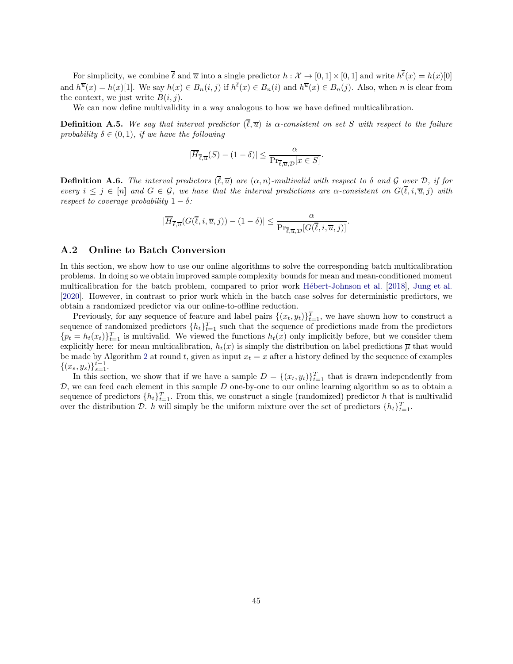For simplicity, we combine  $\overline{\ell}$  and  $\overline{u}$  into a single predictor  $h : \mathcal{X} \to [0,1] \times [0,1]$  and write  $h^{\ell}(x) = h(x)[0]$ and  $h^{\overline{u}}(x) = h(x)[1]$ . We say  $h(x) \in B_n(i,j)$  if  $h^{\ell}(x) \in B_n(i)$  and  $h^{\overline{u}}(x) \in B_n(j)$ . Also, when n is clear from the context, we just write  $B(i, j)$ .

We can now define multivalidity in a way analogous to how we have defined multicalibration.

**Definition A.5.** We say that interval predictor  $(\overline{\ell}, \overline{u})$  is  $\alpha$ -consistent on set S with respect to the failure probability  $\delta \in (0,1)$ , if we have the following

$$
|\overline{H}_{\overline{\ell},\overline{u}}(S) - (1 - \delta)| \leq \frac{\alpha}{\Pr_{\overline{\ell},\overline{u},\mathcal{D}}[x \in S]}.
$$

**Definition A.6.** The interval predictors  $(\overline{\ell}, \overline{u})$  are  $(\alpha, n)$ -multivalid with respect to  $\delta$  and  $\mathcal G$  over  $\mathcal D$ , if for every  $i \leq j \in [n]$  and  $G \in \mathcal{G}$ , we have that the interval predictions are  $\alpha$ -consistent on  $G(\overline{\ell}, i, \overline{u}, j)$  with respect to coverage probability  $1 - \delta$ :

$$
|\overline{H}_{\overline{\ell},\overline{u}}(G(\overline{\ell},i,\overline{u},j)) - (1-\delta)| \leq \frac{\alpha}{\Pr_{\overline{\ell},\overline{u},\mathcal{D}}[G(\overline{\ell},i,\overline{u},j)]}
$$

.

### <span id="page-46-0"></span>A.2 Online to Batch Conversion

In this section, we show how to use our online algorithms to solve the corresponding batch multicalibration problems. In doing so we obtain improved sample complexity bounds for mean and mean-conditioned moment multicalibration for the batch problem, compared to prior work Hébert-Johnson et al. [\[2018\]](#page-43-0), [Jung et al.](#page-43-1) [\[2020\]](#page-43-1). However, in contrast to prior work which in the batch case solves for deterministic predictors, we obtain a randomized predictor via our online-to-offline reduction.

Previously, for any sequence of feature and label pairs  $\{(x_t, y_t)\}_{t=1}^T$ , we have shown how to construct a sequence of randomized predictors  $\{h_t\}_{t=1}^T$  such that the sequence of predictions made from the predictors  ${p_t = h_t(x_t)}_{t=1}^T$  is multivalid. We viewed the functions  $h_t(x)$  only implicitly before, but we consider them explicitly here: for mean multicalibration,  $h_t(x)$  is simply the distribution on label predictions  $\overline{\mu}$  that would be made by Algorithm [2](#page-18-1) at round t, given as input  $x_t = x$  after a history defined by the sequence of examples  $\{(x_s, y_s)\}_{s=1}^{t-1}.$ 

In this section, we show that if we have a sample  $D = \{(x_t, y_t)\}_{t=1}^T$  that is drawn independently from  $D$ , we can feed each element in this sample  $D$  one-by-one to our online learning algorithm so as to obtain a sequence of predictors  $\{h_t\}_{t=1}^T$ . From this, we construct a single (randomized) predictor h that is multivalid over the distribution  $\mathcal{D}$ . h will simply be the uniform mixture over the set of predictors  $\{h_t\}_{t=1}^T$ .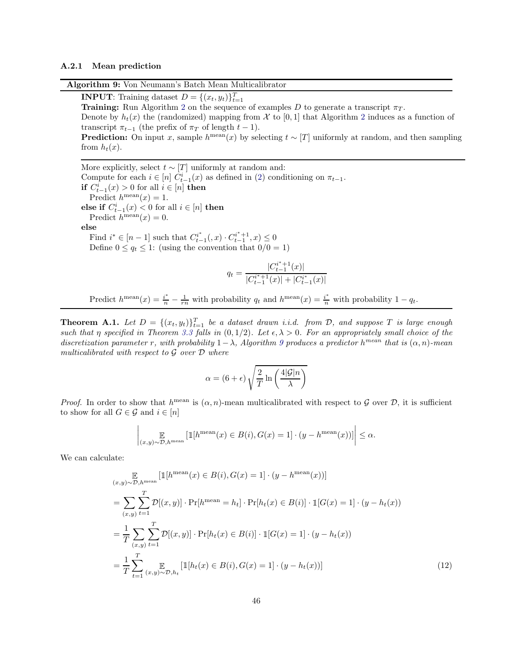#### <span id="page-47-1"></span><span id="page-47-0"></span>A.2.1 Mean prediction

Algorithm 9: Von Neumann's Batch Mean Multicalibrator

**INPUT:** Training dataset  $D = \{(x_t, y_t)\}_{t=1}^T$ 

**Training:** Run Algorithm [2](#page-18-1) on the sequence of examples D to generate a transcript  $\pi_T$ . Denote by  $h_t(x)$  the (randomized) mapping from X to [0, 1] that Algorithm [2](#page-18-1) induces as a function of transcript  $\pi_{t-1}$  (the prefix of  $\pi_T$  of length  $t-1$ ).

**Prediction:** On input x, sample  $h^{\text{mean}}(x)$  by selecting  $t \sim [T]$  uniformly at random, and then sampling from  $h_t(x)$ .

More explicitly, select  $t \sim [T]$  uniformly at random and: Compute for each  $i \in [n]$   $C_{t-1}^i(x)$  as defined in [\(2\)](#page-14-1) conditioning on  $\pi_{t-1}$ . **if**  $C_{t-1}^i(x) > 0$  for all  $i \in [n]$  **then** Predict  $h^{\text{mean}}(x) = 1$ . else if  $C_{t-1}^i(x) < 0$  for all  $i \in [n]$  then se if  $C_{t-1}(x) \leq 0$  for Predict  $h^{\text{mean}}(x) = 0$ . else Find  $i^* \in [n-1]$  such that  $C_{t-}^{i^*}$  $\frac{a^{i^*}}{t-1}(x) \cdot C^{i^*+1}_{t-1}$  $\binom{n^r+1}{t-1}, x \leq 0$ Define  $0 \le q_t \le 1$ : (using the convention that  $0/0 = 1$ )  $q_t = \frac{|C_{t-1}^{i^*+1}|}{|C_{t-1}^{i^*+1}|}$  $\frac{u+1}{t-1}(x)$ |  $|C_{t-1}^{i^{*}+1}$  $|t-1}^{i^*+1}(x)|+|C_{t-1}^{i^*}(x)|$ 

Predict  $h^{\text{mean}}(x) = \frac{i^*}{n} - \frac{1}{rn}$  with probability  $q_t$  and  $h^{\text{mean}}(x) = \frac{i^*}{n}$  with probability  $1 - q_t$ .

<span id="page-47-3"></span>**Theorem A.1.** Let  $D = \{(x_t, y_t)\}_{t=1}^T$  be a dataset drawn i.i.d. from  $D$ , and suppose T is large enough such that η specified in Theorem [3.3](#page-17-1) falls in  $(0, 1/2)$ . Let  $\epsilon, \lambda > 0$ . For an appropriately small choice of the discretization parameter r, with probability  $1-\lambda$ , Algorithm [9](#page-47-1) produces a predictor  $h^{mean}$  that is  $(\alpha, n)$ -mean multicalibrated with respect to  $\mathcal G$  over  $\mathcal D$  where

<span id="page-47-2"></span>
$$
\alpha = (6 + \epsilon) \sqrt{\frac{2}{T} \ln \left( \frac{4|\mathcal{G}|n}{\lambda} \right)}
$$

*Proof.* In order to show that  $h^{\text{mean}}$  is  $(\alpha, n)$ -mean multicalibrated with respect to G over D, it is sufficient to show for all  $G \in \mathcal{G}$  and  $i \in [n]$ 

$$
\left| \underset{(x,y)\sim \mathcal{D},h^{\text{mean}}}{{\mathbb{E}}}\left[\mathbbm{1}[h^{\text{mean}}(x)\in B(i), G(x) = 1] \cdot (y - h^{\text{mean}}(x))\right]\right| \leq \alpha.
$$

We can calculate:

$$
\mathbb{E}_{(x,y)\sim\mathcal{D},h^{\text{mean}}}[\mathbb{1}[h^{\text{mean}}(x) \in B(i), G(x) = 1] \cdot (y - h^{\text{mean}}(x))]
$$
\n
$$
= \sum_{(x,y)} \sum_{t=1}^{T} \mathcal{D}[(x,y)] \cdot \Pr[h^{\text{mean}} = h_t] \cdot \Pr[h_t(x) \in B(i)] \cdot \mathbb{1}[G(x) = 1] \cdot (y - h_t(x))
$$
\n
$$
= \frac{1}{T} \sum_{(x,y)} \sum_{t=1}^{T} \mathcal{D}[(x,y)] \cdot \Pr[h_t(x) \in B(i)] \cdot \mathbb{1}[G(x) = 1] \cdot (y - h_t(x))
$$
\n
$$
= \frac{1}{T} \sum_{t=1}^{T} \mathbb{E}_{(x,y)\sim\mathcal{D},h_t}[\mathbb{1}[h_t(x) \in B(i), G(x) = 1] \cdot (y - h_t(x))]
$$
\n(12)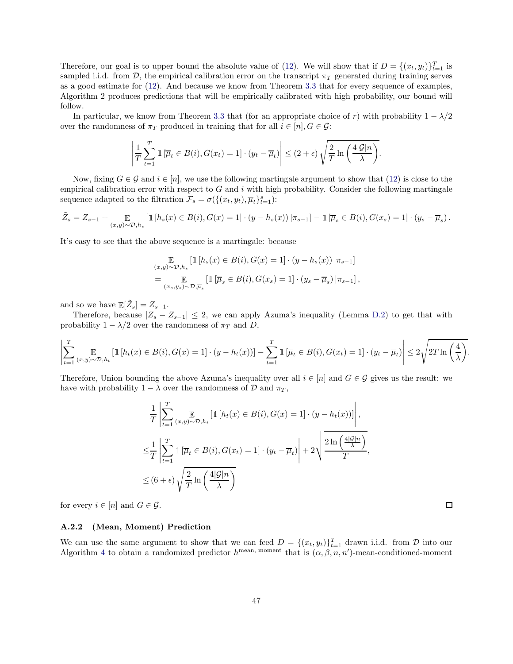Therefore, our goal is to upper bound the absolute value of [\(12\)](#page-47-2). We will show that if  $D = \{(x_t, y_t)\}_{t=1}^T$  is sampled i.i.d. from D, the empirical calibration error on the transcript  $\pi_T$  generated during training serves as a good estimate for [\(12\)](#page-47-2). And because we know from Theorem [3.3](#page-17-1) that for every sequence of examples, Algorithm 2 produces predictions that will be empirically calibrated with high probability, our bound will follow.

In particular, we know from Theorem [3.3](#page-17-1) that (for an appropriate choice of r) with probability  $1 - \lambda/2$ over the randomness of  $\pi_T$  produced in training that for all  $i \in [n], G \in \mathcal{G}$ :

$$
\left|\frac{1}{T}\sum_{t=1}^T \mathbb{1}\left[\overline{\mu}_t \in B(i), G(x_t) = 1\right] \cdot (y_t - \overline{\mu}_t)\right| \le (2 + \epsilon) \sqrt{\frac{2}{T} \ln\left(\frac{4|\mathcal{G}|n}{\lambda}\right)}.
$$

Now, fixing  $G \in \mathcal{G}$  and  $i \in [n]$ , we use the following martingale argument to show that [\(12\)](#page-47-2) is close to the empirical calibration error with respect to  $G$  and  $i$  with high probability. Consider the following martingale sequence adapted to the filtration  $\mathcal{F}_s = \sigma(\{(x_t, y_t), \overline{\mu}_t\}_{t=1}^s)$ :

$$
\tilde{Z}_s = Z_{s-1} + \mathop{\mathbb{E}}_{(x,y)\sim\mathcal{D},h_s} \left[ \mathbbm{1}\left[h_s(x) \in B(i), G(x) = 1\right] \cdot (y - h_s(x)) \,|\pi_{s-1}\right] - \mathbbm{1}\left[\overline{\mu}_s \in B(i), G(x_s) = 1\right] \cdot (y_s - \overline{\mu}_s).
$$

It's easy to see that the above sequence is a martingale: because

$$
\mathbb{E}_{(x,y)\sim\mathcal{D},h_s} \left[ \mathbbm{1}\left[h_s(x) \in B(i), G(x) = 1\right] \cdot (y - h_s(x)) \,|\pi_{s-1}\right]
$$
\n
$$
= \mathbb{E}_{(x_s,y_s)\sim\mathcal{D},\overline{\mu}_s} \left[ \mathbbm{1}\left[\overline{\mu}_s \in B(i), G(x_s) = 1\right] \cdot (y_s - \overline{\mu}_s) \,|\pi_{s-1}\right],
$$

and so we have  $\mathbb{E}[\tilde{Z}_s] = Z_{s-1}$ .

Therefore, because  $|Z_s - Z_{s-1}| \leq 2$ , we can apply Azuma's inequality (Lemma [D.2\)](#page-60-0) to get that with probability  $1 - \lambda/2$  over the randomness of  $\pi_T$  and D,

$$
\left|\sum_{t=1}^T \mathop{\mathbb{E}}_{(x,y)\sim\mathcal{D},h_t} \left[\mathbbm{1}\left[h_t(x)\in B(i),G(x)=1\right]\cdot (y-h_t(x))\right]-\sum_{t=1}^T \mathbbm{1}\left[\overline{\mu}_t\in B(i),G(x_t)=1\right]\cdot (y_t-\overline{\mu}_t)\right|\leq 2\sqrt{2T\ln\left(\frac{4}{\lambda}\right)}.
$$

Therefore, Union bounding the above Azuma's inequality over all  $i \in [n]$  and  $G \in \mathcal{G}$  gives us the result: we have with probability  $1 - \lambda$  over the randomness of  $\mathcal{D}$  and  $\pi_T$ ,

$$
\frac{1}{T} \left| \sum_{t=1}^{T} \mathbb{E}_{(x,y)\sim\mathcal{D}, h_t} \left[ \mathbb{1} \left[ h_t(x) \in B(i), G(x) = 1 \right] \cdot (y - h_t(x)) \right] \right|,
$$
\n
$$
\leq \frac{1}{T} \left| \sum_{t=1}^{T} \mathbb{1} \left[ \overline{\mu}_t \in B(i), G(x_t) = 1 \right] \cdot (y_t - \overline{\mu}_t) \right| + 2 \sqrt{\frac{2 \ln \left( \frac{4|\mathcal{G}|n}{\lambda} \right)}{T}},
$$
\n
$$
\leq (6 + \epsilon) \sqrt{\frac{2}{T} \ln \left( \frac{4|\mathcal{G}|n}{\lambda} \right)}
$$

for every  $i \in [n]$  and  $G \in \mathcal{G}$ .

### <span id="page-48-0"></span>A.2.2 (Mean, Moment) Prediction

We can use the same argument to show that we can feed  $D = \{(x_t, y_t)\}_{t=1}^T$  drawn i.i.d. from  $D$  into our Algorithm [4](#page-29-1) to obtain a randomized predictor  $h^{\text{mean}}$ , moment that is  $(\alpha, \beta, n, n')$ -mean-conditioned-moment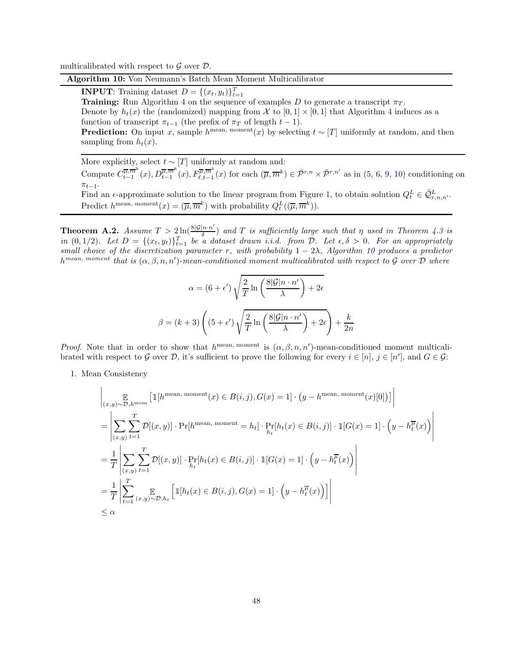<span id="page-49-0"></span>multicalibrated with respect to  $\mathcal G$  over  $\mathcal D$ .

#### Algorithm 10: Von Neumann's Batch Mean Moment Multicalibrator

**INPUT**: Training dataset  $D = \{(x_t, y_t)\}_{t=1}^T$ 

**Training:** Run Algorithm [4](#page-29-1) on the sequence of examples D to generate a transcript  $\pi_T$ . Denote by  $h_t(x)$  the (randomized) mapping from X to  $[0, 1] \times [0, 1]$  that Algorithm [4](#page-29-1) induces as a function of transcript  $\pi_{t-1}$  (the prefix of  $\pi_T$  of length  $t-1$ ).

**Prediction:** On input x, sample  $h^{\text{mean}}(x)$  by selecting  $t \sim [T]$  uniformly at random, and then sampling from  $h_t(x)$ .

More explicitly, select  $t \sim [T]$  uniformly at random and:

Compute  $C^{\overline{\mu},\overline{m}^k}_{t-1}$  $\overline{\mu, m^k}(x), D_{t-1}^{\overline{\mu}, \overline{m}^k}(x), F_{\ell,t-1}^{\overline{\mu}, \overline{m}^k}(x)$  for each  $(\overline{\mu}, \overline{m}^k) \in \hat{\mathcal{P}}^{r,n} \times \hat{\mathcal{P}}^{r,n'}$  as in  $(5, 6, 9, 10)$  $(5, 6, 9, 10)$  $(5, 6, 9, 10)$  $(5, 6, 9, 10)$  $(5, 6, 9, 10)$  $(5, 6, 9, 10)$  conditioning on  $\pi_{t-1}$ .

Find an  $\epsilon$ -approximate solution to the linear program from Figure [1,](#page-29-0) to obtain solution  $Q_t^L \in \hat{Q}_{r,n,n'}^L$ . Predict  $h^{\text{mean, moment}}(x) = (\overline{\mu}, \overline{m}^k)$  with probability  $Q_t^L((\overline{\mu}, \overline{m}^k))$ .

**Theorem A.2.** Assume  $T > 2 \ln(\frac{8|\mathcal{G}|n \cdot n'}{\delta})$  $\frac{f(n\cdot n)}{\delta}$  and T is sufficiently large such that  $\eta$  used in Theorem [4.3](#page-29-2) is in  $(0, 1/2)$ . Let  $D = \{(x_t, y_t)\}_{t=1}^T$  be a dataset drawn i.i.d. from D. Let  $\epsilon, \delta > 0$ . For an appropriately small choice of the discretization parameter r, with probability  $1 - 2\lambda$ , Algorithm [10](#page-49-0) produces a predictor  $h^{mean, \; moment}$  that is  $(\alpha, \beta, n, n')$ -mean-conditioned moment multicalibrated with respect to G over D where

$$
\alpha = (6 + \epsilon') \sqrt{\frac{2}{T} \ln \left( \frac{8|\mathcal{G}|n \cdot n'}{\lambda} \right) + 2\epsilon}
$$

$$
\beta = (k+3) \left( (5 + \epsilon') \sqrt{\frac{2}{T} \ln \left( \frac{8|\mathcal{G}|n \cdot n'}{\lambda} \right) + 2\epsilon} \right) + \frac{k}{2n}
$$

*Proof.* Note that in order to show that  $h^{\text{mean}}$ , moment is  $(\alpha, \beta, n, n')$ -mean-conditioned moment multicalibrated with respect to G over D, it's sufficient to prove the following for every  $i \in [n]$ ,  $j \in [n']$ , and  $G \in \mathcal{G}$ :

1. Mean Consistency

$$
\left| \underset{(x,y)\sim\mathcal{D},h^{\text{mean}}}{\mathbb{E}} \left[ \mathbbm{1}[h^{\text{mean, moment}}(x) \in B(i,j), G(x) = 1] \cdot (y - h^{\text{mean, moment}}(x)[0]) \right] \right|
$$
\n
$$
= \left| \sum_{(x,y)} \sum_{t=1}^{T} \mathcal{D}[(x,y)] \cdot \Pr[h^{\text{mean, moment}} = h_t] \cdot \Pr[h_t(x) \in B(i,j)] \cdot \mathbbm{1}[G(x) = 1] \cdot \left( y - h_t^{\overline{\mu}}(x) \right) \right|
$$
\n
$$
= \frac{1}{T} \left| \sum_{(x,y)} \sum_{t=1}^{T} \mathcal{D}[(x,y)] \cdot \Pr[h_t(x) \in B(i,j)] \cdot \mathbbm{1}[G(x) = 1] \cdot \left( y - h_t^{\overline{\mu}}(x) \right) \right|
$$
\n
$$
= \frac{1}{T} \left| \sum_{t=1}^{T} \mathbb{E}_{(x,y)\sim\mathcal{D},h_t} \left[ \mathbbm{1}[h_t(x) \in B(i,j), G(x) = 1] \cdot \left( y - h_t^{\overline{\mu}}(x) \right) \right] \right|
$$
\n
$$
\leq \alpha
$$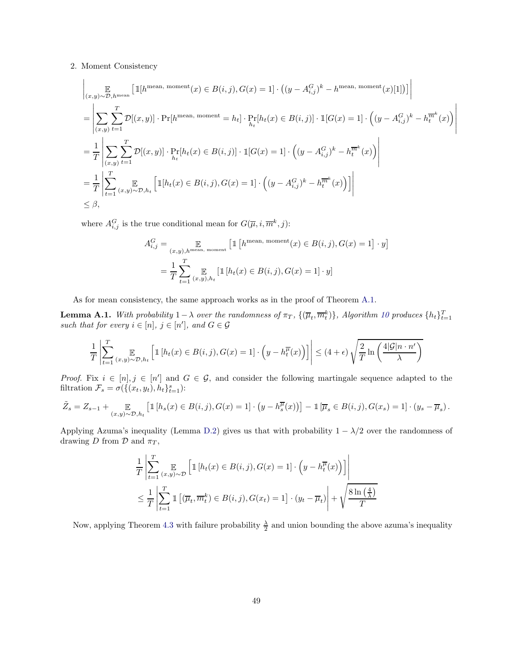#### 2. Moment Consistency

$$
\left| \underset{(x,y)\sim\mathcal{D},h^{\text{mean}}}{\mathbb{E}} \left[ \mathbbm{1}[h^{\text{mean, moment}}(x) \in B(i,j), G(x) = 1] \cdot \left( (y - A_{i,j}^G)^k - h^{\text{mean, moment}}(x)[1] \right) \right] \right|
$$
\n
$$
= \left| \sum_{(x,y)} \sum_{t=1}^T \mathcal{D}[(x,y)] \cdot \Pr[h^{\text{mean, moment}} = h_t] \cdot \Pr[h_t(x) \in B(i,j)] \cdot \mathbbm{1}[G(x) = 1] \cdot \left( (y - A_{i,j}^G)^k - h^{\overline{m}^k}(x) \right) \right|
$$
\n
$$
= \frac{1}{T} \left| \sum_{(x,y)} \sum_{t=1}^T \mathcal{D}[(x,y)] \cdot \Pr[h_t(x) \in B(i,j)] \cdot \mathbbm{1}[G(x) = 1] \cdot \left( (y - A_{i,j}^G)^k - h^{\overline{m}^k}(x) \right) \right|
$$
\n
$$
= \frac{1}{T} \left| \sum_{t=1}^T \mathbbm{E}_{(x,y)\sim\mathcal{D},h_t} \left[ \mathbbm{1}[h_t(x) \in B(i,j), G(x) = 1] \cdot \left( (y - A_{i,j}^G)^k - h^{\overline{m}^k}(x) \right) \right] \right|
$$
\n
$$
\leq \beta,
$$

where  $A_{i,j}^G$  is the true conditional mean for  $G(\overline{\mu}, i, \overline{m}^k, j)$ :

$$
A_{i,j}^G = \mathop{\mathbb{E}}_{(x,y),h^{\text{mean, moment}}} \left[ \mathbbm{1} \left[ h^{\text{mean, moment}}(x) \in B(i,j), G(x) = 1 \right] \cdot y \right]
$$

$$
= \frac{1}{T} \sum_{t=1}^T \mathop{\mathbb{E}}_{(x,y),h_t} \left[ \mathbbm{1} \left[ h_t(x) \in B(i,j), G(x) = 1 \right] \cdot y \right]
$$

As for mean consistency, the same approach works as in the proof of Theorem [A.1.](#page-47-3)

**Lemma A.1.** With probability  $1 - \lambda$  over the randomness of  $\pi_T$ ,  $\{(\overline{\mu}_t, \overline{m}_t^k)\}\$ , Algorithm [10](#page-49-0) produces  $\{h_t\}_{t=1}^T$ such that for every  $i \in [n]$ ,  $j \in [n']$ , and  $G \in \mathcal{G}$ 

$$
\frac{1}{T} \left| \sum_{t=1}^T \mathop{\mathbb{E}}_{(x,y)\sim\mathcal{D}, h_t} \left[ \mathbbm{1}\left[h_t(x) \in B(i,j), G(x) = 1\right] \cdot \left(y - h_t^{\overline{\mu}}(x)\right) \right] \right| \leq (4+\epsilon) \sqrt{\frac{2}{T} \ln\left(\frac{4|\mathcal{G}|n \cdot n'}{\lambda}\right)}
$$

*Proof.* Fix  $i \in [n], j \in [n']$  and  $G \in \mathcal{G}$ , and consider the following martingale sequence adapted to the filtration  $\mathcal{F}_s = \sigma(\{(x_t, y_t), h_t\}_{t=1}^s)$ :

$$
\tilde{Z}_s = Z_{s-1} + \mathop{\mathbb{E}}_{(x,y)\sim\mathcal{D},h_t} \left[ \mathbbm{1}\left[h_s(x) \in B(i,j), G(x) = 1\right] \cdot \left(y - h_s^{\overline{\mu}}(x)\right) \right] - \mathbbm{1}\left[\overline{\mu}_s \in B(i,j), G(x_s) = 1\right] \cdot \left(y_s - \overline{\mu}_s\right).
$$

Applying Azuma's inequality (Lemma [D.2\)](#page-60-0) gives us that with probability  $1 - \lambda/2$  over the randomness of drawing D from D and  $\pi_T$ ,

$$
\frac{1}{T} \left| \sum_{t=1}^{T} \mathbb{E}_{(x,y)\sim\mathcal{D}} \left[ \mathbb{1} \left[ h_t(x) \in B(i,j), G(x) = 1 \right] \cdot \left( y - h_t^{\overline{\mu}}(x) \right) \right] \right|
$$
\n
$$
\leq \frac{1}{T} \left| \sum_{t=1}^{T} \mathbb{1} \left[ (\overline{\mu}_t, \overline{m}_t^k) \in B(i,j), G(x_t) = 1 \right] \cdot \left( y_t - \overline{\mu}_t \right) \right| + \sqrt{\frac{8 \ln \left( \frac{4}{\lambda} \right)}{T}}
$$

Now, applying Theorem [4.3](#page-29-2) with failure probability  $\frac{\lambda}{2}$  and union bounding the above azuma's inequality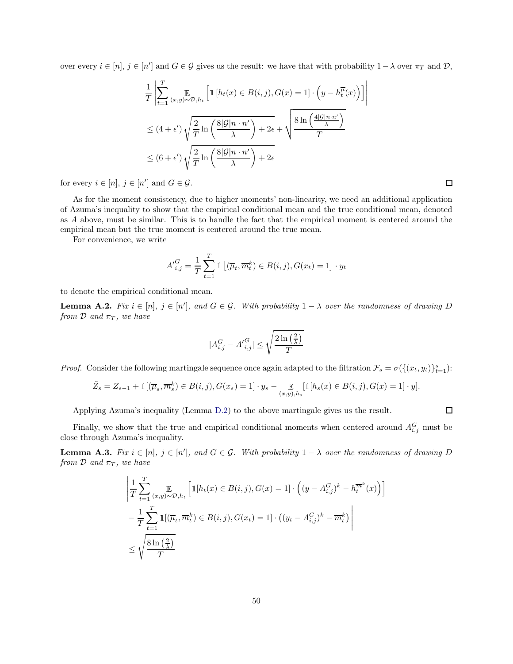over every  $i \in [n], j \in [n']$  and  $G \in \mathcal{G}$  gives us the result: we have that with probability  $1 - \lambda$  over  $\pi_T$  and  $\mathcal{D}$ ,

$$
\frac{1}{T} \left| \sum_{t=1}^{T} \sum_{(x,y)\sim\mathcal{D}, h_t} \left[ \mathbb{1} \left[ h_t(x) \in B(i,j), G(x) = 1 \right] \cdot \left( y - h_t^{\overline{\mu}}(x) \right) \right] \right|
$$
  

$$
\leq (4 + \epsilon') \sqrt{\frac{2}{T} \ln \left( \frac{8|\mathcal{G}|n \cdot n'}{\lambda} \right) + 2\epsilon} + \sqrt{\frac{8 \ln \left( \frac{4|\mathcal{G}|n \cdot n'}{\lambda} \right)}{T}}
$$
  

$$
\leq (6 + \epsilon') \sqrt{\frac{2}{T} \ln \left( \frac{8|\mathcal{G}|n \cdot n'}{\lambda} \right) + 2\epsilon}
$$

for every  $i \in [n], j \in [n']$  and  $G \in \mathcal{G}$ .

As for the moment consistency, due to higher moments' non-linearity, we need an additional application of Azuma's inequality to show that the empirical conditional mean and the true conditional mean, denoted as A above, must be similar. This is to handle the fact that the empirical moment is centered around the empirical mean but the true moment is centered around the true mean.

For convenience, we write

$$
A'_{i,j}^G = \frac{1}{T} \sum_{t=1}^T \mathbb{1} \left[ (\overline{\mu}_t, \overline{m}_t^k) \in B(i,j), G(x_t) = 1 \right] \cdot y_t
$$

to denote the empirical conditional mean.

<span id="page-51-1"></span>**Lemma A.2.** Fix  $i \in [n]$ ,  $j \in [n']$ , and  $G \in \mathcal{G}$ . With probability  $1 - \lambda$  over the randomness of drawing D from  $\mathcal D$  and  $\pi_T$ , we have

$$
|A_{i,j}^G - {A'}_{i,j}^G| \le \sqrt{\frac{2\ln\left(\frac{2}{\lambda}\right)}{T}}
$$

*Proof.* Consider the following martingale sequence once again adapted to the filtration  $\mathcal{F}_s = \sigma(\{(x_t, y_t)\}_{t=1}^s)$ :

$$
\tilde{Z}_s = Z_{s-1} + \mathbb{1}[(\overline{\mu}_s, \overline{m}_s^k) \in B(i, j), G(x_s) = 1] \cdot y_s - \mathop{\mathbb{E}}_{(x, y), h_s} [\mathbb{1}[h_s(x) \in B(i, j), G(x) = 1] \cdot y].
$$

Applying Azuma's inequality (Lemma [D.2\)](#page-60-0) to the above martingale gives us the result.

 $\Box$ 

Finally, we show that the true and empirical conditional moments when centered around  $A_{i,j}^G$  must be close through Azuma's inequality.

<span id="page-51-0"></span>**Lemma A.3.** Fix  $i \in [n]$ ,  $j \in [n']$ , and  $G \in \mathcal{G}$ . With probability  $1 - \lambda$  over the randomness of drawing D from  $\mathcal D$  and  $\pi_T$ , we have

$$
\left| \frac{1}{T} \sum_{t=1}^{T} \mathbb{E}_{(x,y)\sim\mathcal{D}, h_t} \left[ \mathbb{1}[h_t(x) \in B(i,j), G(x) = 1] \cdot \left( (y - A_{i,j}^G)^k - h_t^{\overline{m}^k}(x) \right) \right] - \frac{1}{T} \sum_{t=1}^{T} \mathbb{1}[(\overline{\mu}_t, \overline{m}_t^k) \in B(i,j), G(x_t) = 1] \cdot \left( (y_t - A_{i,j}^G)^k - \overline{m}_t^k \right) \right|
$$
  

$$
\leq \sqrt{\frac{8 \ln\left(\frac{2}{\lambda}\right)}{T}}
$$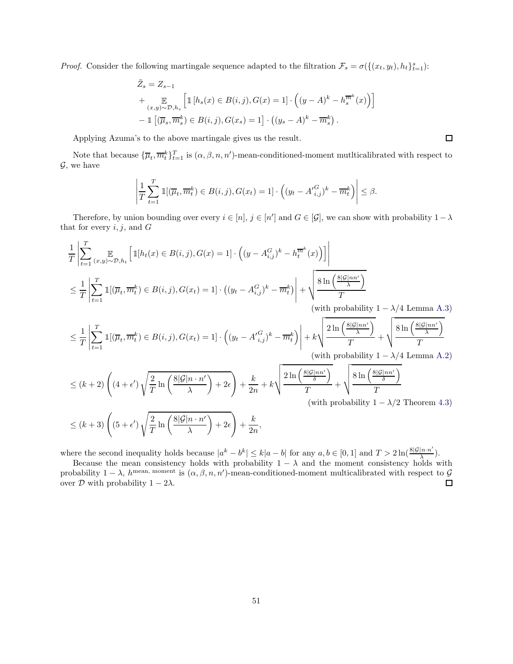*Proof.* Consider the following martingale sequence adapted to the filtration  $\mathcal{F}_s = \sigma(\{(x_t, y_t), h_t\}_{t=1}^s)$ :

$$
\tilde{Z}_s = Z_{s-1}
$$
\n
$$
+ \mathop{\mathbb{E}}_{(x,y)\sim\mathcal{D},h_s} \left[ \mathbbm{1}\left[h_s(x) \in B(i,j), G(x) = 1\right] \cdot \left( (y - A)^k - h_s^{\overline{m}^k}(x) \right) \right]
$$
\n
$$
- \mathbbm{1}\left[ (\overline{\mu}_s, \overline{m}_s^k) \in B(i,j), G(x_s) = 1 \right] \cdot \left( (y_s - A)^k - \overline{m}_s^k \right).
$$

Applying Azuma's to the above martingale gives us the result.

Note that because  ${\{\overline{\mu}_t, \overline{m}_t^k\}_{t=1}^T}$  is  $(\alpha, \beta, n, n')$ -mean-conditioned-moment mutlticalibrated with respect to  $\mathcal{G}$ , we have

 $\Box$ 

$$
\left|\frac{1}{T}\sum_{t=1}^T \mathbb{1}[(\overline{\mu}_t, \overline{m}_t^k) \in B(i,j), G(x_t) = 1] \cdot \left( (y_t - A'_{i,j}^G)^k - \overline{m}_t^k \right) \right| \leq \beta.
$$

Therefore, by union bounding over every  $i \in [n]$ ,  $j \in [n']$  and  $G \in [\mathcal{G}]$ , we can show with probability  $1 - \lambda$ that for every  $i, j$ , and  $G$ 

$$
\frac{1}{T} \left| \sum_{t=1}^{T} \sum_{(x,y)\sim\mathcal{D},h_t} \left[ \mathbbm{1}[h_t(x) \in B(i,j), G(x) = 1] \cdot \left( (y - A_{i,j}^G)^k - h_t^{\overline{m}^k}(x) \right) \right] \right|
$$
\n
$$
\leq \frac{1}{T} \left| \sum_{t=1}^{T} \mathbbm{1}[ (\overline{\mu}_t, \overline{m}_t^k) \in B(i,j), G(x_t) = 1] \cdot \left( (y_t - A_{i,j}^G)^k - \overline{m}_t^k \right) \right| + \sqrt{\frac{8\ln\left(\frac{8|\mathcal{G}|nn'}{\lambda}\right)}{T}}
$$
\n(with probability  $1 - \lambda/4$  Lemma A.3)

\n
$$
\leq \frac{1}{T} \left| \sum_{t=1}^{T} \mathbbm{1}[ (\overline{\mu}_t, \overline{m}_t^k) \in B(i,j), G(x_t) = 1] \cdot \left( (y_t - A_{i,j}^G)^k - \overline{m}_t^k \right) \right| + k \sqrt{\frac{2\ln\left(\frac{8|\mathcal{G}|nn'}{\lambda}\right)}{T}} + \sqrt{\frac{8\ln\left(\frac{8|\mathcal{G}|nn'}{\lambda}\right)}{T}}
$$
\n(with probability  $1 - \lambda/4$  Lemma A.2)

\n
$$
\leq (k+2) \left( (4+\epsilon') \sqrt{\frac{2}{T} \ln\left(\frac{8|\mathcal{G}|n \cdot n'}{\lambda}\right) + 2\epsilon} \right) + \frac{k}{2n} + k \sqrt{\frac{2\ln\left(\frac{8|\mathcal{G}|nn'}{\delta}\right)}{T}} + \sqrt{\frac{8\ln\left(\frac{8|\mathcal{G}|nn'}{\delta}\right)}{T}}
$$
\n(with probability  $1 - \lambda/2$  Theorem 4.3)

\n
$$
\leq (k+3) \left( (5+\epsilon') \sqrt{\frac{2}{T} \ln\left(\frac{8|\mathcal{G}|n \cdot n'}{\lambda}\right) + 2\epsilon} \right) + \frac{k}{2n},
$$
\n8.10.11.11

where the second inequality holds because  $|a^k - b^k| \le k|a - b|$  for any  $a, b \in [0, 1]$  and  $T > 2 \ln(\frac{8|\mathcal{G}|n \cdot n'}{\lambda})$  $\frac{|n\cdot n}{\lambda}$ ).

Because the mean consistency holds with probability  $1 - \lambda$  and the moment consistency holds with probability  $1 - \lambda$ ,  $h^{\text{mean}}$ , moment is  $(\alpha, \beta, n, n')$ -mean-conditioned-moment multicalibrated with respect to  $\mathcal{G}$ over  $D$  with probability  $1 - 2λ$ .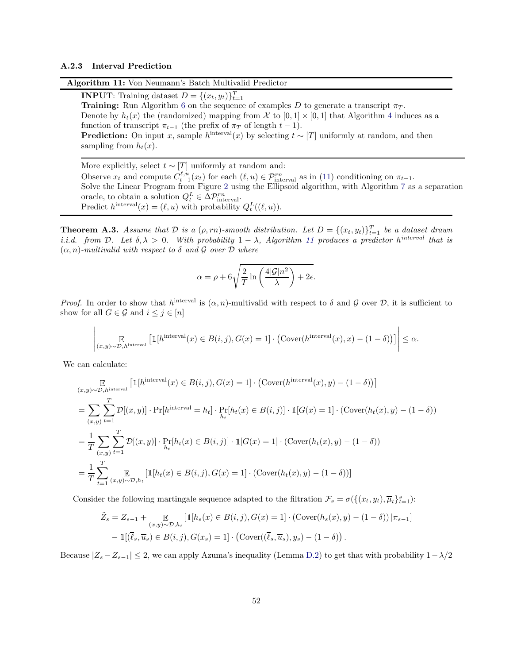#### <span id="page-53-1"></span><span id="page-53-0"></span>A.2.3 Interval Prediction

Algorithm 11: Von Neumann's Batch Multivalid Predictor

**INPUT**: Training dataset  $D = \{(x_t, y_t)\}_{t=1}^T$ **Training:** Run Algorithm [6](#page-37-1) on the sequence of examples D to generate a transcript  $\pi_T$ . Denote by  $h_t(x)$  the (randomized) mapping from X to  $[0, 1] \times [0, 1]$  that Algorithm [4](#page-29-1) induces as a function of transcript  $\pi_{t-1}$  (the prefix of  $\pi_T$  of length  $t-1$ ). **Prediction:** On input x, sample  $h^{\text{interval}}(x)$  by selecting  $t \sim [T]$  uniformly at random, and then sampling from  $h_t(x)$ .

More explicitly, select  $t \sim [T]$  uniformly at random and: Observe  $x_t$  and compute  $C_{t-1}^{\ell,u}(x_t)$  for each  $(\ell,u) \in \mathcal{P}_{\text{interval}}^{rn}$  as in [\(11\)](#page-34-2) conditioning on  $\pi_{t-1}$ . Solve the Linear Program from Figure [2](#page-37-2) using the Ellipsoid algorithm, with Algorithm [7](#page-38-0) as a separation oracle, to obtain a solution  $Q_t^L \in \Delta \mathcal{P}_{\text{interval}}^{rn}$ . Predict  $h^{\text{interval}}(x) = (\ell, u)$  with probability  $Q_t^L((\ell, u))$ .

**Theorem A.3.** Assume that  $D$  is a  $(\rho, rn)$ -smooth distribution. Let  $D = \{(x_t, y_t)\}_{t=1}^T$  be a dataset drawn i.i.d. from D. Let  $\delta, \lambda > 0$ . With probability  $1 - \lambda$ , Algorithm [11](#page-53-1) produces a predictor h<sup>interval</sup> that is  $(\alpha, n)$ -multivalid with respect to  $\delta$  and  $\mathcal G$  over  $\mathcal D$  where

$$
\alpha = \rho + 6\sqrt{\frac{2}{T} \ln \left(\frac{4|\mathcal{G}|n^2}{\lambda}\right) + 2\epsilon}.
$$

*Proof.* In order to show that  $h^{\text{interval}}$  is  $(\alpha, n)$ -multivalid with respect to  $\delta$  and  $\mathcal G$  over  $\mathcal D$ , it is sufficient to show for all  $G \in \mathcal{G}$  and  $i \leq j \in [n]$ 

$$
\left| \underset{(x,y)\sim\mathcal{D},h^{\text{interval}}}{\mathbb{E}}\left[\mathbbm{1}[h^{\text{interval}}(x)\in B(i,j),G(x)=1]\cdot\left(\text{Cover}(h^{\text{interval}}(x),x)-(1-\delta)\right)\right]\right|\leq\alpha.
$$

We can calculate:

$$
\mathbb{E}_{(x,y)\sim\mathcal{D},h^{\text{interval}}}[1[h^{\text{interval}}(x)\in B(i,j),G(x) = 1] \cdot (\text{Cover}(h^{\text{interval}}(x), y) - (1 - \delta))]
$$
\n
$$
= \sum_{(x,y)} \sum_{t=1}^{T} \mathcal{D}[(x,y)] \cdot \Pr[h^{\text{interval}} = h_t] \cdot \Pr[h_t(x)\in B(i,j)] \cdot 1[G(x) = 1] \cdot (\text{Cover}(h_t(x), y) - (1 - \delta))
$$
\n
$$
= \frac{1}{T} \sum_{(x,y)} \sum_{t=1}^{T} \mathcal{D}[(x,y)] \cdot \Pr[h_t(x)\in B(i,j)] \cdot 1[G(x) = 1] \cdot (\text{Cover}(h_t(x), y) - (1 - \delta))
$$
\n
$$
= \frac{1}{T} \sum_{t=1}^{T} \sum_{(x,y)\sim\mathcal{D},h_t} \left[1[h_t(x)\in B(i,j),G(x) = 1] \cdot (\text{Cover}(h_t(x), y) - (1 - \delta))\right]
$$

Consider the following martingale sequence adapted to the filtration  $\mathcal{F}_s = \sigma(\{(x_t, y_t), \overline{\mu}_t\}_{t=1}^s)$ :

$$
\tilde{Z}_s = Z_{s-1} + \mathop{\mathbb{E}}_{(x,y)\sim\mathcal{D},h_t} \left[ \mathbbm{1}[h_s(x) \in B(i,j), G(x) = 1] \cdot (\text{Cover}(h_s(x), y) - (1 - \delta)) \, |\pi_{s-1}| \right]
$$

$$
- \mathbbm{1}[(\overline{\ell}_s, \overline{u}_s) \in B(i,j), G(x_s) = 1] \cdot (\text{Cover}((\overline{\ell}_s, \overline{u}_s), y_s) - (1 - \delta)).
$$

Because  $|Z_s - Z_{s-1}| \leq 2$ , we can apply Azuma's inequality (Lemma [D.2\)](#page-60-0) to get that with probability  $1-\lambda/2$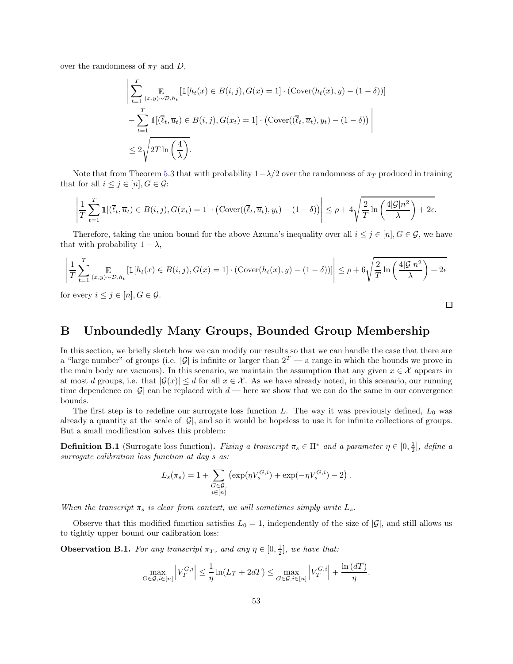over the randomness of  $\pi_T$  and D,

$$
\left| \sum_{t=1}^{T} \mathbb{E}_{(x,y)\sim\mathcal{D}, h_t} \left[ \mathbb{1}[h_t(x) \in B(i,j), G(x) = 1] \cdot (\text{Cover}(h_t(x), y) - (1 - \delta)) \right] - \sum_{t=1}^{T} \mathbb{1}[(\overline{\ell}_t, \overline{u}_t) \in B(i,j), G(x_t) = 1] \cdot (\text{Cover}((\overline{\ell}_t, \overline{u}_t), y_t) - (1 - \delta)) \right|
$$
  

$$
\leq 2\sqrt{2T \ln\left(\frac{4}{\lambda}\right)}.
$$

Note that from Theorem [5.3](#page-37-3) that with probability  $1-\lambda/2$  over the randomness of  $\pi_T$  produced in training that for all  $i \leq j \in [n], G \in \mathcal{G}$ :

$$
\left|\frac{1}{T}\sum_{t=1}^T \mathbb{1}[(\overline{\ell}_t, \overline{u}_t) \in B(i,j), G(x_t) = 1] \cdot (\text{Cover}((\overline{\ell}_t, \overline{u}_t), y_t) - (1-\delta)) \right| \le \rho + 4\sqrt{\frac{2}{T}\ln\left(\frac{4|\mathcal{G}|n^2}{\lambda}\right)} + 2\epsilon.
$$

Therefore, taking the union bound for the above Azuma's inequality over all  $i \leq j \in [n], G \in \mathcal{G}$ , we have that with probability  $1 - \lambda$ ,

$$
\left| \frac{1}{T} \sum_{t=1}^T \mathop{\mathbb{E}}_{(x,y)\sim\mathcal{D}, h_t} \left[ \mathbbm{1}[h_t(x) \in B(i,j), G(x) = 1] \cdot (\text{Cover}(h_t(x), y) - (1 - \delta)) \right] \right| \le \rho + 6\sqrt{\frac{2}{T} \ln\left(\frac{4|G|n^2}{\lambda}\right) + 2\epsilon}
$$

for every  $i \leq j \in [n], G \in \mathcal{G}$ .

# $\Box$

# <span id="page-54-0"></span>B Unboundedly Many Groups, Bounded Group Membership

In this section, we briefly sketch how we can modify our results so that we can handle the case that there are a "large number" of groups (i.e. |G| is infinite or larger than  $2^T$  — a range in which the bounds we prove in the main body are vacuous). In this scenario, we maintain the assumption that any given  $x \in \mathcal{X}$  appears in at most d groups, i.e. that  $|\mathcal{G}(x)| \leq d$  for all  $x \in \mathcal{X}$ . As we have already noted, in this scenario, our running time dependence on  $|\mathcal{G}|$  can be replaced with  $d$  — here we show that we can do the same in our convergence bounds.

The first step is to redefine our surrogate loss function L. The way it was previously defined,  $L_0$  was already a quantity at the scale of  $|\mathcal{G}|$ , and so it would be hopeless to use it for infinite collections of groups. But a small modification solves this problem:

**Definition B.1** (Surrogate loss function). Fixing a transcript  $\pi_s \in \Pi^*$  and a parameter  $\eta \in [0, \frac{1}{2}]$ , define a surrogate calibration loss function at day  $s$  as:

$$
L_s(\pi_s) = 1 + \sum_{\substack{G \in \mathcal{G}, \\ i \in [n]}} \left( \exp(\eta V_s^{G,i}) + \exp(-\eta V_s^{G,i}) - 2 \right).
$$

When the transcript  $\pi_s$  is clear from context, we will sometimes simply write  $L_s$ .

Observe that this modified function satisfies  $L_0 = 1$ , independently of the size of  $|\mathcal{G}|$ , and still allows us to tightly upper bound our calibration loss:

**Observation B.1.** For any transcript  $\pi_T$ , and any  $\eta \in [0, \frac{1}{2}]$ , we have that:

$$
\max_{G \in \mathcal{G}, i \in [n]} \left| V_T^{G,i} \right| \le \frac{1}{\eta} \ln(L_T + 2dT) \le \max_{G \in \mathcal{G}, i \in [n]} \left| V_T^{G,i} \right| + \frac{\ln(dT)}{\eta}.
$$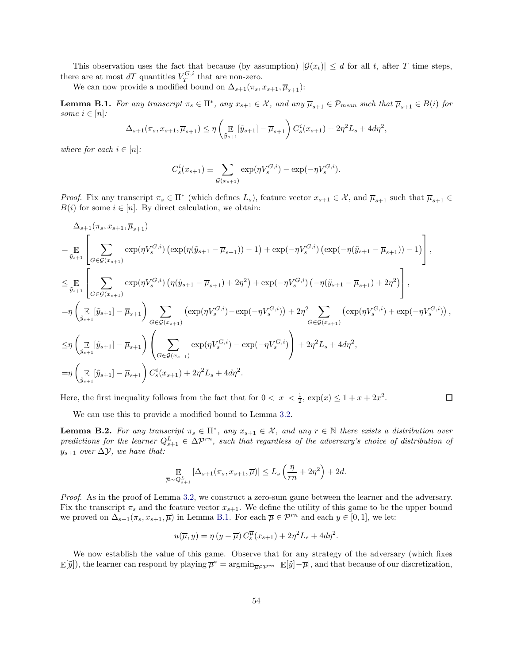This observation uses the fact that because (by assumption)  $|\mathcal{G}(x_t)| \leq d$  for all t, after T time steps, there are at most  $dT$  quantities  $V_T^{G,i}$  that are non-zero.

We can now provide a modified bound on  $\Delta_{s+1}(\pi_s, x_{s+1}, \overline{\mu}_{s+1})$ :

<span id="page-55-0"></span>**Lemma B.1.** For any transcript  $\pi_s \in \Pi^*$ , any  $x_{s+1} \in \mathcal{X}$ , and any  $\overline{\mu}_{s+1} \in \mathcal{P}_{mean}$  such that  $\overline{\mu}_{s+1} \in B(i)$  for some  $i \in [n]$ :

$$
\Delta_{s+1}(\pi_s, x_{s+1}, \overline{\mu}_{s+1}) \le \eta \left( \mathop{\mathbb{E}}_{\tilde{y}_{s+1}} [\tilde{y}_{s+1}] - \overline{\mu}_{s+1} \right) C_s^i(x_{s+1}) + 2\eta^2 L_s + 4d\eta^2,
$$

where for each  $i \in [n]$ :

$$
C_s^i(x_{s+1}) \equiv \sum_{\mathcal{G}(x_{s+1})} \exp(\eta V_s^{G,i}) - \exp(-\eta V_s^{G,i}).
$$

*Proof.* Fix any transcript  $\pi_s \in \Pi^*$  (which defines  $L_s$ ), feature vector  $x_{s+1} \in \mathcal{X}$ , and  $\overline{\mu}_{s+1}$  such that  $\overline{\mu}_{s+1} \in \mathcal{X}$  $B(i)$  for some  $i \in [n]$ . By direct calculation, we obtain:

$$
\Delta_{s+1}(\pi_s, x_{s+1}, \overline{\mu}_{s+1})
$$
\n
$$
= \mathop{\mathbb{E}}_{\tilde{y}_{s+1}} \left[ \sum_{G \in \mathcal{G}(x_{s+1})} \exp(\eta V_s^{G,i}) \left( \exp(\eta(\tilde{y}_{s+1} - \overline{\mu}_{s+1})) - 1 \right) + \exp(-\eta V_s^{G,i}) \left( \exp(-\eta(\tilde{y}_{s+1} - \overline{\mu}_{s+1})) - 1 \right) \right],
$$
\n
$$
\leq \mathop{\mathbb{E}}_{\tilde{y}_{s+1}} \left[ \sum_{G \in \mathcal{G}(x_{s+1})} \exp(\eta V_s^{G,i}) \left( \eta(\tilde{y}_{s+1} - \overline{\mu}_{s+1}) + 2\eta^2 \right) + \exp(-\eta V_s^{G,i}) \left( -\eta(\tilde{y}_{s+1} - \overline{\mu}_{s+1}) + 2\eta^2 \right) \right],
$$
\n
$$
= \eta \left( \mathop{\mathbb{E}}_{\tilde{y}_{s+1}} [\tilde{y}_{s+1}] - \overline{\mu}_{s+1} \right) \sum_{G \in \mathcal{G}(x_{s+1})} \left( \exp(\eta V_s^{G,i}) - \exp(-\eta V_s^{G,i}) \right) + 2\eta^2 \sum_{G \in \mathcal{G}(x_{s+1})} \left( \exp(\eta V_s^{G,i}) + \exp(-\eta V_s^{G,i}) \right),
$$
\n
$$
\leq \eta \left( \mathop{\mathbb{E}}_{\tilde{y}_{s+1}} [\tilde{y}_{s+1}] - \overline{\mu}_{s+1} \right) \left( \sum_{G \in \mathcal{G}(x_{s+1})} \exp(\eta V_s^{G,i}) - \exp(-\eta V_s^{G,i}) \right) + 2\eta^2 L_s + 4d\eta^2,
$$
\n
$$
= \eta \left( \mathop{\mathbb{E}}_{\tilde{y}_{s+1}} [\tilde{y}_{s+1}] - \overline{\mu}_{s+1} \right) C_s^i(x_{s+1}) + 2\eta^2 L_s + 4d\eta^2.
$$

 $\Box$ Here, the first inequality follows from the fact that for  $0 < |x| < \frac{1}{2}$ ,  $\exp(x) \leq 1 + x + 2x^2$ .

We can use this to provide a modified bound to Lemma [3.2.](#page-15-0)

<span id="page-55-1"></span>**Lemma B.2.** For any transcript  $\pi_s \in \Pi^*$ , any  $x_{s+1} \in \mathcal{X}$ , and any  $r \in \mathbb{N}$  there exists a distribution over predictions for the learner  $Q_{s+1}^L \in \Delta \mathcal{P}^{rn}$ , such that regardless of the adversary's choice of distribution of  $y_{s+1}$  over  $\Delta y$ , we have that:

$$
\mathop{\mathbb{E}}_{\overline{\mu}\sim Q_{s+1}^{L}}\left[\Delta_{s+1}(\pi_{s}, x_{s+1}, \overline{\mu})\right] \leq L_{s}\left(\frac{\eta}{rn} + 2\eta^{2}\right) + 2d.
$$

Proof. As in the proof of Lemma [3.2,](#page-15-0) we construct a zero-sum game between the learner and the adversary. Fix the transcript  $\pi_s$  and the feature vector  $x_{s+1}$ . We define the utility of this game to be the upper bound we proved on  $\Delta_{s+1}(\pi_s, x_{s+1}, \overline{\mu})$  in Lemma [B.1.](#page-55-0) For each  $\overline{\mu} \in \mathcal{P}^{rn}$  and each  $y \in [0, 1]$ , we let:

$$
u(\overline{\mu}, y) = \eta (y - \overline{\mu}) C_s^{\overline{\mu}}(x_{s+1}) + 2\eta^2 L_s + 4d\eta^2.
$$

We now establish the value of this game. Observe that for any strategy of the adversary (which fixes  $\mathbb{E}[\tilde{y}]$ , the learner can respond by playing  $\overline{\mu}^* = \operatorname{argmin}_{\overline{\mu} \in \mathcal{P}^{rn}} |\mathbb{E}[\tilde{y}] - \overline{\mu}|$ , and that because of our discretization,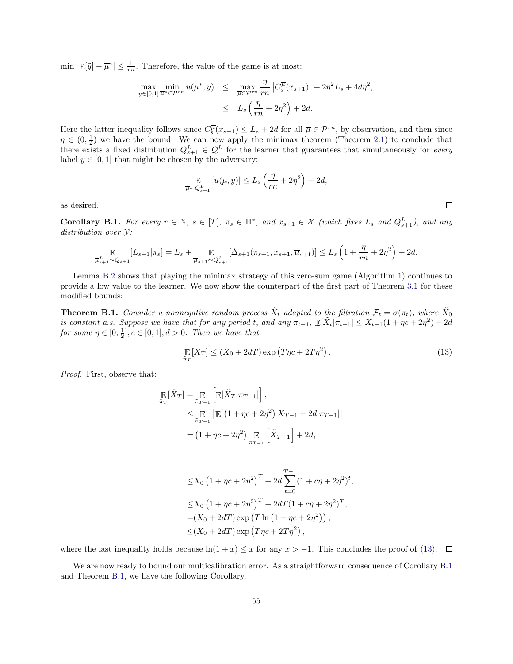$\min |\mathbb{E}[\tilde{y}] - \overline{\mu}^*| \le \frac{1}{rn}$ . Therefore, the value of the game is at most:

$$
\max_{y \in [0,1]} \min_{\overline{\mu}^* \in \mathcal{P}^{rn}} u(\overline{\mu}^*, y) \leq \max_{\overline{\mu} \in \mathcal{P}^{rn}} \frac{\eta}{rn} \left| C_s^{\overline{\mu}}(x_{s+1}) \right| + 2\eta^2 L_s + 4d\eta^2,
$$
  

$$
\leq L_s \left( \frac{\eta}{rn} + 2\eta^2 \right) + 2d.
$$

Here the latter inequality follows since  $C_s^{\overline{\mu}}(x_{s+1}) \leq L_s + 2d$  for all  $\overline{\mu} \in \mathcal{P}^{rn}$ , by observation, and then since  $\eta \in (0, \frac{1}{2})$  we have the bound. We can now apply the minimax theorem (Theorem [2.1\)](#page-11-2) to conclude that there exists a fixed distribution  $Q_{s+1}^L \in \mathcal{Q}^L$  for the learner that guarantees that simultaneously for every label  $y \in [0, 1]$  that might be chosen by the adversary:

$$
\mathbb{E}_{\overline{\mu}\sim Q_{s+1}^{L}}\left[u(\overline{\mu},y)\right]\leq L_{s}\left(\frac{\eta}{rn}+2\eta^{2}\right)+2d,
$$

as desired.

<span id="page-56-1"></span>**Corollary B.1.** For every  $r \in \mathbb{N}$ ,  $s \in [T]$ ,  $\pi_s \in \Pi^*$ , and  $x_{s+1} \in \mathcal{X}$  (which fixes  $L_s$  and  $Q_{s+1}^L$ ), and any distribution over Y:

$$
\mathop{\mathbb{E}}_{\overline{\mu}^L_{s+1}\sim Q_{s+1}}[\tilde{L}_{s+1}|\pi_s]=L_s+\mathop{\mathbb{E}}_{\overline{\mu}_{s+1}\sim Q_{s+1}^L}[\Delta_{s+1}(\pi_{s+1},x_{s+1},\overline{\mu}_{s+1})]\leq L_s\left(1+\frac{\eta}{rn}+2\eta^2\right)+2d.
$$

Lemma [B.2](#page-55-1) shows that playing the minimax strategy of this zero-sum game (Algorithm [1\)](#page-16-0) continues to provide a low value to the learner. We now show the counterpart of the first part of Theorem [3.1](#page-16-1) for these modified bounds:

<span id="page-56-2"></span>**Theorem B.1.** Consider a nonnegative random process  $\tilde{X}_t$  adapted to the filtration  $\mathcal{F}_t = \sigma(\pi_t)$ , where  $\tilde{X}_0$ is constant a.s. Suppose we have that for any period t, and any  $\pi_{t-1}$ ,  $\mathbb{E}[\tilde{X}_t | \pi_{t-1}] \leq X_{t-1}(1 + \eta c + 2\eta^2) + 2d$ for some  $\eta \in [0, \frac{1}{2}], c \in [0, 1], d > 0$ . Then we have that:

<span id="page-56-0"></span>
$$
\mathop{\mathbb{E}}_{\tilde{\pi}_T} [\tilde{X}_T] \le (X_0 + 2dT) \exp\left(T\eta c + 2T\eta^2\right). \tag{13}
$$

Proof. First, observe that:

$$
\mathbb{E}[\tilde{X}_T] = \mathbb{E}_{\tilde{\pi}_{T-1}}\left[\mathbb{E}[\tilde{X}_T|\pi_{T-1}]\right],
$$
\n
$$
\leq \mathbb{E}_{\tilde{\pi}_{T-1}}\left[\mathbb{E}[(1+\eta c+2\eta^2) X_{T-1}+2d|\pi_{T-1}]\right]
$$
\n
$$
= (1+\eta c+2\eta^2) \mathbb{E}_{\tilde{\pi}_{T-1}}\left[\tilde{X}_{T-1}\right]+2d,
$$
\n
$$
\vdots
$$
\n
$$
\leq X_0 \left(1+\eta c+2\eta^2\right)^T + 2d \sum_{t=0}^{T-1} (1+c\eta+2\eta^2)^t,
$$
\n
$$
\leq X_0 \left(1+\eta c+2\eta^2\right)^T + 2dT(1+c\eta+2\eta^2)^T,
$$
\n
$$
= (X_0+2dT) \exp\left(T\ln\left(1+\eta c+2\eta^2\right)\right),
$$
\n
$$
\leq (X_0+2dT) \exp\left(T\eta c+2T\eta^2\right),
$$

where the last inequality holds because  $\ln(1 + x) \leq x$  for any  $x > -1$ . This concludes the proof of [\(13\)](#page-56-0).  $\Box$ 

We are now ready to bound our multicalibration error. As a straightforward consequence of Corollary [B.1](#page-56-1) and Theorem [B.1,](#page-56-2) we have the following Corollary.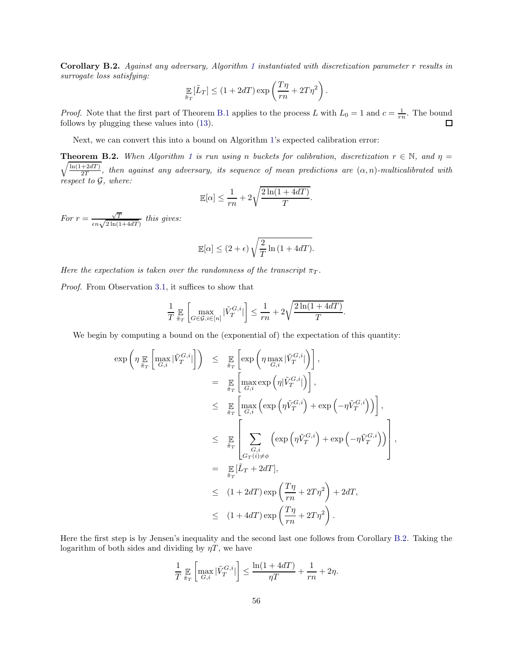<span id="page-57-0"></span>Corollary B.2. Against any adversary, Algorithm [1](#page-16-0) instantiated with discretization parameter r results in surrogate loss satisfying:

$$
\mathop{\mathbb{E}}_{\tilde{\pi}_T} [\tilde{L}_T] \le (1 + 2dT) \exp\left(\frac{T\eta}{rn} + 2T\eta^2\right).
$$

*Proof.* Note that the first part of Theorem [B.1](#page-56-2) applies to the process L with  $L_0 = 1$  and  $c = \frac{1}{rn}$ . The bound follows by plugging these values into [\(13\)](#page-56-0).  $\Box$ 

Next, we can convert this into a bound on Algorithm [1'](#page-16-0)s expected calibration error:

**Theorem B.2.** When Algorithm [1](#page-16-0) is run using n buckets for calibration, discretization  $r \in \mathbb{N}$ , and  $\eta =$  $\sqrt{\ln(1+2dT)}$  $\frac{+2a1}{2T}$ , then against any adversary, its sequence of mean predictions are  $(\alpha, n)$ -multicalibrated with respect to G, where:

$$
\mathbb{E}[\alpha] \le \frac{1}{rn} + 2\sqrt{\frac{2\ln(1+4dT)}{T}}.
$$

For  $r = \frac{\sqrt{T}}{\epsilon n \sqrt{2 \ln(1+4dT)}}$  this gives:

$$
\mathbb{E}[\alpha] \le (2 + \epsilon) \sqrt{\frac{2}{T} \ln(1 + 4dT)}.
$$

Here the expectation is taken over the randomness of the transcript  $\pi_T$ .

Proof. From Observation [3.1,](#page-13-3) it suffices to show that

$$
\frac{1}{T}\mathop{\mathbb{E}}_{\tilde{\pi}_T}\left[\max_{G\in\mathcal{G},i\in[n]}|\tilde{V}^{G,i}_T|\right] \leq \frac{1}{rn} + 2\sqrt{\frac{2\ln(1+4dT)}{T}}.
$$

We begin by computing a bound on the (exponential of) the expectation of this quantity:

$$
\exp\left(\eta \max_{\tilde{\pi}_T} \left[\max_{G,i} |\tilde{V}_T^{G,i}|\right]\right) \leq \sum_{\tilde{\pi}_T} \left[\exp\left(\eta \max_{G,i} |\tilde{V}_T^{G,i}|\right)\right],
$$
\n
$$
= \sum_{\tilde{\pi}_T} \left[\max_{G,i} \exp\left(\eta |\tilde{V}_T^{G,i}|\right)\right],
$$
\n
$$
\leq \sum_{\tilde{\pi}_T} \left[\max_{G,i} \left(\exp\left(\eta \tilde{V}_T^{G,i}\right) + \exp\left(-\eta \tilde{V}_T^{G,i}\right)\right)\right],
$$
\n
$$
\leq \sum_{\tilde{\pi}_T} \left[\sum_{G,i} \left(\exp\left(\eta \tilde{V}_T^{G,i}\right) + \exp\left(-\eta \tilde{V}_T^{G,i}\right)\right)\right],
$$
\n
$$
= \sum_{\tilde{\pi}_T} [\tilde{L}_T + 2dT],
$$
\n
$$
\leq (1 + 2dT) \exp\left(\frac{T\eta}{rn} + 2T\eta^2\right) + 2dT,
$$
\n
$$
\leq (1 + 4dT) \exp\left(\frac{T\eta}{rn} + 2T\eta^2\right).
$$

Here the first step is by Jensen's inequality and the second last one follows from Corollary [B.2.](#page-57-0) Taking the logarithm of both sides and dividing by  $\eta T$ , we have

$$
\frac{1}{T} \mathop{\mathbb{E}}_{\tilde{\pi}_T} \left[ \max_{G,i} |\tilde{V}_T^{G,i}| \right] \le \frac{\ln(1+4dT)}{\eta T} + \frac{1}{rn} + 2\eta.
$$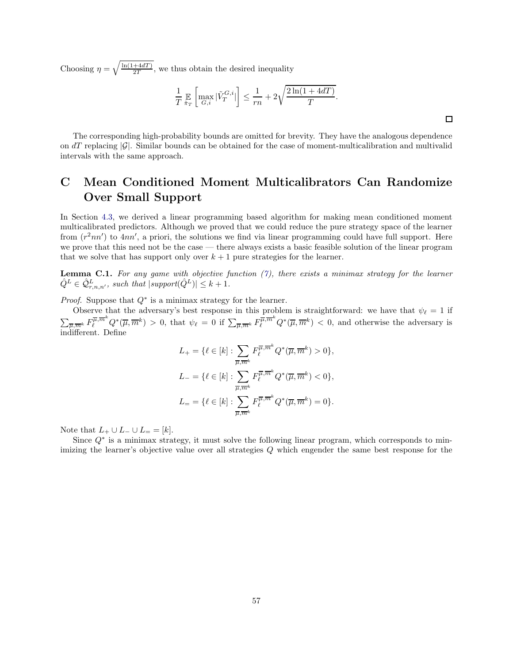Choosing  $\eta = \sqrt{\frac{\ln(1+4dT)}{2T}}$  $\frac{+4aI}{2T}$ , we thus obtain the desired inequality

$$
\frac{1}{T} \mathop{\mathbb{E}}_{\tilde{\pi}_T} \left[ \max_{G,i} |\tilde{V}_T^{G,i}| \right] \le \frac{1}{rn} + 2\sqrt{\frac{2\ln(1+4dT)}{T}}.
$$

The corresponding high-probability bounds are omitted for brevity. They have the analogous dependence on  $dT$  replacing  $|\mathcal{G}|$ . Similar bounds can be obtained for the case of moment-multicalibration and multivalid intervals with the same approach.

# <span id="page-58-0"></span>C Mean Conditioned Moment Multicalibrators Can Randomize Over Small Support

In Section [4.3,](#page-27-0) we derived a linear programming based algorithm for making mean conditioned moment multicalibrated predictors. Although we proved that we could reduce the pure strategy space of the learner from  $(r^2nn')$  to  $4nn'$ , a priori, the solutions we find via linear programming could have full support. Here we prove that this need not be the case — there always exists a basic feasible solution of the linear program that we solve that has support only over  $k + 1$  pure strategies for the learner.

**Lemma C.1.** For any game with objective function  $(7)$ , there exists a minimax strategy for the learner  $\hat{Q}^L \in \hat{Q}_{r,n,n'}^L$ , such that  $|\text{support}(\hat{Q}^L)| \leq k+1$ .

*Proof.* Suppose that  $Q^*$  is a minimax strategy for the learner.

Observe that the adversary's best response in this problem is straightforward: we have that  $\psi_{\ell} = 1$  if  $\sum_{\overline{\mu},\overline{m}^k} F_{\ell}^{\overline{\mu},\overline{m}^k} Q^*(\overline{\mu},\overline{m}^k) > 0$ , that  $\psi_{\ell} = 0$  if  $\sum_{\overline{\mu},\overline{m}^k} F_{\ell}^{\overline{\mu},\overline{m}^k} Q^*(\overline{\mu},\overline{m}^k) < 0$ , and otherwise the adversary is indifferent. Define

$$
L_{+} = \{ \ell \in [k] : \sum_{\overline{\mu}, \overline{m}^{k}} F_{\ell}^{\overline{\mu}, \overline{m}^{k}} Q^{*}(\overline{\mu}, \overline{m}^{k}) > 0 \},
$$
  

$$
L_{-} = \{ \ell \in [k] : \sum_{\overline{\mu}, \overline{m}^{k}} F_{\ell}^{\overline{\mu}, \overline{m}^{k}} Q^{*}(\overline{\mu}, \overline{m}^{k}) < 0 \},
$$
  

$$
L_{=} = \{ \ell \in [k] : \sum_{\overline{\mu}, \overline{m}^{k}} F_{\ell}^{\overline{\mu}, \overline{m}^{k}} Q^{*}(\overline{\mu}, \overline{m}^{k}) = 0 \}.
$$

Note that  $L_+ \cup L_- \cup L_- = [k]$ .

Since  $Q^*$  is a minimax strategy, it must solve the following linear program, which corresponds to minimizing the learner's objective value over all strategies Q which engender the same best response for the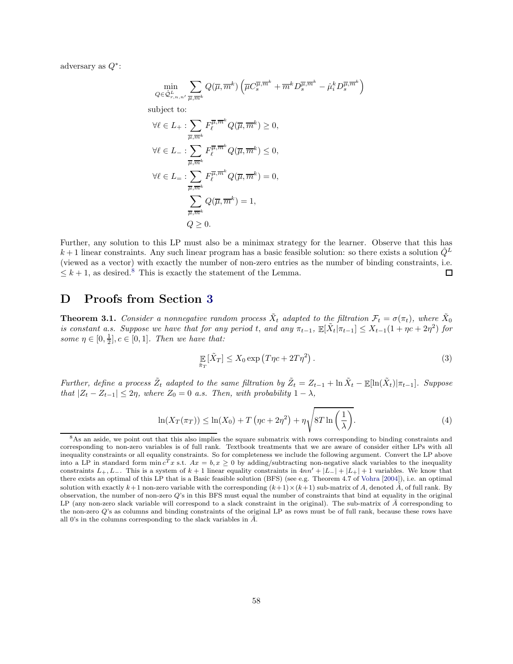adversary as  $Q^*$ :

$$
\min_{Q \in \hat{\mathcal{Q}}_{r,n,n'}^L} \sum_{\overline{\mu}, \overline{m}^k} Q(\overline{\mu}, \overline{m}^k) \left( \overline{\mu} C_s^{\overline{\mu}, \overline{m}^k} + \overline{m}^k D_s^{\overline{\mu}, \overline{m}^k} - \hat{\mu}_i^k D_s^{\overline{\mu}, \overline{m}^k} \right)
$$
\nsubject to:  
\n
$$
\forall \ell \in L_+: \sum_{\overline{\mu}, \overline{m}^k} F_\ell^{\overline{\mu}, \overline{m}^k} Q(\overline{\mu}, \overline{m}^k) \ge 0,
$$
\n
$$
\forall \ell \in L_+: \sum_{\overline{\mu}, \overline{m}^k} F_\ell^{\overline{\mu}, \overline{m}^k} Q(\overline{\mu}, \overline{m}^k) \le 0,
$$
\n
$$
\forall \ell \in L_+: \sum_{\overline{\mu}, \overline{m}^k} F_\ell^{\overline{\mu}, \overline{m}^k} Q(\overline{\mu}, \overline{m}^k) = 0,
$$
\n
$$
\sum_{\overline{\mu}, \overline{m}^k} Q(\overline{\mu}, \overline{m}^k) = 1,
$$
\n
$$
Q \ge 0.
$$

Further, any solution to this LP must also be a minimax strategy for the learner. Observe that this has  $k+1$  linear constraints. Any such linear program has a basic feasible solution: so there exists a solution  $Q<sup>L</sup>$ (viewed as a vector) with exactly the number of non-zero entries as the number of binding constraints, i.e.  $\leq k+1$ , as desired.<sup>[8](#page-59-1)</sup> This is exactly the statement of the Lemma.  $\Box$ 

# <span id="page-59-0"></span>D Proofs from Section [3](#page-12-0)

**Theorem 3.1.** Consider a nonnegative random process  $\tilde{X}_t$  adapted to the filtration  $\mathcal{F}_t = \sigma(\pi_t)$ , where  $\tilde{X}_0$ is constant a.s. Suppose we have that for any period t, and any  $\pi_{t-1}$ ,  $\mathbb{E}[\tilde{X}_t | \pi_{t-1}] \leq X_{t-1}(1 + \eta c + 2\eta^2)$  for some  $\eta \in [0, \frac{1}{2}], c \in [0, 1].$  Then we have that:

$$
\mathop{\mathbb{E}}_{\tilde{\pi}_T} [\tilde{X}_T] \le X_0 \exp\left(T\eta c + 2T\eta^2\right). \tag{3}
$$

Further, define a process  $\tilde{Z}_t$  adapted to the same filtration by  $\tilde{Z}_t = Z_{t-1} + \ln \tilde{X}_t - \mathbb{E}[\ln(\tilde{X}_t)|\pi_{t-1}]$ . Suppose that  $|Z_t - Z_{t-1}| \leq 2\eta$ , where  $Z_0 = 0$  a.s. Then, with probability  $1 - \lambda$ ,

$$
\ln(X_T(\pi_T)) \le \ln(X_0) + T\left(\eta c + 2\eta^2\right) + \eta \sqrt{8T \ln\left(\frac{1}{\lambda}\right)}.
$$
\n(4)

<span id="page-59-1"></span><sup>&</sup>lt;sup>8</sup>As an aside, we point out that this also implies the square submatrix with rows corresponding to binding constraints and corresponding to non-zero variables is of full rank. Textbook treatments that we are aware of consider either LPs with all inequality constraints or all equality constraints. So for completeness we include the following argument. Convert the LP above into a LP in standard form  $\min c^T x$  s.t.  $Ax = b, x \ge 0$  by adding/subtracting non-negative slack variables to the inequality constraints  $L_+, L_-$ . This is a system of  $k + 1$  linear equality constraints in  $4nn' + |L_-| + |L_+| + 1$  variables. We know that there exists an optimal of this LP that is a Basic feasible solution (BFS) (see e.g. Theorem 4.7 of [Vohra](#page-44-4) [\[2004](#page-44-4)]), i.e. an optimal solution with exactly  $k+1$  non-zero variable with the corresponding  $(k+1)\times(k+1)$  sub-matrix of A, denoted  $\hat{A}$ , of full rank. By observation, the number of non-zero  $Q$ 's in this BFS must equal the number of constraints that bind at equality in the original LP (any non-zero slack variable will correspond to a slack constraint in the original). The sub-matrix of  $\bar{A}$  corresponding to the non-zero Q's as columns and binding constraints of the original LP as rows must be of full rank, because these rows have all 0's in the columns corresponding to the slack variables in  $\bar{A}$ .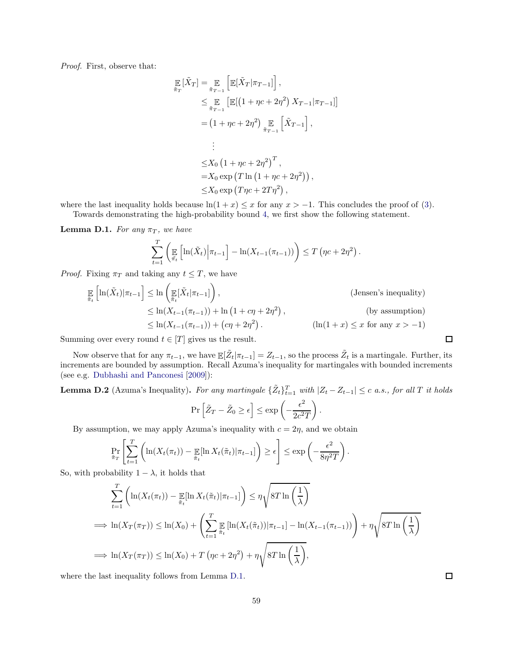Proof. First, observe that:

$$
\mathbb{E}\left[\tilde{X}_T\right] = \mathbb{E}\left[\mathbb{E}[\tilde{X}_T|\pi_{T-1}]\right],
$$
\n
$$
\leq \mathbb{E}\left[\mathbb{E}[(1 + \eta c + 2\eta^2) X_{T-1}|\pi_{T-1}]\right]
$$
\n
$$
= (1 + \eta c + 2\eta^2) \mathbb{E}\left[\tilde{X}_{T-1}\right],
$$
\n
$$
\vdots
$$
\n
$$
\leq X_0 \left(1 + \eta c + 2\eta^2\right)^T,
$$
\n
$$
= X_0 \exp\left(T \ln\left(1 + \eta c + 2\eta^2\right)\right),
$$
\n
$$
\leq X_0 \exp\left(T\eta c + 2T\eta^2\right),
$$

where the last inequality holds because  $\ln(1 + x) \leq x$  for any  $x > -1$ . This concludes the proof of [\(3\)](#page-16-2). Towards demonstrating the high-probability bound [4,](#page-16-5) we first show the following statement.

<span id="page-60-1"></span>**Lemma D.1.** For any  $\pi_T$ , we have

$$
\sum_{t=1}^{T} \left( \mathbb{E} \left[ \ln(\tilde{X}_t) \middle| \pi_{t-1} \right] - \ln(X_{t-1}(\pi_{t-1})) \right) \leq T \left( \eta c + 2\eta^2 \right)
$$

.

*Proof.* Fixing  $\pi_T$  and taking any  $t \leq T$ , we have

$$
\mathbb{E}_{\tilde{\pi}_{t}}\left[\ln(\tilde{X}_{t})|\pi_{t-1}\right] \le \ln\left(\mathbb{E}_{\tilde{\pi}_{t}}[\tilde{X}_{t}|\pi_{t-1}]\right),\tag{Jensen's inequality}
$$
\n
$$
\le \ln(X_{t-1}(\pi_{t-1})) + \ln(1 + c\eta + 2\eta^{2}),\tag{by assumption}
$$
\n
$$
\le \ln(X_{t-1}(\pi_{t-1})) + (c\eta + 2\eta^{2}).\tag{ln(1+x) \le x for any  $x > -1$ )
$$

Summing over every round  $t \in [T]$  gives us the result.

Now observe that for any  $\pi_{t-1}$ , we have  $\mathbb{E}[\tilde{Z}_t | \pi_{t-1}] = Z_{t-1}$ , so the process  $\tilde{Z}_t$  is a martingale. Further, its increments are bounded by assumption. Recall Azuma's inequality for martingales with bounded increments (see e.g. [Dubhashi and Panconesi](#page-42-15) [\[2009\]](#page-42-15)):

<span id="page-60-0"></span>**Lemma D.2** (Azuma's Inequality). For any martingale  $\{\tilde{Z}_t\}_{t=1}^T$  with  $|Z_t - Z_{t-1}| \leq c$  a.s., for all T it holds

$$
\Pr\left[\tilde{Z}_T - \tilde{Z}_0 \ge \epsilon\right] \le \exp\left(-\frac{\epsilon^2}{2c^2T}\right)
$$

.

By assumption, we may apply Azuma's inequality with  $c = 2\eta$ , and we obtain

$$
\Pr_{\tilde{\pi}_T} \left[ \sum_{t=1}^T \left( \ln(X_t(\pi_t)) - \mathop{\mathbb{E}}_{\tilde{\pi}_t} [\ln X_t(\tilde{\pi}_t) | \pi_{t-1}] \right) \ge \epsilon \right] \le \exp \left( -\frac{\epsilon^2}{8\eta^2 T} \right).
$$

So, with probability  $1 - \lambda$ , it holds that

$$
\sum_{t=1}^{T} \left( \ln(X_t(\pi_t)) - \mathbb{E}[\ln X_t(\tilde{\pi}_t) | \pi_{t-1}] \right) \leq \eta \sqrt{8T \ln\left(\frac{1}{\lambda}\right)}
$$
\n
$$
\implies \ln(X_T(\pi_T)) \leq \ln(X_0) + \left( \sum_{t=1}^{T} \mathbb{E}[\ln(X_t(\tilde{\pi}_t)) | \pi_{t-1}] - \ln(X_{t-1}(\pi_{t-1})) \right) + \eta \sqrt{8T \ln\left(\frac{1}{\lambda}\right)}
$$
\n
$$
\implies \ln(X_T(\pi_T)) \leq \ln(X_0) + T \left( \eta c + 2\eta^2 \right) + \eta \sqrt{8T \ln\left(\frac{1}{\lambda}\right)},
$$

where the last inequality follows from Lemma [D.1.](#page-60-1)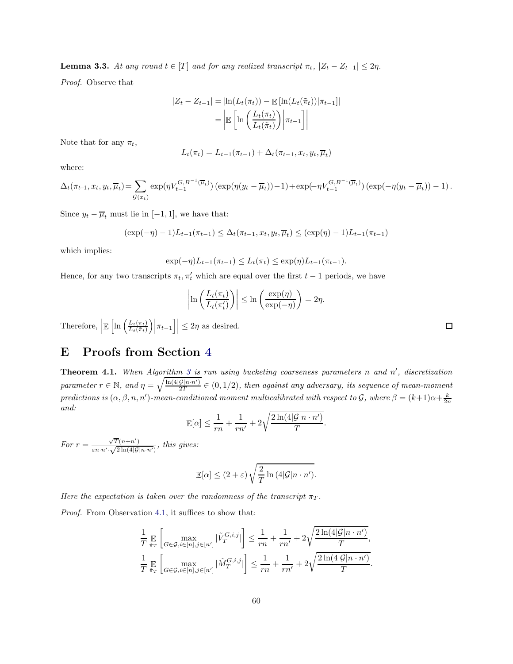**Lemma 3.3.** At any round  $t \in [T]$  and for any realized transcript  $\pi_t$ ,  $|Z_t - Z_{t-1}| \leq 2\eta$ .

Proof. Observe that

$$
|Z_t - Z_{t-1}| = |\ln(L_t(\pi_t)) - \mathbb{E}[\ln(L_t(\tilde{\pi}_t)) | \pi_{t-1}]|
$$
  
= 
$$
\left| \mathbb{E} \left[ \ln \left( \frac{L_t(\pi_t)}{L_t(\tilde{\pi}_t)} \right) \middle| \pi_{t-1} \right] \right|
$$

Note that for any  $\pi_t$ ,

$$
L_t(\pi_t) = L_{t-1}(\pi_{t-1}) + \Delta_t(\pi_{t-1}, x_t, y_t, \overline{\mu}_t)
$$

where:

$$
\Delta_t(\pi_{t-1}, x_t, y_t, \overline{\mu}_t) = \sum_{\mathcal{G}(x_t)} \exp(\eta V_{t-1}^{G, B^{-1}(\overline{\mu}_t)}) (\exp(\eta(y_t - \overline{\mu}_t)) - 1) + \exp(-\eta V_{t-1}^{G, B^{-1}(\overline{\mu}_t)}) (\exp(-\eta(y_t - \overline{\mu}_t)) - 1).
$$

Since  $y_t - \overline{\mu}_t$  must lie in [-1, 1], we have that:

$$
(\exp(-\eta) - 1)L_{t-1}(\pi_{t-1}) \le \Delta_t(\pi_{t-1}, x_t, y_t, \overline{\mu}_t) \le (\exp(\eta) - 1)L_{t-1}(\pi_{t-1})
$$

which implies:

$$
\exp(-\eta)L_{t-1}(\pi_{t-1}) \le L_t(\pi_t) \le \exp(\eta)L_{t-1}(\pi_{t-1}).
$$

Hence, for any two transcripts  $\pi_t$ ,  $\pi'_t$  which are equal over the first  $t-1$  periods, we have

$$
\left|\ln\left(\frac{L_t(\pi_t)}{L_t(\pi_t')}\right)\right| \le \ln\left(\frac{\exp(\eta)}{\exp(-\eta)}\right) = 2\eta.
$$

Therefore,  $\left| \mathbb{E}\left[ \ln \left( \frac{L_t(\pi_t)}{L_t(\tilde{\pi}_t)} \right) \right] \right|$  $\frac{L_t(\pi_t)}{L_t(\tilde{\pi}_t)}\Big|\big|\pi_{t-1}\big|\Big| \leq 2\eta$  as desired.

# <span id="page-61-0"></span>E Proofs from Section [4](#page-20-0)

**Theorem 4.1.** When Algorithm [3](#page-26-0) is run using bucketing coarseness parameters n and  $n'$ , discretization parameter  $r \in \mathbb{N}$ , and  $\eta = \sqrt{\frac{\ln(4|\mathcal{G}|n \cdot n')}{2T}} \in (0, 1/2)$ , then against any adversary, its sequence of mean-moment predictions is  $(\alpha, \beta, n, n')$ -mean-conditioned moment multicalibrated with respect to  $\mathcal{G}$ , where  $\beta = (k+1)\alpha + \frac{k}{2n}$ and:

$$
\mathbb{E}[\alpha] \le \frac{1}{rn} + \frac{1}{rn'} + 2\sqrt{\frac{2\ln(4|\mathcal{G}|n \cdot n')}{T}}.
$$

For  $r = \frac{\sqrt{T}(n+n')}{\sqrt{2\ln(4/\sigma)}}$  $\frac{\sqrt{1(n+n)}}{\varepsilon n \cdot n' \cdot \sqrt{2\ln(4|\mathcal{G}|n \cdot n')}},$  this gives:

$$
\mathbb{E}[\alpha] \le (2+\varepsilon) \sqrt{\frac{2}{T} \ln (4|\mathcal{G}|n \cdot n')}.
$$

Here the expectation is taken over the randomness of the transcript  $\pi_T$ .

Proof. From Observation [4.1,](#page-23-3) it suffices to show that:

$$
\frac{1}{T} \mathop{\mathbb{E}}_{\tilde{\pi}_T} \left[ \max_{G \in \mathcal{G}, i \in [n], j \in [n']} |\tilde{V}_T^{G,i,j}| \right] \le \frac{1}{rn} + \frac{1}{rn'} + 2\sqrt{\frac{2\ln(4|\mathcal{G}|n \cdot n')}{T}},
$$
\n
$$
\frac{1}{T} \mathop{\mathbb{E}}_{\tilde{\pi}_T} \left[ \max_{G \in \mathcal{G}, i \in [n], j \in [n']} |\tilde{M}_T^{G,i,j}| \right] \le \frac{1}{rn} + \frac{1}{rn'} + 2\sqrt{\frac{2\ln(4|\mathcal{G}|n \cdot n')}{T}}
$$

.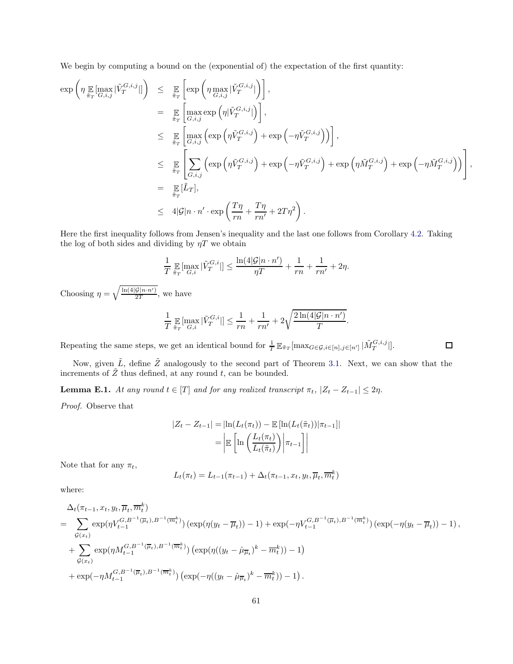We begin by computing a bound on the (exponential of) the expectation of the first quantity:

$$
\exp\left(\eta \max_{\tilde{\pi}_T} \left| \tilde{V}_T^{G,i,j} \right| \right) \leq \sum_{\tilde{\pi}_T} \left[ \exp\left(\eta \max_{G,i,j} |\tilde{V}_T^{G,i,j}| \right) \right],
$$
\n
$$
= \sum_{\tilde{\pi}_T} \left[ \max_{G,i,j} \exp\left(\eta |\tilde{V}_T^{G,i,j}| \right) \right],
$$
\n
$$
\leq \sum_{\tilde{\pi}_T} \left[ \max_{G,i,j} \left( \exp\left(\eta \tilde{V}_T^{G,i,j}\right) + \exp\left(-\eta \tilde{V}_T^{G,i,j}\right) \right) \right],
$$
\n
$$
\leq \sum_{\tilde{\pi}_T} \left[ \sum_{G,i,j} \left( \exp\left(\eta \tilde{V}_T^{G,i,j}\right) + \exp\left(-\eta \tilde{V}_T^{G,i,j}\right) + \exp\left(\eta \tilde{M}_T^{G,i,j}\right) + \exp\left(-\eta \tilde{M}_T^{G,i,j}\right) \right) \right],
$$
\n
$$
= \sum_{\tilde{\pi}_T} [\tilde{L}_T],
$$
\n
$$
\leq 4|\mathcal{G}|n \cdot n' \cdot \exp\left(\frac{T\eta}{rn} + \frac{T\eta}{rn'} + 2T\eta^2\right).
$$

Here the first inequality follows from Jensen's inequality and the last one follows from Corollary [4.2.](#page-26-3) Taking the log of both sides and dividing by  $\eta T$  we obtain

$$
\frac{1}{T}\mathop{\mathbb{E}}_{\tilde{\pi}_T}[\max_{G,i}|\tilde{V}^{G,i}_T|] \leq \frac{\ln(4|\mathcal{G}|n \cdot n')}{\eta T} + \frac{1}{rn} + \frac{1}{rn'} + 2\eta.
$$

Choosing  $\eta = \sqrt{\frac{\ln(4|\mathcal{G}|n \cdot n')}{2T}}$ , we have

$$
\frac{1}{T} \mathop{\mathbb{E}}_{\tilde{\pi}_T}[\max_{G,i} |\tilde{V}_T^{G,i}|] \le \frac{1}{rn} + \frac{1}{rn'} + 2\sqrt{\frac{2\ln(4|\mathcal{G}|n \cdot n')}{T}}.
$$

Repeating the same steps, we get an identical bound for  $\frac{1}{T} \mathbb{E}_{\tilde{\pi}_T}[\max_{G \in \mathcal{G}, i \in [n], j \in [n']}|\tilde{M}_T^{G,i,j}|]$ .

 $\Box$ 

Now, given  $\tilde{L}$ , define  $\tilde{Z}$  analogously to the second part of Theorem [3.1.](#page-16-1) Next, we can show that the increments of  $\tilde{Z}$  thus defined, at any round t, can be bounded.

<span id="page-62-0"></span>**Lemma E.1.** At any round  $t \in [T]$  and for any realized transcript  $\pi_t$ ,  $|Z_t - Z_{t-1}| \leq 2\eta$ .

Proof. Observe that

$$
|Z_t - Z_{t-1}| = |\ln(L_t(\pi_t)) - \mathbb{E}[\ln(L_t(\tilde{\pi}_t)) | \pi_{t-1}]|
$$
  
= 
$$
\left| \mathbb{E} \left[ \ln \left( \frac{L_t(\pi_t)}{L_t(\tilde{\pi}_t)} \right) \middle| \pi_{t-1} \right] \right|
$$

Note that for any  $\pi_t$ ,

$$
L_t(\pi_t) = L_{t-1}(\pi_{t-1}) + \Delta_t(\pi_{t-1}, x_t, y_t, \overline{\mu}_t, \overline{m}_t^k)
$$

where:

$$
\Delta_t(\pi_{t-1}, x_t, y_t, \overline{\mu}_t, \overline{m}_t^k)
$$
\n
$$
= \sum_{\mathcal{G}(x_t)} \exp(\eta V_{t-1}^{G, B^{-1}(\overline{\mu}_t), B^{-1}(\overline{m}_t^k)}) (\exp(\eta(y_t - \overline{\mu}_t)) - 1) + \exp(-\eta V_{t-1}^{G, B^{-1}(\overline{\mu}_t), B^{-1}(\overline{m}_t^k)}) (\exp(-\eta(y_t - \overline{\mu}_t)) - 1),
$$
\n
$$
+ \sum_{\mathcal{G}(x_t)} \exp(\eta M_{t-1}^{G, B^{-1}(\overline{\mu}_t), B^{-1}(\overline{m}_t^k)}) (\exp(\eta((y_t - \hat{\mu}_{\overline{\mu}_t})^k - \overline{m}_t^k)) - 1)
$$
\n
$$
+ \exp(-\eta M_{t-1}^{G, B^{-1}(\overline{\mu}_t), B^{-1}(\overline{m}_t^k)}) (\exp(-\eta((y_t - \hat{\mu}_{\overline{\mu}_t})^k - \overline{m}_t^k)) - 1).
$$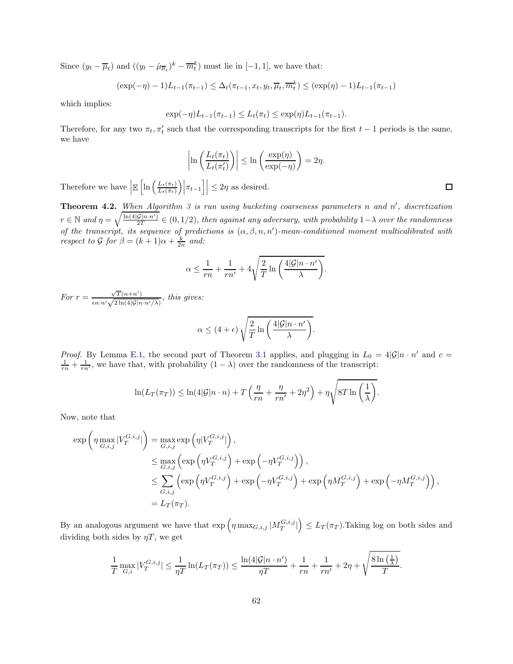Since  $(y_t - \overline{\mu}_t)$  and  $((y_t - \hat{\mu}_{\overline{\mu}_t})^k - \overline{m}_t^k)$  must lie in [-1, 1], we have that:

$$
(\exp(-\eta) - 1)L_{t-1}(\pi_{t-1}) \le \Delta_t(\pi_{t-1}, x_t, y_t, \overline{\mu}_t, \overline{m}_t^k) \le (\exp(\eta) - 1)L_{t-1}(\pi_{t-1})
$$

which implies:

$$
\exp(-\eta)L_{t-1}(\pi_{t-1}) \le L_t(\pi_t) \le \exp(\eta)L_{t-1}(\pi_{t-1}).
$$

Therefore, for any two  $\pi_t, \pi'_t$  such that the corresponding transcripts for the first  $t-1$  periods is the same, we have

$$
\left|\ln\left(\frac{L_t(\pi_t)}{L_t(\pi_t')}\right)\right| \le \ln\left(\frac{\exp(\eta)}{\exp(-\eta)}\right) = 2\eta.
$$

Therefore we have  $\left| \mathbb{E}\left[ \ln \left( \frac{L_t(\pi_t)}{L_t(\tilde{\pi}_t)} \right) \right. \right.$  $\frac{L_t(\pi_t)}{L_t(\tilde{\pi}_t)}\Big|\Big|\pi_{t-1}\Big|\Big| \leq 2\eta$  as desired.

**Theorem 4.2.** When Algorithm [3](#page-26-0) is run using bucketing coarseness parameters n and  $n'$ , discretization  $r \in \mathbb{N}$  and  $\eta = \sqrt{\frac{\ln(4|\mathcal{G}|n \cdot n')}{2T}} \in (0, 1/2)$ , then against any adversary, with probability  $1-\lambda$  over the randomness of the transcript, its sequence of predictions is  $(\alpha, \beta, n, n')$ -mean-conditioned moment multicalibrated with respect to  $\mathcal G$  for  $\beta = (k+1)\alpha + \frac{k}{2n}$  and:

$$
\alpha \le \frac{1}{rn} + \frac{1}{rn'} + 4\sqrt{\frac{2}{T} \ln\left(\frac{4|\mathcal{G}|n \cdot n'}{\lambda}\right)}.
$$

For  $r = \frac{\sqrt{T(n+n')}}{\sqrt{2(1-x^2)}}$  $\frac{\sqrt{1(n+n)}}{\epsilon n \cdot n' \sqrt{2\ln(4|\mathcal{G}|n \cdot n'/\lambda)}},$  this gives:

$$
\alpha \le (4+\epsilon)\sqrt{\frac{2}{T}\ln\left(\frac{4|\mathcal{G}|n\cdot n'}{\lambda}\right)}.
$$

*Proof.* By Lemma [E.1,](#page-62-0) the second part of Theorem [3.1](#page-16-1) applies, and plugging in  $L_0 = 4|\mathcal{G}|n \cdot n'$  and  $c =$  $\frac{1}{rn} + \frac{1}{rn'}$ , we have that, with probability  $(1 - \lambda)$  over the randomness of the transcript:

$$
\ln(L_T(\pi_T)) \leq \ln(4|\mathcal{G}|n \cdot n) + T\left(\frac{\eta}{rn} + \frac{\eta}{rn'} + 2\eta^2\right) + \eta \sqrt{8T \ln\left(\frac{1}{\lambda}\right)}.
$$

Now, note that

$$
\exp\left(\eta \max_{G,i,j} |V_T^{G,i,j}|\right) = \max_{G,i,j} \exp\left(\eta |V_T^{G,i,j}|\right),
$$
  
\n
$$
\leq \max_{G,i,j} \left(\exp\left(\eta V_T^{G,i,j}\right) + \exp\left(-\eta V_T^{G,i,j}\right)\right),
$$
  
\n
$$
\leq \sum_{G,i,j} \left(\exp\left(\eta V_T^{G,i,j}\right) + \exp\left(-\eta V_T^{G,i,j}\right) + \exp\left(\eta M_T^{G,i,j}\right) + \exp\left(-\eta M_T^{G,i,j}\right)\right),
$$
  
\n
$$
= L_T(\pi_T).
$$

By an analogous argument we have that  $\exp\left(\eta \max_{G,i,j}|M_T^{G,i,j}|\right) \leq L_T(\pi_T)$ . Taking log on both sides and dividing both sides by  $\eta T$ , we get

$$
\frac{1}{T} \max_{G,i} |V_T^{G,i,j}| \le \frac{1}{\eta T} \ln(L_T(\pi_T)) \le \frac{\ln(4|\mathcal{G}|n \cdot n')}{\eta T} + \frac{1}{rn} + \frac{1}{rn'} + 2\eta + \sqrt{\frac{8\ln(\frac{1}{\lambda})}{T}}.
$$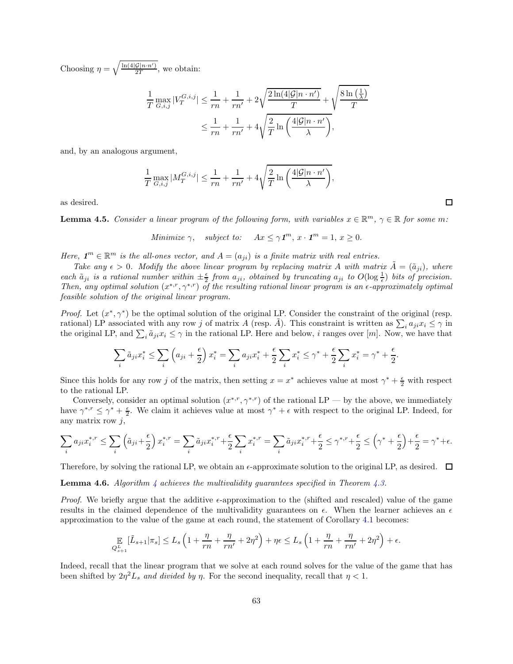Choosing  $\eta = \sqrt{\frac{\ln(4|\mathcal{G}|n \cdot n')}{2T}}$ , we obtain:

$$
\frac{1}{T} \max_{G,i,j} |V_T^{G,i,j}| \le \frac{1}{rn} + \frac{1}{rn'} + 2\sqrt{\frac{2\ln(4|\mathcal{G}|n \cdot n')}{T}} + \sqrt{\frac{8\ln\left(\frac{1}{\lambda}\right)}{T}}
$$
\n
$$
\le \frac{1}{rn} + \frac{1}{rn'} + 4\sqrt{\frac{2}{T} \ln\left(\frac{4|\mathcal{G}|n \cdot n'}{\lambda}\right)},
$$

and, by an analogous argument,

$$
\frac{1}{T} \max_{G,i,j} |M_T^{G,i,j}| \le \frac{1}{rn} + \frac{1}{rn'} + 4\sqrt{\frac{2}{T} \ln\left(\frac{4|\mathcal{G}|n \cdot n'}{\lambda}\right)},
$$

as desired.

**Lemma 4.5.** Consider a linear program of the following form, with variables  $x \in \mathbb{R}^m$ ,  $\gamma \in \mathbb{R}$  for some m:

Minimize  $\gamma$ , subject to:  $Ax \leq \gamma \mathbf{1}^m$ ,  $x \cdot \mathbf{1}^m = 1$ ,  $x \geq 0$ .

Here,  $\mathbf{1}^m \in \mathbb{R}^m$  is the all-ones vector, and  $A = (a_{ji})$  is a finite matrix with real entries.

Take any  $\epsilon > 0$ . Modify the above linear program by replacing matrix A with matrix  $\dot{A} = (\tilde{a}_{ii})$ , where each  $\tilde{a}_{ji}$  is a rational number within  $\pm \frac{\epsilon}{2}$  from  $a_{ji}$ , obtained by truncating  $a_{ji}$  to  $O(\log \frac{1}{\epsilon})$  bits of precision. Then, any optimal solution  $(x^{*,r}, \gamma^{*,r})$  of the resulting rational linear program is an  $\epsilon$ -approximately optimal feasible solution of the original linear program.

*Proof.* Let  $(x^*, \gamma^*)$  be the optimal solution of the original LP. Consider the constraint of the original (resp. rational) LP associated with any row j of matrix A (resp.  $\tilde{A}$ ). This constraint is written as  $\sum_i a_{ji} x_i \leq \gamma$  in the original LP, and  $\sum_i \tilde{a}_{ji} x_i \leq \gamma$  in the rational LP. Here and below, i ranges over [m]. Now, we have that

$$
\sum_{i} \tilde{a}_{ji} x_i^* \le \sum_{i} \left( a_{ji} + \frac{\epsilon}{2} \right) x_i^* = \sum_{i} a_{ji} x_i^* + \frac{\epsilon}{2} \sum_{i} x_i^* \le \gamma^* + \frac{\epsilon}{2} \sum_{i} x_i^* = \gamma^* + \frac{\epsilon}{2}.
$$

Since this holds for any row j of the matrix, then setting  $x = x^*$  achieves value at most  $\gamma^* + \frac{\epsilon}{2}$  with respect to the rational LP.

Conversely, consider an optimal solution  $(x^{*,r}, \gamma^{*,r})$  of the rational LP — by the above, we immediately have  $\gamma^{*,r} \leq \gamma^* + \frac{\epsilon}{2}$ . We claim it achieves value at most  $\gamma^* + \epsilon$  with respect to the original LP. Indeed, for any matrix row  $j$ ,

$$
\sum_{i} a_{ji} x_i^{*,r} \le \sum_{i} \left( \tilde{a}_{ji} + \frac{\epsilon}{2} \right) x_i^{*,r} = \sum_{i} \tilde{a}_{ji} x_i^{*,r} + \frac{\epsilon}{2} \sum_{i} x_i^{*,r} = \sum_{i} \tilde{a}_{ji} x_i^{*,r} + \frac{\epsilon}{2} \le \gamma^{*,r} + \frac{\epsilon}{2} \le \left( \gamma^* + \frac{\epsilon}{2} \right) + \frac{\epsilon}{2} = \gamma^* + \epsilon.
$$

Therefore, by solving the rational LP, we obtain an  $\epsilon$ -approximate solution to the original LP, as desired.  $\Box$ 

**Lemma [4](#page-29-1).6.** Algorithm 4 achieves the multivalidity guarantees specified in Theorem [4.3.](#page-29-2)

*Proof.* We briefly argue that the additive  $\epsilon$ -approximation to the (shifted and rescaled) value of the game results in the claimed dependence of the multivalidity guarantees on  $\epsilon$ . When the learner achieves an  $\epsilon$ approximation to the value of the game at each round, the statement of Corollary [4.1](#page-25-0) becomes:

$$
\mathop{\mathbb{E}}_{Q_{s+1}^{L}}\left[\tilde{L}_{s+1}|\pi_{s}\right] \leq L_{s}\left(1+\frac{\eta}{rn}+\frac{\eta}{rn'}+2\eta^{2}\right)+\eta\epsilon \leq L_{s}\left(1+\frac{\eta}{rn}+\frac{\eta}{rn'}+2\eta^{2}\right)+\epsilon.
$$

Indeed, recall that the linear program that we solve at each round solves for the value of the game that has been shifted by  $2\eta^2 L_s$  and divided by  $\eta$ . For the second inequality, recall that  $\eta < 1$ .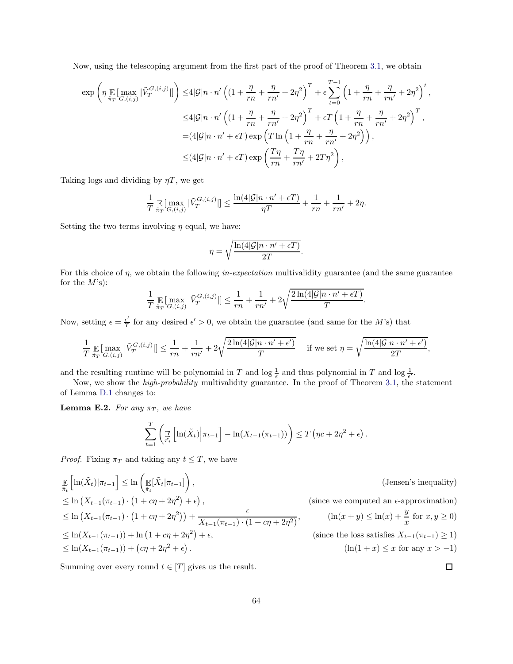Now, using the telescoping argument from the first part of the proof of Theorem [3.1,](#page-16-1) we obtain

$$
\exp\left(\eta \max_{\tilde{\pi}_T} \left[\max_{G,(i,j)} |\tilde{V}_T^{G,(i,j)}|\right]\right) \le 4|\mathcal{G}|n \cdot n' \left((1 + \frac{\eta}{rn} + \frac{\eta}{rn'} + 2\eta^2)\right)^T + \epsilon \sum_{t=0}^{T-1} \left(1 + \frac{\eta}{rn} + \frac{\eta}{rn'} + 2\eta^2\right)^t,
$$
  

$$
\le 4|\mathcal{G}|n \cdot n' \left((1 + \frac{\eta}{rn} + \frac{\eta}{rn'} + 2\eta^2)\right)^T + \epsilon T \left(1 + \frac{\eta}{rn} + \frac{\eta}{rn'} + 2\eta^2\right)^T,
$$
  

$$
= (4|\mathcal{G}|n \cdot n' + \epsilon T) \exp\left(T\ln\left(1 + \frac{\eta}{rn} + \frac{\eta}{rn'} + 2\eta^2\right)\right),
$$
  

$$
\le (4|\mathcal{G}|n \cdot n' + \epsilon T) \exp\left(\frac{T\eta}{rn} + \frac{T\eta}{rn'} + 2T\eta^2\right),
$$

Taking logs and dividing by  $\eta T$ , we get

$$
\frac{1}{T}\mathop{\mathbb{E}}_{\tilde{\pi}_T}[\max_{G,(i,j)}|\tilde{V}_T^{G,(i,j)}|] \le \frac{\ln(4|\mathcal{G}|n \cdot n' + \epsilon T)}{\eta T} + \frac{1}{rn} + \frac{1}{rn'} + 2\eta.
$$

Setting the two terms involving  $\eta$  equal, we have:

$$
\eta = \sqrt{\frac{\ln(4|\mathcal{G}|n \cdot n' + \epsilon T)}{2T}}.
$$

For this choice of  $\eta$ , we obtain the following *in-expectation* multivalidity guarantee (and the same guarantee for the  $M$ 's):

$$
\frac{1}{T}\mathop{\mathbb{E}}_{\tilde{\pi}_T}[\max_{G,(i,j)}|\tilde{V}^{G,(i,j)}_T|] \leq \frac{1}{rn} + \frac{1}{rn'} + 2\sqrt{\frac{2\ln(4|\mathcal{G}|n \cdot n' + \epsilon T)}{T}}.
$$

Now, setting  $\epsilon = \frac{\epsilon'}{T}$  $\frac{\epsilon}{T}$  for any desired  $\epsilon' > 0$ , we obtain the guarantee (and same for the M's) that

$$
\frac{1}{T} \mathop{\mathbb{E}}_{\tilde{\pi}_T} [\max_{G,(i,j)} |\tilde{V}_T^{G,(i,j)}|] \le \frac{1}{rn} + \frac{1}{rn'} + 2\sqrt{\frac{2\ln(4|\mathcal{G}|n \cdot n' + \epsilon')}{T}} \quad \text{if we set } \eta = \sqrt{\frac{\ln(4|\mathcal{G}|n \cdot n' + \epsilon')}{2T}},
$$

and the resulting runtime will be polynomial in T and  $\log \frac{1}{\epsilon}$  and thus polynomial in T and  $\log \frac{1}{\epsilon'}$ .

Now, we show the *high-probability* multivalidity guarantee. In the proof of Theorem [3.1,](#page-16-1) the statement of Lemma [D.1](#page-60-1) changes to:

**Lemma E.2.** For any  $\pi_T$ , we have

$$
\sum_{t=1}^T \left( \mathbb{E}_{\tilde{\pi_t}} \left[ \ln(\tilde{X}_t) \middle| \pi_{t-1} \right] - \ln(X_{t-1}(\pi_{t-1})) \right) \le T \left( \eta c + 2\eta^2 + \epsilon \right).
$$

*Proof.* Fixing  $\pi_T$  and taking any  $t \leq T$ , we have

$$
\mathbb{E}_{\tilde{\pi}_{t}}\left[\ln(\tilde{X}_{t})|\pi_{t-1}\right] \leq \ln\left(\mathbb{E}[\tilde{X}_{t}|\pi_{t-1}]\right),
$$
\n
$$
\leq \ln\left(X_{t-1}(\pi_{t-1})\cdot\left(1+ c\eta + 2\eta^{2}\right) + \epsilon\right),
$$
\n
$$
\leq \ln\left(X_{t-1}(\pi_{t-1})\cdot\left(1 + c\eta + 2\eta^{2}\right)\right) + \frac{\epsilon}{X_{t-1}(\pi_{t-1})\cdot\left(1 + c\eta + 2\eta^{2}\right)},
$$
\n(since we computed an  $\epsilon$ -approximation)\n
$$
\leq \ln(X_{t-1}(\pi_{t-1})) + \ln\left(1 + c\eta + 2\eta^{2}\right) + \epsilon,
$$
\n(since the loss satisfies  $X_{t-1}(\pi_{t-1}) \geq 1$ )\n
$$
\leq \ln(X_{t-1}(\pi_{t-1})) + (c\eta + 2\eta^{2} + \epsilon).
$$
\n(since the loss satisfies  $X_{t-1}(\pi_{t-1}) \geq 1$ )\n
$$
(\ln(1+x) \leq x \text{ for any } x > -1)
$$

 $\Box$ 

Summing over every round  $t \in [T]$  gives us the result.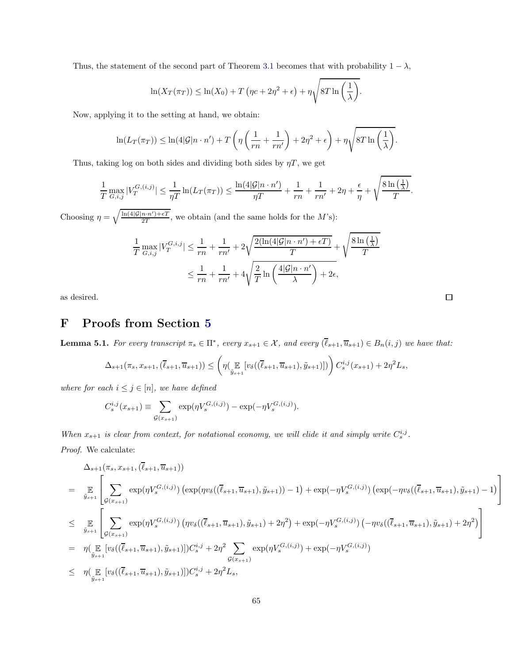Thus, the statement of the second part of Theorem [3.1](#page-16-1) becomes that with probability  $1 - \lambda$ ,

$$
\ln(X_T(\pi_T)) \leq \ln(X_0) + T\left(\eta c + 2\eta^2 + \epsilon\right) + \eta \sqrt{8T \ln\left(\frac{1}{\lambda}\right)}.
$$

Now, applying it to the setting at hand, we obtain:

$$
\ln(L_T(\pi_T)) \leq \ln(4|\mathcal{G}|n \cdot n') + T\left(\eta\left(\frac{1}{rn} + \frac{1}{rn'}\right) + 2\eta^2 + \epsilon\right) + \eta\sqrt{8T\ln\left(\frac{1}{\lambda}\right)}.
$$

Thus, taking log on both sides and dividing both sides by  $\eta T$ , we get

$$
\frac{1}{T}\max_{G,i,j}|V_T^{G,(i,j)}| \leq \frac{1}{\eta T}\ln(L_T(\pi_T)) \leq \frac{\ln(4|\mathcal{G}|n \cdot n')}{\eta T} + \frac{1}{rn} + \frac{1}{rn'} + 2\eta + \frac{\epsilon}{\eta} + \sqrt{\frac{8\ln\left(\frac{1}{\lambda}\right)}{T}}.
$$

Choosing  $\eta = \sqrt{\frac{\ln(4|\mathcal{G}|n \cdot n') + \epsilon T}{2T}}$ , we obtain (and the same holds for the M's):

$$
\frac{1}{T} \max_{G,i,j} |V_T^{G,i,j}| \le \frac{1}{rn} + \frac{1}{rn'} + 2\sqrt{\frac{2(\ln(4|\mathcal{G}|n \cdot n') + \epsilon T)}{T}} + \sqrt{\frac{8\ln(\frac{1}{\lambda})}{T}}
$$
\n
$$
\le \frac{1}{rn} + \frac{1}{rn'} + 4\sqrt{\frac{2}{T} \ln\left(\frac{4|\mathcal{G}|n \cdot n'}{\lambda}\right) + 2\epsilon},
$$

<span id="page-66-0"></span>as desired.

# F Proofs from Section [5](#page-32-0)

**Lemma 5.1.** For every transcript  $\pi_s \in \Pi^*$ , every  $x_{s+1} \in \mathcal{X}$ , and every  $(\ell_{s+1}, \overline{u}_{s+1}) \in B_n(i,j)$  we have that:

$$
\Delta_{s+1}(\pi_s, x_{s+1}, (\overline{\ell}_{s+1}, \overline{u}_{s+1})) \leq \left(\eta(\mathop{\mathbb{E}}_{\tilde{y}_{s+1}}[v_\delta((\overline{\ell}_{s+1}, \overline{u}_{s+1}), \tilde{y}_{s+1})])\right) C_s^{i,j}(x_{s+1}) + 2\eta^2 L_s,
$$

where for each  $i \leq j \in [n]$ , we have defined

$$
C_s^{i,j}(x_{s+1}) \equiv \sum_{\mathcal{G}(x_{s+1})} \exp(\eta V_s^{\mathcal{G},(i,j)}) - \exp(-\eta V_s^{\mathcal{G},(i,j)}).
$$

When  $x_{s+1}$  is clear from context, for notational economy, we will elide it and simply write  $C_s^{i,j}$ .

Proof. We calculate:

$$
\Delta_{s+1}(\pi_s, x_{s+1}, (\overline{\ell}_{s+1}, \overline{u}_{s+1}))
$$
\n
$$
= \mathop{\mathbb{E}}_{\tilde{y}_{s+1}} \Bigg[ \sum_{\mathcal{G}(x_{s+1})} \exp(\eta V_s^{G,(i,j)}) \left( \exp(\eta v_{\delta}((\overline{\ell}_{s+1}, \overline{u}_{s+1}), \tilde{y}_{s+1})) - 1) + \exp(-\eta V_s^{G,(i,j)}) \left( \exp(-\eta v_{\delta}((\overline{\ell}_{s+1}, \overline{u}_{s+1}), \tilde{y}_{s+1}) - 1) \right) \Bigg]
$$
\n
$$
\leq \mathop{\mathbb{E}}_{\tilde{y}_{s+1}} \Bigg[ \sum_{\mathcal{G}(x_{s+1})} \exp(\eta V_s^{G,(i,j)}) \left( \eta v_{\delta}((\overline{\ell}_{s+1}, \overline{u}_{s+1}), \tilde{y}_{s+1}) + 2\eta^2 \right) + \exp(-\eta V_s^{G,(i,j)}) \left( -\eta v_{\delta}((\overline{\ell}_{s+1}, \overline{u}_{s+1}), \tilde{y}_{s+1}) + 2\eta^2 \right) \Bigg]
$$
\n
$$
= \eta(\mathop{\mathbb{E}}_{\tilde{y}_{s+1}} \left[ v_{\delta}((\overline{\ell}_{s+1}, \overline{u}_{s+1}), \tilde{y}_{s+1})] \right) C_s^{i,j} + 2\eta^2 \sum_{\mathcal{G}(x_{s+1})} \exp(\eta V_s^{G,(i,j)}) + \exp(-\eta V_s^{G,(i,j)})
$$
\n
$$
\leq \eta(\mathop{\mathbb{E}}_{\tilde{y}_{s+1}} \left[ v_{\delta}((\overline{\ell}_{s+1}, \overline{u}_{s+1}), \tilde{y}_{s+1})] \right) C_s^{i,j} + 2\eta^2 L_s,
$$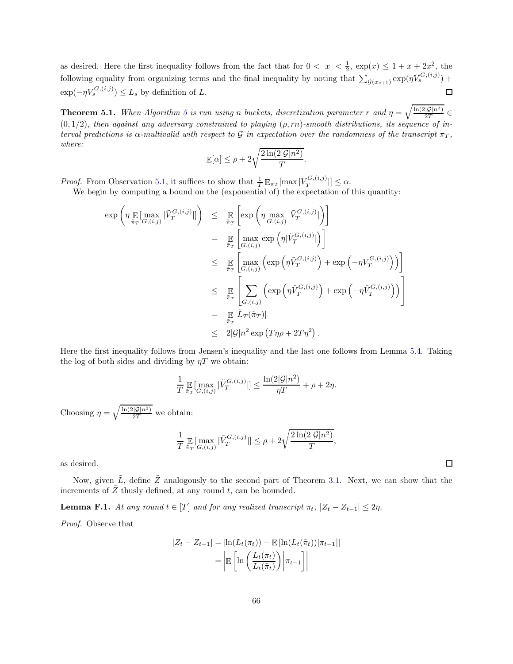as desired. Here the first inequality follows from the fact that for  $0 < |x| < \frac{1}{2}$ ,  $\exp(x) \leq 1 + x + 2x^2$ , the following equality from organizing terms and the final inequality by noting that  $\sum_{\mathcal{G}(x_{s+1})} \exp(\eta V_s^{G,(i,j)})$  +  $\exp(-\eta V_s^{G,(i,j)}) \leq L_s$  by definition of L.  $\Box$ 

**Theorem [5](#page-36-1).1.** When Algorithm 5 is run using n buckets, discretization parameter r and  $\eta = \sqrt{\frac{\ln(2|\mathcal{G}|n^2)}{2T}} \in$  $(0, 1/2)$ , then against any adversary constrained to playing  $(\rho, rn)$ -smooth distributions, its sequence of interval predictions is  $\alpha$ -multivalid with respect to G in expectation over the randomness of the transcript  $\pi_T$ , where:

$$
\mathbb{E}[\alpha] \le \rho + 2\sqrt{\frac{2\ln(2|\mathcal{G}|n^2)}{T}}.
$$

*Proof.* From Observation [5.1,](#page-33-3) it suffices to show that  $\frac{1}{T} \mathbb{E}_{\pi_T}[\max |V_T^{G,(i,j)}|]$  $T^{(i,j)}$   $\leq \alpha$ .

We begin by computing a bound on the (exponential of) the expectation of this quantity:

$$
\exp\left(\eta \max_{\tilde{\pi}_T} \left[\max_{G,(i,j)} |\tilde{V}_T^{G,(i,j)}|\right]\right) \leq \sum_{\tilde{\pi}_T} \left[\exp\left(\eta \max_{G,(i,j)} |\tilde{V}_T^{G,(i,j)}|\right)\right]
$$
\n
$$
= \sum_{\tilde{\pi}_T} \left[\max_{G,(i,j)} \exp\left(\eta |\tilde{V}_T^{G,(i,j)}|\right)\right]
$$
\n
$$
\leq \sum_{\tilde{\pi}_T} \left[\max_{G,(i,j)} \left(\exp\left(\eta \tilde{V}_T^{G,(i,j)}\right) + \exp\left(-\eta V_T^{G,(i,j)}\right)\right)\right]
$$
\n
$$
\leq \sum_{\tilde{\pi}_T} \left[\sum_{G,(i,j)} \left(\exp\left(\eta \tilde{V}_T^{G,(i,j)}\right) + \exp\left(-\eta \tilde{V}_T^{G,(i,j)}\right)\right)\right]
$$
\n
$$
= \sum_{\tilde{\pi}_T} [\tilde{L}_T(\tilde{\pi}_T)]
$$
\n
$$
\leq 2|\mathcal{G}|n^2 \exp\left(T\eta\rho + 2T\eta^2\right).
$$

Here the first inequality follows from Jensen's inequality and the last one follows from Lemma [5.4.](#page-36-4) Taking the log of both sides and dividing by  $\eta T$  we obtain:

$$
\frac{1}{T} \mathop{\mathbb{E}}_{\tilde{\pi}_T} \left[ \max_{G,(i,j)} |\tilde{V}_T^{G,(i,j)}| \right] \le \frac{\ln(2|\mathcal{G}|n^2)}{\eta T} + \rho + 2\eta.
$$

Choosing  $\eta = \sqrt{\frac{\ln(2|\mathcal{G}|n^2)}{2T}}$  we obtain:

$$
\frac{1}{T}\mathop{\mathbb{E}}_{\tilde{\pi}_T}[\max_{G,(i,j)}|\tilde{V}^{G,(i,j)}_T|] \leq \rho + 2\sqrt{\frac{2\ln(2|\mathcal{G}|n^2)}{T}}
$$

,

as desired.

Now, given  $\tilde{L}$ , define  $\tilde{Z}$  analogously to the second part of Theorem [3.1.](#page-16-1) Next, we can show that the increments of  $\tilde{Z}$  thusly defined, at any round t, can be bounded.

<span id="page-67-0"></span>**Lemma F.1.** At any round  $t \in [T]$  and for any realized transcript  $\pi_t$ ,  $|Z_t - Z_{t-1}| \leq 2\eta$ .

Proof. Observe that

$$
|Z_t - Z_{t-1}| = |\ln(L_t(\pi_t)) - \mathbb{E}[\ln(L_t(\tilde{\pi}_t))|\pi_{t-1}]|
$$

$$
= \left| \mathbb{E}\left[\ln\left(\frac{L_t(\pi_t)}{L_t(\tilde{\pi}_t)}\right)\middle|\pi_{t-1}\right] \right|
$$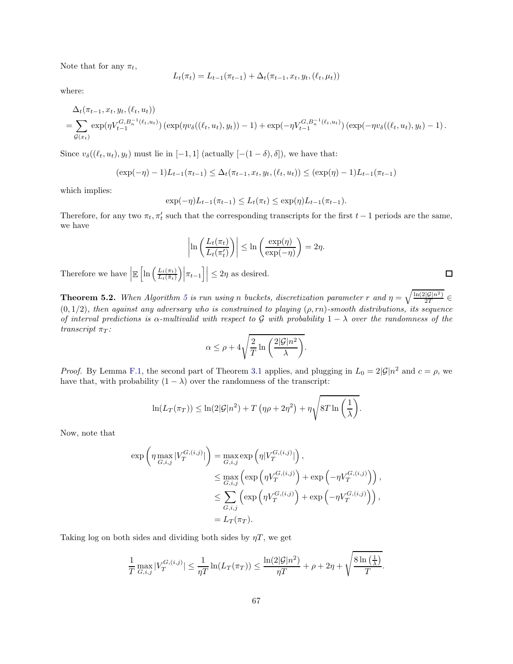Note that for any  $\pi_t$ ,

$$
L_t(\pi_t) = L_{t-1}(\pi_{t-1}) + \Delta_t(\pi_{t-1}, x_t, y_t, (\ell_t, \mu_t))
$$

where:

$$
\Delta_t(\pi_{t-1}, x_t, y_t, (\ell_t, u_t))
$$
\n
$$
= \sum_{\mathcal{G}(x_t)} \exp(\eta V_{t-1}^{G, B_n^{-1}(\ell_t, u_t)}) (\exp(\eta v_{\delta}((\ell_t, u_t), y_t)) - 1) + \exp(-\eta V_{t-1}^{G, B_n^{-1}(\ell_t, u_t)}) (\exp(-\eta v_{\delta}((\ell_t, u_t), y_t) - 1)).
$$

Since  $v_{\delta}((\ell_t, u_t), y_t)$  must lie in [−1, 1] (actually [−(1 − δ), δ]), we have that:

$$
(\exp(-\eta) - 1)L_{t-1}(\pi_{t-1}) \le \Delta_t(\pi_{t-1}, x_t, y_t, (\ell_t, u_t)) \le (\exp(\eta) - 1)L_{t-1}(\pi_{t-1})
$$

which implies:

$$
\exp(-\eta)L_{t-1}(\pi_{t-1}) \le L_t(\pi_t) \le \exp(\eta)L_{t-1}(\pi_{t-1}).
$$

Therefore, for any two  $\pi_t$ ,  $\pi'_t$  such that the corresponding transcripts for the first  $t-1$  periods are the same, we have

$$
\left|\ln\left(\frac{L_t(\pi_t)}{L_t(\pi_t')}\right)\right| \le \ln\left(\frac{\exp(\eta)}{\exp(-\eta)}\right) = 2\eta.
$$

Therefore we have  $\left| \mathbb{E}\left[ \ln \left( \frac{L_t(\pi_t)}{L_t(\tilde{\pi}_t)} \right) \right] \right|$  $\frac{L_t(\pi_t)}{L_t(\tilde{\pi}_t)}\Big|\Big|\pi_{t-1}\Big|\Big| \leq 2\eta$  as desired.

**Theorem [5](#page-36-1).2.** When Algorithm 5 is run using n buckets, discretization parameter r and  $\eta = \sqrt{\frac{\ln(2|\mathcal{G}|n^2)}{2T}}$  $(0, 1/2)$ , then against any adversary who is constrained to playing  $(\rho, rn)$ -smooth distributions, its sequence of interval predictions is  $\alpha$ -multivalid with respect to G with probability  $1 - \lambda$  over the randomness of the transcript  $\pi_T$ :

$$
\alpha \le \rho + 4\sqrt{\frac{2}{T} \ln \left( \frac{2|\mathcal{G}|n^2}{\lambda} \right)}.
$$

*Proof.* By Lemma [F.1,](#page-67-0) the second part of Theorem [3.1](#page-16-1) applies, and plugging in  $L_0 = 2|\mathcal{G}|n^2$  and  $c = \rho$ , we have that, with probability  $(1 - \lambda)$  over the randomness of the transcript:

$$
\ln(L_T(\pi_T)) \leq \ln(2|\mathcal{G}|n^2) + T(\eta \rho + 2\eta^2) + \eta \sqrt{8T \ln\left(\frac{1}{\lambda}\right)}.
$$

Now, note that

$$
\exp\left(\eta \max_{G,i,j} |V_T^{G,(i,j)}|\right) = \max_{G,i,j} \exp\left(\eta |V_T^{G,(i,j)}|\right),
$$
  
\n
$$
\leq \max_{G,i,j} \left(\exp\left(\eta V_T^{G,(i,j)}\right) + \exp\left(-\eta V_T^{G,(i,j)}\right)\right),
$$
  
\n
$$
\leq \sum_{G,i,j} \left(\exp\left(\eta V_T^{G,(i,j)}\right) + \exp\left(-\eta V_T^{G,(i,j)}\right)\right),
$$
  
\n
$$
= L_T(\pi_T).
$$

Taking log on both sides and dividing both sides by  $\eta T$ , we get

$$
\frac{1}{T} \max_{G,i,j} |V_T^{G,(i,j)}| \le \frac{1}{\eta T} \ln(L_T(\pi_T)) \le \frac{\ln(2|\mathcal{G}|n^2)}{\eta T} + \rho + 2\eta + \sqrt{\frac{8\ln(\frac{1}{\lambda})}{T}}.
$$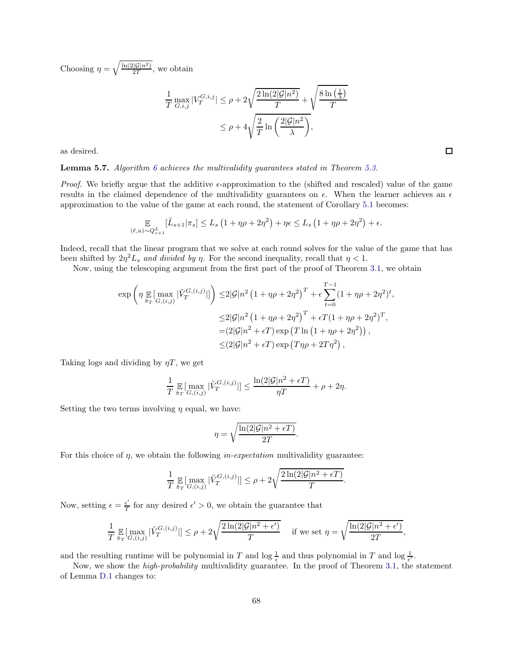Choosing  $\eta = \sqrt{\frac{\ln(2|\mathcal{G}|n^2)}{2T}}$ , we obtain

$$
\frac{1}{T} \max_{G,i,j} |V_T^{G,i,j}| \le \rho + 2\sqrt{\frac{2\ln(2|\mathcal{G}|n^2)}{T}} + \sqrt{\frac{8\ln\left(\frac{1}{\lambda}\right)}{T}}
$$
\n
$$
\le \rho + 4\sqrt{\frac{2}{T} \ln\left(\frac{2|\mathcal{G}|n^2}{\lambda}\right)},
$$

as desired.

#### **Lemma 5.7.** Algorithm [6](#page-37-1) achieves the multivalidity quarantees stated in Theorem [5.3.](#page-37-3)

*Proof.* We briefly argue that the additive  $\epsilon$ -approximation to the (shifted and rescaled) value of the game results in the claimed dependence of the multivalidity guarantees on  $\epsilon$ . When the learner achieves an  $\epsilon$ approximation to the value of the game at each round, the statement of Corollary [5.1](#page-35-1) becomes:

$$
\mathop{\mathbb{E}}_{(\ell,u)\sim Q_{s+1}^L} [\tilde{L}_{s+1}|\pi_s] \leq L_s \left(1 + \eta \rho + 2\eta^2\right) + \eta \epsilon \leq L_s \left(1 + \eta \rho + 2\eta^2\right) + \epsilon.
$$

Indeed, recall that the linear program that we solve at each round solves for the value of the game that has been shifted by  $2\eta^2 L_s$  and divided by  $\eta$ . For the second inequality, recall that  $\eta < 1$ .

Now, using the telescoping argument from the first part of the proof of Theorem [3.1,](#page-16-1) we obtain

$$
\exp\left(\eta \mathop{\mathbb{E}}_{\tilde{\pi}_T}[\max_{G,(i,j)} |\tilde{V}_T^{G,(i,j)}|] \right) \leq 2|\mathcal{G}|n^2 \left(1 + \eta \rho + 2\eta^2\right)^T + \epsilon \sum_{t=0}^{T-1} (1 + \eta \rho + 2\eta^2)^t,
$$
  

$$
\leq 2|\mathcal{G}|n^2 \left(1 + \eta \rho + 2\eta^2\right)^T + \epsilon T (1 + \eta \rho + 2\eta^2)^T,
$$
  

$$
= (2|\mathcal{G}|n^2 + \epsilon T) \exp\left(T \ln\left(1 + \eta \rho + 2\eta^2\right)\right),
$$
  

$$
\leq (2|\mathcal{G}|n^2 + \epsilon T) \exp\left(T\eta \rho + 2T\eta^2\right),
$$

Taking logs and dividing by  $\eta T$ , we get

$$
\frac{1}{T}\mathop{\mathbb{E}}_{\tilde{\pi}_T}[\max_{G,(i,j)}|\tilde{V}^{G,(i,j)}_T|] \leq \frac{\ln(2|\mathcal{G}|n^2+\epsilon T)}{\eta T} + \rho + 2\eta.
$$

Setting the two terms involving  $\eta$  equal, we have:

$$
\eta = \sqrt{\frac{\ln(2|\mathcal{G}|n^2 + \epsilon T)}{2T}}.
$$

For this choice of  $\eta$ , we obtain the following *in-expectation* multivalidity guarantee:

$$
\frac{1}{T} \mathop{\mathbb{E}}_{\tilde{\pi}_T}[\max_{G,(i,j)} |\tilde{V}_T^{G,(i,j)}|] \le \rho + 2\sqrt{\frac{2\ln(2|\mathcal{G}|n^2 + \epsilon T)}{T}}.
$$

Now, setting  $\epsilon = \frac{\epsilon'}{T}$  $\frac{\epsilon}{T}$  for any desired  $\epsilon' > 0$ , we obtain the guarantee that

$$
\frac{1}{T} \mathop{\mathbb{E}}_{\tilde{\pi}_T}[\max_{G,(i,j)} |\tilde{V}_T^{G,(i,j)}|] \le \rho + 2\sqrt{\frac{2\ln(2|\mathcal{G}|n^2 + \epsilon')}{T}} \quad \text{if we set } \eta = \sqrt{\frac{\ln(2|\mathcal{G}|n^2 + \epsilon')}{2T}},
$$

and the resulting runtime will be polynomial in T and  $\log \frac{1}{\epsilon}$  and thus polynomial in T and  $\log \frac{1}{\epsilon'}$ .

Now, we show the *high-probability* multivalidity guarantee. In the proof of Theorem [3.1,](#page-16-1) the statement of Lemma [D.1](#page-60-1) changes to: